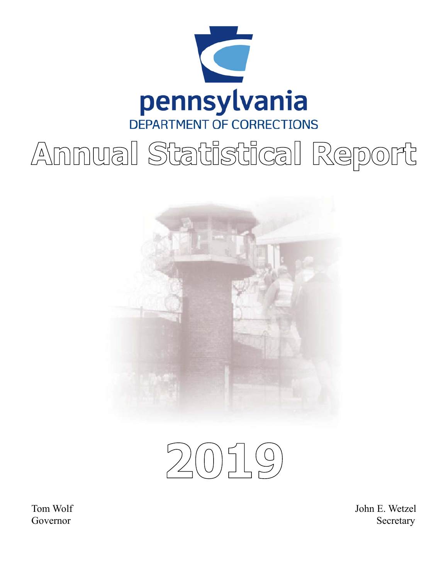

# Annual Statistical Report



 $2019$ 

Tom Wolf Governor

John E. Wetzel Secretary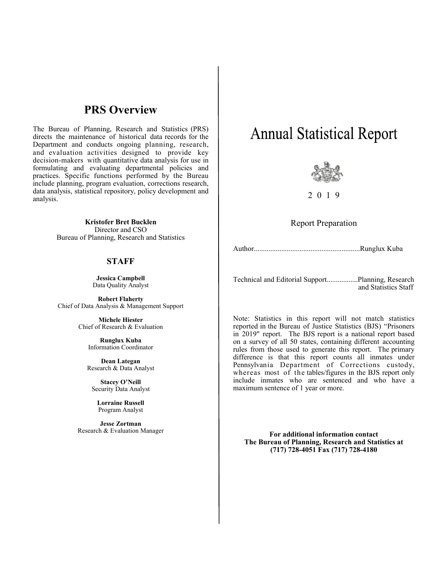### **PRS Overview**

The Bureau of Planning, Research and Statistics (PRS) directs the maintenance of historical data records for the Department and conducts ongoing planning, research, and evaluation activities designed to provide key decision-makers with quantitative data analysis for use in formulating and evaluating departmental policies and practices. Specific functions performed by the Bureau include planning, program evaluation, corrections research, data analysis, statistical repository, policy development and analysis.

> **Kristofer Bret Bucklen**  Director and CSO Bureau of Planning, Research and Statistics

#### **STAFF**

**Jessica Campbell**  Data Quality Analyst

**Robert Flaherty**  Chief of Data Analysis & Management Support

> **Michele Hiester**  Chief of Research & Evaluation

> > **Runglux Kuba**  Information Coordinator

**Dean Lategan**  Research & Data Analyst

**Stacey O'Neill**  Security Data Analyst

**Lorraine Russell**  Program Analyst

**Jesse Zortman**  Research & Evaluation Manager

# **Annual Statistical Report**



2 0 1 9

Report Preparation

Author..........................................................Runglux Kuba

Technical and Editorial Support.................Planning, Research and Statistics Staff

Note: Statistics in this report will not match statistics reported in the Bureau of Justice Statistics (BJS) "Prisoners in 2019" report. The BJS report is a national report based on a survey of all 50 states, containing different accounting rules from those used to generate this report. The primary difference is that this report counts all inmates under Pennsylvania Department of Corrections custody, whereas most of the tables/figures in the BJS report only include inmates who are sentenced and who have a maximum sentence of 1 year or more.

**For additional information contact The Bureau of Planning, Research and Statistics at (717) 728-4051 Fax (717) 728-4180**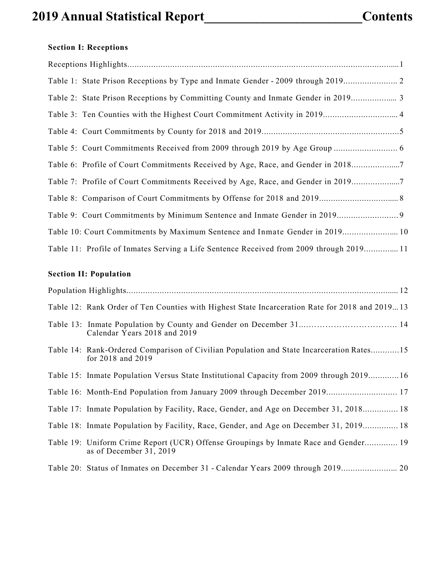# **2019 Annual Statistical Report\_\_\_\_\_\_\_\_\_\_\_\_\_\_\_\_\_\_\_\_\_\_\_\_Contents**

### **Section I: Receptions**

| Table 6: Profile of Court Commitments Received by Age, Race, and Gender in 20187        |
|-----------------------------------------------------------------------------------------|
| Table 7: Profile of Court Commitments Received by Age, Race, and Gender in 2019         |
|                                                                                         |
|                                                                                         |
| Table 10: Court Commitments by Maximum Sentence and Inmate Gender in 2019 10            |
| Table 11: Profile of Inmates Serving a Life Sentence Received from 2009 through 2019 11 |

#### **Section II: Population**

| Table 12: Rank Order of Ten Counties with Highest State Incarceration Rate for 2018 and 201913                    |
|-------------------------------------------------------------------------------------------------------------------|
| Calendar Years 2018 and 2019                                                                                      |
| Table 14: Rank-Ordered Comparison of Civilian Population and State Incarceration Rates15<br>for $2018$ and $2019$ |
| Table 15: Inmate Population Versus State Institutional Capacity from 2009 through 201916                          |
| Table 16: Month-End Population from January 2009 through December 2019 17                                         |
| Table 17: Inmate Population by Facility, Race, Gender, and Age on December 31, 2018 18                            |
| Table 18: Inmate Population by Facility, Race, Gender, and Age on December 31, 2019 18                            |
| Table 19: Uniform Crime Report (UCR) Offense Groupings by Inmate Race and Gender 19<br>as of December 31, 2019    |
|                                                                                                                   |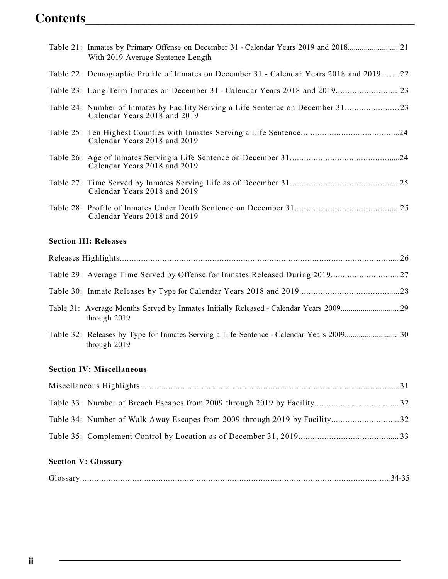### **Contents\_\_\_\_\_\_\_\_\_\_\_\_\_\_\_\_\_\_\_\_\_\_\_\_\_\_\_\_\_\_\_\_\_\_\_\_\_\_\_\_\_\_\_\_\_\_\_\_\_\_**

| With 2019 Average Sentence Length                                                                              |
|----------------------------------------------------------------------------------------------------------------|
| Table 22: Demographic Profile of Inmates on December 31 - Calendar Years 2018 and 201922                       |
|                                                                                                                |
| Table 24: Number of Inmates by Facility Serving a Life Sentence on December 31<br>Calendar Years 2018 and 2019 |
| Calendar Years 2018 and 2019                                                                                   |
| Calendar Years 2018 and 2019                                                                                   |
| Calendar Years 2018 and 2019                                                                                   |
| Calendar Years 2018 and 2019                                                                                   |

### **Section III: Releases**

| through $2019$ |  |
|----------------|--|
| through 2019   |  |

#### **Section IV: Miscellaneous**

#### **Section V: Glossary**

|--|--|--|--|--|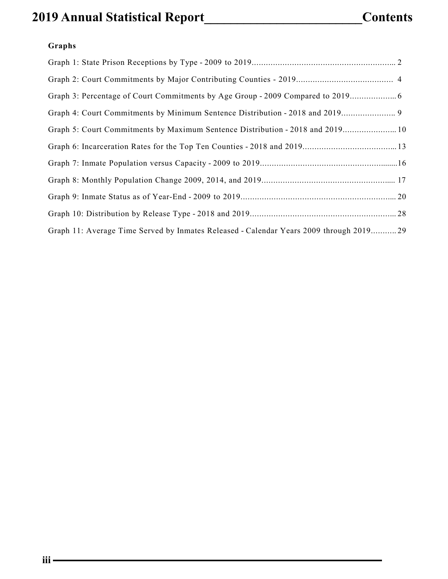### **2019 Annual Statistical Report\_\_\_\_\_\_\_\_\_\_\_\_\_\_\_\_\_\_\_\_\_\_\_\_Contents**

### **Graphs**

| Graph 3: Percentage of Court Commitments by Age Group - 2009 Compared to 2019           |  |
|-----------------------------------------------------------------------------------------|--|
| Graph 4: Court Commitments by Minimum Sentence Distribution - 2018 and 2019             |  |
| Graph 5: Court Commitments by Maximum Sentence Distribution - 2018 and 2019 10          |  |
|                                                                                         |  |
|                                                                                         |  |
|                                                                                         |  |
|                                                                                         |  |
|                                                                                         |  |
| Graph 11: Average Time Served by Inmates Released - Calendar Years 2009 through 2019 29 |  |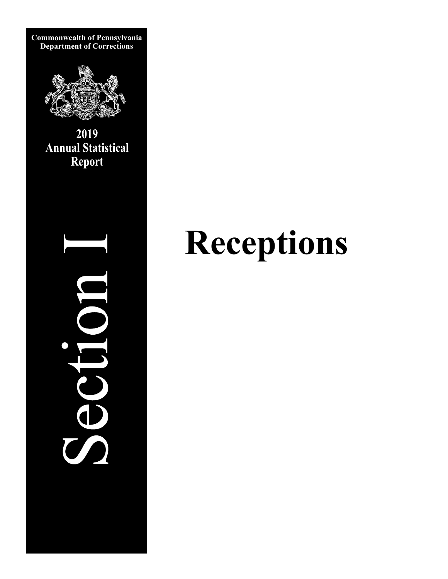

**Commonwealth of Pennsylvania Department of Corrections** 

> 2019 **Annual Statistical Report**

> > S T JOC

# **Receptions**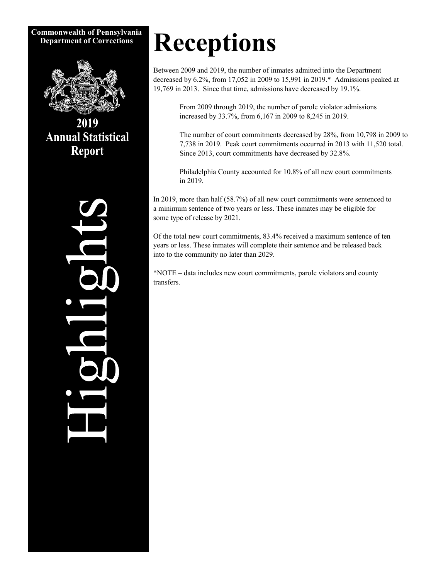#### **Commonwealth of Pennsylvania Department of Corrections**



2019 **Annual Statistical Report** 



# **Receptions**

Between 2009 and 2019, the number of inmates admitted into the Department decreased by 6.2%, from 17,052 in 2009 to 15,991 in 2019.\* Admissions peaked at 19,769 in 2013. Since that time, admissions have decreased by 19.1%.

> From 2009 through 2019, the number of parole violator admissions increased by 33.7%, from 6,167 in 2009 to 8,245 in 2019.

The number of court commitments decreased by 28%, from 10,798 in 2009 to 7,738 in 2019. Peak court commitments occurred in 2013 with 11,520 total. Since 2013, court commitments have decreased by 32.8%.

Philadelphia County accounted for 10.8% of all new court commitments in 2019.

In 2019, more than half (58.7%) of all new court commitments were sentenced to a minimum sentence of two years or less. These inmates may be eligible for some type of release by 2021.

Of the total new court commitments, 83.4% received a maximum sentence of ten years or less. These inmates will complete their sentence and be released back into to the community no later than 2029.

\*NOTE – data includes new court commitments, parole violators and county transfers.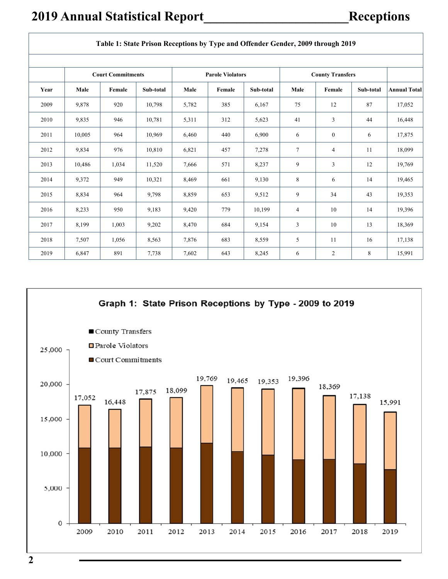|      | Table 1: State Prison Receptions by Type and Offender Gender, 2009 through 2019 |                                                                                |           |       |        |           |        |                |           |                     |  |
|------|---------------------------------------------------------------------------------|--------------------------------------------------------------------------------|-----------|-------|--------|-----------|--------|----------------|-----------|---------------------|--|
|      |                                                                                 | <b>County Transfers</b><br><b>Court Commitments</b><br><b>Parole Violators</b> |           |       |        |           |        |                |           |                     |  |
| Year | Male                                                                            | Female                                                                         | Sub-total | Male  | Female | Sub-total | Male   | Female         | Sub-total | <b>Annual Total</b> |  |
| 2009 | 9,878                                                                           | 920                                                                            | 10,798    | 5,782 | 385    | 6,167     | 75     | 12             | 87        | 17,052              |  |
| 2010 | 9,835                                                                           | 946                                                                            | 10,781    | 5,311 | 312    | 5,623     | 41     | 3              | 44        | 16,448              |  |
| 2011 | 10,005                                                                          | 964                                                                            | 10,969    | 6,460 | 440    | 6,900     | 6      | $\overline{0}$ | 6         | 17,875              |  |
| 2012 | 9,834                                                                           | 976                                                                            | 10,810    | 6,821 | 457    | 7,278     | $\tau$ | 4              | 11        | 18,099              |  |
| 2013 | 10,486                                                                          | 1,034                                                                          | 11,520    | 7,666 | 571    | 8,237     | 9      | 3              | 12        | 19,769              |  |
| 2014 | 9,372                                                                           | 949                                                                            | 10,321    | 8,469 | 661    | 9,130     | 8      | 6              | 14        | 19,465              |  |
| 2015 | 8,834                                                                           | 964                                                                            | 9,798     | 8,859 | 653    | 9,512     | 9      | 34             | 43        | 19,353              |  |
| 2016 | 8,233                                                                           | 950                                                                            | 9,183     | 9,420 | 779    | 10,199    | 4      | 10             | 14        | 19,396              |  |
| 2017 | 8,199                                                                           | 1,003                                                                          | 9,202     | 8,470 | 684    | 9,154     | 3      | 10             | 13        | 18,369              |  |
| 2018 | 7,507                                                                           | 1,056                                                                          | 8,563     | 7,876 | 683    | 8,559     | 5      | 11             | 16        | 17,138              |  |
| 2019 | 6,847                                                                           | 891                                                                            | 7,738     | 7,602 | 643    | 8,245     | 6      | $\overline{c}$ | 8         | 15,991              |  |

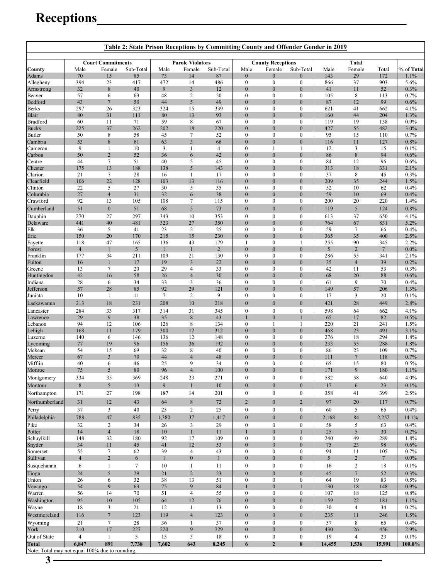# **Receptions\_\_\_\_\_\_\_\_\_\_\_\_\_\_\_\_\_\_\_\_\_\_\_\_\_\_\_\_\_\_\_\_\_\_\_\_\_\_\_\_\_\_\_\_\_\_\_**

| Table 2: State Prison Receptions by Committing County and Offender Gender in 2019 |                       |                          |            |              |                               |                |                                      |                                      |                                      |                |                         |                |                |
|-----------------------------------------------------------------------------------|-----------------------|--------------------------|------------|--------------|-------------------------------|----------------|--------------------------------------|--------------------------------------|--------------------------------------|----------------|-------------------------|----------------|----------------|
|                                                                                   |                       | <b>Court Commitments</b> |            |              | <b>Parole Violators</b>       |                |                                      | <b>County Receptions</b>             |                                      |                | <b>Total</b>            |                |                |
| County                                                                            | Male                  | Female                   | Sub-Total  | Male         | Female                        | Sub-Total      | Male                                 | Female                               | Sub-Total                            | Male           | Female                  | Total          | % of Total     |
| Adams                                                                             | 70                    | 15                       | 85         | 73           | 14                            | 87             | $\boldsymbol{0}$                     | $\mathbf{0}$                         | $\mathbf{0}$                         | 143            | 29                      | 172            | 1.1%           |
| Allegheny                                                                         | 394<br>32             | 23<br>$\,$ 8 $\,$        | 417<br>40  | 472<br>9     | 14<br>$\overline{\mathbf{3}}$ | 486<br>12      | $\boldsymbol{0}$<br>$\boldsymbol{0}$ | $\boldsymbol{0}$<br>$\mathbf{0}$     | $\boldsymbol{0}$<br>$\overline{0}$   | 866<br>41      | 37<br>11                | 903<br>52      | 5.6%<br>0.3%   |
| Armstrong<br>Beaver                                                               | 57                    | 6                        | 63         | 48           | 2                             | 50             | $\boldsymbol{0}$                     | $\boldsymbol{0}$                     | $\boldsymbol{0}$                     | 105            | 8                       | 113            | 0.7%           |
| Bedford                                                                           | 43                    | $\overline{7}$           | 50         | 44           | 5                             | 49             | $\mathbf{0}$                         | $\boldsymbol{0}$                     | $\mathbf{0}$                         | 87             | 12                      | 99             | 0.6%           |
| Berks                                                                             | 297                   | 26                       | 323        | 324          | 15                            | 339            | $\boldsymbol{0}$                     | $\boldsymbol{0}$                     | $\boldsymbol{0}$                     | 621            | 41                      | 662            | 4.1%           |
| Blair                                                                             | 80                    | 31                       | 111        | 80           | 13                            | 93             | $\mathbf{0}$                         | $\boldsymbol{0}$                     | $\mathbf{0}$                         | 160            | 44                      | 204            | 1.3%           |
| Bradford                                                                          | 60                    | 11                       | 71         | 59           | 8                             | 67             | $\boldsymbol{0}$                     | $\boldsymbol{0}$                     | $\boldsymbol{0}$                     | 119            | 19                      | 138            | 0.9%           |
| <b>Bucks</b>                                                                      | 225                   | 37                       | 262        | 202          | 18                            | 220            | $\mathbf{0}$                         | $\boldsymbol{0}$                     | $\mathbf{0}$                         | 427            | 55                      | 482            | 3.0%           |
| Butler                                                                            | 50                    | 8                        | 58         | 45           | $\tau$                        | 52             | $\boldsymbol{0}$                     | $\boldsymbol{0}$                     | $\boldsymbol{0}$                     | 95             | 15                      | 110            | 0.7%           |
| Cambria<br>Cameron                                                                | 53<br>9               | $\,$ 8 $\,$<br>1         | 61<br>10   | 63<br>3      | $\overline{3}$<br>1           | 66<br>4        | $\boldsymbol{0}$<br>$\boldsymbol{0}$ | $\boldsymbol{0}$<br>1                | $\mathbf{0}$<br>$\mathbf{1}$         | 116<br>12      | 11<br>3                 | 127<br>15      | 0.8%<br>0.1%   |
| Carbon                                                                            | 50                    | $\overline{2}$           | 52         | 36           | 6                             | 42             | $\mathbf{0}$                         | $\boldsymbol{0}$                     | $\mathbf{0}$                         | 86             | 8                       | 94             | 0.6%           |
| Centre                                                                            | 44                    | $\tau$                   | 51         | 40           | 5                             | 45             | $\boldsymbol{0}$                     | $\boldsymbol{0}$                     | $\boldsymbol{0}$                     | 84             | 12                      | 96             | 0.6%           |
| Chester                                                                           | 175                   | 13                       | 188        | 138          | 5                             | 143            | $\mathbf{0}$                         | $\boldsymbol{0}$                     | $\mathbf{0}$                         | 313            | 18                      | 331            | 2.1%           |
| Clarion                                                                           | 21                    | $\tau$                   | 28         | 16           | 1                             | 17             | $\boldsymbol{0}$                     | $\boldsymbol{0}$                     | $\boldsymbol{0}$                     | 37             | 8                       | 45             | 0.3%           |
| Clearfield                                                                        | 106                   | 22                       | 128        | 103          | 13                            | 116            | $\boldsymbol{0}$                     | $\boldsymbol{0}$                     | $\mathbf{0}$                         | 209            | 35                      | 244            | 1.5%           |
| Clinton                                                                           | 22                    | 5                        | 27         | 30           | 5                             | 35             | $\boldsymbol{0}$                     | $\boldsymbol{0}$                     | $\boldsymbol{0}$                     | 52             | 10                      | 62             | 0.4%           |
| Columbia<br>Crawford                                                              | 27<br>92              | $\overline{4}$<br>13     | 31<br>105  | 32<br>108    | 6<br>$\tau$                   | 38<br>115      | $\boldsymbol{0}$<br>$\boldsymbol{0}$ | $\mathbf{0}$<br>$\boldsymbol{0}$     | $\mathbf{0}$<br>$\boldsymbol{0}$     | 59<br>200      | 10<br>20                | 69<br>220      | 0.4%<br>1.4%   |
| Cumberland                                                                        | 51                    | $\boldsymbol{0}$         | 51         | 68           | 5                             | 73             | $\mathbf{0}$                         | $\boldsymbol{0}$                     | $\mathbf{0}$                         | 119            | 5                       | 124            | 0.8%           |
| Dauphin                                                                           | 270                   | 27                       | 297        | 343          | 10                            | 353            | $\boldsymbol{0}$                     | $\boldsymbol{0}$                     | $\mathbf{0}$                         | 613            | 37                      | 650            | 4.1%           |
| Delaware                                                                          | 441                   | 40                       | 481        | 323          | 27                            | 350            | $\mathbf{0}$                         | $\boldsymbol{0}$                     | $\mathbf{0}$                         | 764            | 67                      | 831            | 5.2%           |
| Elk                                                                               | 36                    | 5                        | 41         | 23           | $\overline{2}$                | 25             | $\boldsymbol{0}$                     | $\boldsymbol{0}$                     | $\boldsymbol{0}$                     | 59             | 7                       | 66             | 0.4%           |
| Erie                                                                              | 150                   | 20                       | 170        | 215          | 15                            | 230            | $\overline{0}$                       | $\boldsymbol{0}$                     | $\mathbf{0}$                         | 365            | 35                      | 400            | 2.5%           |
| Fayette                                                                           | 118                   | 47                       | 165        | 136          | 43                            | 179            | 1                                    | $\boldsymbol{0}$                     | $\mathbf{1}$                         | 255            | 90                      | 345            | 2.2%           |
| Forest                                                                            | $\overline{4}$        | $\mathbf{1}$             | 5          |              | $\mathbf{1}$                  | $\overline{2}$ | $\boldsymbol{0}$                     | $\boldsymbol{0}$                     | $\mathbf{0}$                         | $\sqrt{5}$     | $\overline{2}$          | $\overline{7}$ | 0.0%           |
| Franklin                                                                          | 177                   | 34                       | 211        | 109          | 21                            | 130            | $\boldsymbol{0}$                     | $\boldsymbol{0}$                     | $\boldsymbol{0}$                     | 286            | 55                      | 341            | 2.1%           |
| Fulton<br>Greene                                                                  | 16<br>13              | $\mathbf{1}$<br>$\tau$   | 17<br>20   | 19<br>29     | $\overline{3}$<br>4           | 22<br>33       | $\overline{0}$<br>$\boldsymbol{0}$   | $\boldsymbol{0}$<br>$\boldsymbol{0}$ | $\mathbf{0}$<br>$\boldsymbol{0}$     | 35<br>42       | $\overline{4}$<br>11    | 39<br>53       | 0.2%<br>0.3%   |
| Huntingdon                                                                        | 42                    | 16                       | 58         | 26           | $\overline{4}$                | 30             | $\mathbf{0}$                         | $\boldsymbol{0}$                     | $\mathbf{0}$                         | 68             | 20                      | 88             | 0.6%           |
| Indiana                                                                           | 28                    | 6                        | 34         | 33           | 3                             | 36             | $\boldsymbol{0}$                     | $\boldsymbol{0}$                     | $\boldsymbol{0}$                     | 61             | 9                       | 70             | 0.4%           |
| Jefferson                                                                         | 57                    | 28                       | 85         | 92           | 29                            | 121            | $\overline{0}$                       | $\boldsymbol{0}$                     | $\mathbf{0}$                         | 149            | 57                      | 206            | 1.3%           |
| Juniata                                                                           | 10                    | 1                        | 11         | $\tau$       | $\overline{c}$                | 9              | $\mathbf{0}$                         | $\boldsymbol{0}$                     | $\boldsymbol{0}$                     | 17             | 3                       | 20             | 0.1%           |
| Lackawanna                                                                        | 213                   | 18                       | 231        | 208          | 10                            | 218            | $\boldsymbol{0}$                     | $\boldsymbol{0}$                     | $\boldsymbol{0}$                     | 421            | 28                      | 449            | 2.8%           |
| Lancaster                                                                         | 284                   | 33                       | 317        | 314          | 31                            | 345            | $\boldsymbol{0}$                     | $\boldsymbol{0}$                     | $\mathbf{0}$                         | 598            | 64                      | 662            | 4.1%           |
| Lawrence                                                                          | 29                    | 9                        | 38         | 35           | $\,8\,$                       | 43             | $\mathbf{1}$                         | $\boldsymbol{0}$                     |                                      | 65             | 17                      | 82             | 0.5%           |
| Lebanon                                                                           | 94                    | 12                       | 106        | 126          | 8                             | 134            | $\boldsymbol{0}$                     | 1                                    | 1                                    | 220            | 21                      | 241            | 1.5%           |
| Lehigh<br>Luzerne                                                                 | 168<br>140            | 11<br>6                  | 179<br>146 | 300<br>136   | 12<br>12                      | 312<br>148     | $\boldsymbol{0}$<br>$\boldsymbol{0}$ | $\boldsymbol{0}$<br>$\boldsymbol{0}$ | $\mathbf{0}$<br>$\boldsymbol{0}$     | 468<br>276     | 23<br>18                | 491<br>294     | 3.1%<br>1.8%   |
| Lycoming                                                                          | 77                    | 19                       | 96         | 156          | 36                            | 192            | $\mathbf{0}$                         | $\boldsymbol{0}$                     | $\mathbf{0}$                         | 233            | 55                      | 288            | 1.8%           |
| Mckean                                                                            | 54                    | 15                       | 69         | 32           | 8                             | 40             | $\mathbf{0}$                         | $\boldsymbol{0}$                     | $\boldsymbol{0}$                     | 86             | 23                      | 109            | 0.7%           |
| Mercer                                                                            | 67                    | $\overline{\mathbf{3}}$  | 70         | 44           | $\overline{4}$                | 48             | $\overline{0}$                       | $\boldsymbol{0}$                     | $\overline{0}$                       | 111            | $7\phantom{.0}$         | 118            | 0.7%           |
| Mifflin                                                                           | 40                    | 6                        | 46         | 25           | 9                             | 34             | $\mathbf{0}$                         | $\mathbf{0}$                         | $\mathbf{0}$                         | 65             | 15                      | 80             | 0.5%           |
| Monroe                                                                            | 75                    | 5                        | 80         | 96           | $\Delta$                      | 100            | $\Omega$                             | $\Omega$                             | $\overline{0}$                       | 171            | $\mathbf Q$             | 180            | 1.1%           |
| Montgomery                                                                        | 334                   | 35                       | 369        | 248          | 23                            | 271            | $\boldsymbol{0}$                     | $\boldsymbol{0}$                     | $\boldsymbol{0}$                     | 582            | 58                      | 640            | 4.0%           |
| Montour                                                                           | $\,8\,$               | $\mathfrak{S}$           | 13         | 9            | $\mathbf{1}$                  | $10\,$         | $\overline{0}$                       | $\boldsymbol{0}$                     | $\boldsymbol{0}$                     | 17             | 6                       | 23             | 0.1%           |
| Northampton                                                                       | 171                   | $27\,$                   | 198        | 187          | 14                            | 201            | $\boldsymbol{0}$                     | $\boldsymbol{0}$                     | $\boldsymbol{0}$                     | 358            | 41                      | 399            | 2.5%           |
| Northumberland                                                                    | 31                    | $12\,$                   | 43         | 64           | $\bf 8$                       | 72             | $\overline{2}$                       | $\boldsymbol{0}$                     | $\sqrt{2}$                           | 97             | $20\,$                  | 117            | 0.7%           |
| Perry                                                                             | 37                    | $\mathfrak{Z}$           | 40         | $23\,$       | $\overline{2}$                | 25             | $\bf{0}$                             | $\boldsymbol{0}$                     | $\boldsymbol{0}$                     | 60             | 5                       | 65             | 0.4%           |
| Philadelphia                                                                      | 788                   | 47                       | 835        | 1,380        | 37                            | 1,417          | $\overline{0}$                       | $\boldsymbol{0}$                     | $\boldsymbol{0}$                     | 2,168          | 84                      | 2,252          | 14.1%          |
| Pike                                                                              | 32                    | $\mathfrak{2}$           | 34         | 26           | $\mathfrak{Z}$                | 29             | $\bf{0}$                             | $\boldsymbol{0}$                     | $\boldsymbol{0}$                     | 58             | 5                       | 63             | 0.4%           |
| Potter                                                                            | 14                    | $\overline{4}$           | $18\,$     | $10\,$       | $\mathbf{1}$                  | 11             | $\mathbf{1}$                         | $\boldsymbol{0}$                     | $\mathbf{1}$                         | 25             | 5                       | 30             | 0.2%           |
| Schuylkill<br>Snyder                                                              | 148<br>$34\,$         | 32<br>$11\,$             | 180<br>45  | 92<br>41     | 17<br>12                      | 109<br>53      | $\boldsymbol{0}$<br>$\boldsymbol{0}$ | $\boldsymbol{0}$<br>$\boldsymbol{0}$ | $\boldsymbol{0}$<br>$\boldsymbol{0}$ | 240<br>75      | 49<br>$23\,$            | 289<br>98      | 1.8%<br>0.6%   |
| Somerset                                                                          | 55                    | $\tau$                   | 62         | 39           | $\overline{4}$                | 43             | $\boldsymbol{0}$                     | $\boldsymbol{0}$                     | $\boldsymbol{0}$                     | 94             | 11                      | 105            | 0.7%           |
| Sullivan                                                                          | $\overline{4}$        | $\overline{2}$           | 6          | $\mathbf{1}$ | $\boldsymbol{0}$              | $\mathbf{1}$   | $\mathbf{0}$                         | $\boldsymbol{0}$                     | $\boldsymbol{0}$                     | $\mathfrak{S}$ | $\overline{c}$          | $\overline{7}$ | $0.0\%$        |
| Susquehanna                                                                       | 6                     | $\mathbf{1}$             | $\tau$     | 10           | $\mathbf{1}$                  | 11             | $\boldsymbol{0}$                     | $\boldsymbol{0}$                     | $\boldsymbol{0}$                     | 16             | $\overline{c}$          | 18             | 0.1%           |
| Tioga                                                                             | 24                    | $\mathfrak{S}$           | 29         | 21           | $\overline{c}$                | $23\,$         | $\overline{0}$                       | $\boldsymbol{0}$                     | $\boldsymbol{0}$                     | 45             | $\overline{7}$          | 52             | 0.3%           |
| Union                                                                             | 26                    | 6                        | 32         | $38\,$       | 13                            | 51             | $\boldsymbol{0}$                     | $\boldsymbol{0}$                     | $\boldsymbol{0}$                     | 64             | 19                      | 83             | 0.5%           |
| Venango                                                                           | 54                    | 9                        | 63         | 75           | 9                             | 84             | $\mathbf{1}$                         | $\boldsymbol{0}$                     | $\mathbf{1}$                         | 130            | 18                      | 148            | $0.9\%$        |
| Warren                                                                            | 56                    | 14                       | 70         | 51           | $\overline{4}$                | 55             | $\boldsymbol{0}$                     | $\boldsymbol{0}$                     | $\boldsymbol{0}$                     | 107            | 18                      | 125            | $0.8\%$        |
| Washington                                                                        | 95                    | $10\,$                   | 105        | 64           | 12                            | 76             | $\overline{0}$                       | $\boldsymbol{0}$                     | $\boldsymbol{0}$                     | 159            | 22                      | 181            | 1.1%           |
| Wayne                                                                             | $18\,$                | 3                        | 21         | 12           | $\mathbf{1}$                  | 13             | $\boldsymbol{0}$                     | $\boldsymbol{0}$                     | $\boldsymbol{0}$                     | 30             | $\overline{4}$          | 34             | $0.2\%$        |
| Westmoreland                                                                      | 116                   | $\overline{7}$           | 123        | 119          | $\overline{4}$                | 123            | $\overline{0}$                       | $\boldsymbol{0}$                     | $\boldsymbol{0}$                     | 235            | 11                      | 246            | 1.5%           |
| Wyoming                                                                           | 21                    | $\tau$                   | 28         | 36           | $\mathbf{1}$                  | 37             | $\boldsymbol{0}$                     | $\boldsymbol{0}$                     | $\boldsymbol{0}$                     | 57             | 8                       | 65             | 0.4%           |
| York                                                                              | 210<br>$\overline{4}$ | 17                       | 227<br>5   | 220          | 9                             | 229            | $\overline{0}$                       | $\boldsymbol{0}$                     | $\boldsymbol{0}$                     | 430            | $26\,$                  | 456            | 2.9%           |
| Out of State<br><b>Total</b>                                                      | 6,847                 | $\mathbf{1}$<br>891      | 7,738      | 15<br>7,602  | 3<br>643                      | 18<br>8,245    | $\boldsymbol{0}$<br>6                | $\boldsymbol{0}$<br>$\overline{2}$   | $\boldsymbol{0}$<br>$\bf 8$          | 19<br>14,455   | $\overline{4}$<br>1,536 | 23<br>15,991   | 0.1%<br>100.0% |
| Note: Total may not equal 100% due to rounding.                                   |                       |                          |            |              |                               |                |                                      |                                      |                                      |                |                         |                |                |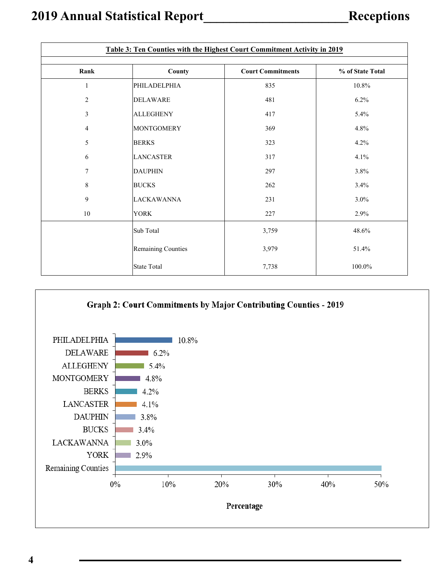| Table 3: Ten Counties with the Highest Court Commitment Activity in 2019 |                           |                          |                  |  |  |  |  |  |
|--------------------------------------------------------------------------|---------------------------|--------------------------|------------------|--|--|--|--|--|
| Rank                                                                     | County                    | <b>Court Commitments</b> | % of State Total |  |  |  |  |  |
| 1                                                                        | PHILADELPHIA              | 835                      | 10.8%            |  |  |  |  |  |
| $\sqrt{2}$                                                               | <b>DELAWARE</b>           | 481                      | 6.2%             |  |  |  |  |  |
| $\mathfrak{Z}$                                                           | <b>ALLEGHENY</b>          | 417                      | 5.4%             |  |  |  |  |  |
| $\overline{4}$                                                           | <b>MONTGOMERY</b>         | 369                      | 4.8%             |  |  |  |  |  |
| 5                                                                        | <b>BERKS</b>              | 323                      | 4.2%             |  |  |  |  |  |
| 6                                                                        | <b>LANCASTER</b>          | 317                      | 4.1%             |  |  |  |  |  |
| $\tau$                                                                   | <b>DAUPHIN</b>            | 297                      | 3.8%             |  |  |  |  |  |
| $8\,$                                                                    | <b>BUCKS</b>              | 262                      | 3.4%             |  |  |  |  |  |
| 9                                                                        | <b>LACKAWANNA</b>         | 231                      | 3.0%             |  |  |  |  |  |
| 10                                                                       | <b>YORK</b>               | 227                      | 2.9%             |  |  |  |  |  |
|                                                                          | Sub Total                 | 3,759                    | 48.6%            |  |  |  |  |  |
|                                                                          | <b>Remaining Counties</b> | 3,979                    | 51.4%            |  |  |  |  |  |
|                                                                          | State Total               | 7,738                    | $100.0\%$        |  |  |  |  |  |

### Graph 2: Court Commitments by Major Contributing Counties - 2019

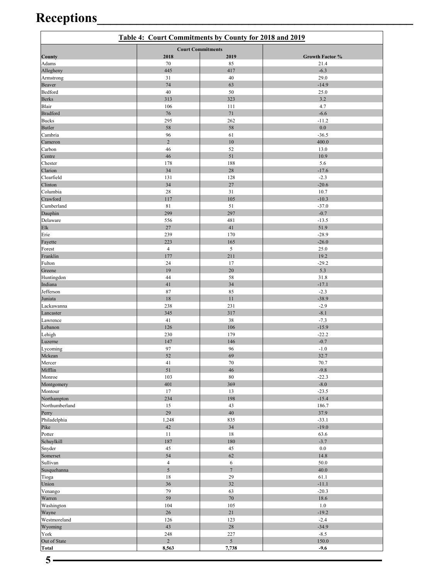# **Receptions\_\_\_\_\_\_\_\_\_\_\_\_\_\_\_\_\_\_\_\_\_\_\_\_\_\_\_\_\_\_\_\_\_\_\_\_\_\_\_\_\_\_\_\_\_\_\_\_**

|                          | Table 4: Court Commitments by County for 2018 and 2019 |                          |                    |
|--------------------------|--------------------------------------------------------|--------------------------|--------------------|
|                          |                                                        | <b>Court Commitments</b> |                    |
| County                   | 2018                                                   | 2019                     | Growth Factor %    |
| Adams<br>Allegheny       | 70<br>445                                              | 85<br>417                | 21.4<br>$-6.3$     |
| Armstrong                | 31                                                     | 40                       | 29.0               |
| Beaver                   | 74                                                     | 63                       | $-14.9$            |
| Bedford                  | 40                                                     | 50                       | 25.0               |
| <b>Berks</b>             | 313                                                    | 323                      | 3.2                |
| Blair                    | 106                                                    | 111                      | 4.7                |
| <b>Bradford</b>          | 76                                                     | 71                       | $-6.6$             |
| <b>Bucks</b>             | 295                                                    | 262                      | $-11.2$            |
| <b>Butler</b><br>Cambria | 58<br>96                                               | 58<br>61                 | 0.0<br>$-36.5$     |
| Cameron                  | $\overline{2}$                                         | 10                       | 400.0              |
| Carbon                   | 46                                                     | 52                       | 13.0               |
| Centre                   | 46                                                     | 51                       | 10.9               |
| Chester                  | 178                                                    | 188                      | 5.6                |
| Clarion                  | 34                                                     | 28                       | $-17.6$            |
| Clearfield               | 131                                                    | 128                      | $-2.3$             |
| Clinton                  | 34                                                     | 27                       | $-20.6$            |
| Columbia                 | 28                                                     | 31                       | 10.7               |
| Crawford<br>Cumberland   | 117<br>81                                              | 105<br>51                | $-10.3$<br>$-37.0$ |
| Dauphin                  | 299                                                    | 297                      | $-0.7$             |
| Delaware                 | 556                                                    | 481                      | $-13.5$            |
| Elk                      | 27                                                     | 41                       | 51.9               |
| Erie                     | 239                                                    | 170                      | $-28.9$            |
| Fayette                  | 223                                                    | 165                      | $-26.0$            |
| Forest                   | $\overline{4}$                                         | 5                        | 25.0               |
| Franklin                 | 177                                                    | 211                      | 19.2               |
| Fulton                   | 24                                                     | 17                       | $-29.2$            |
| Greene                   | 19                                                     | 20                       | 5.3                |
| Huntingdon<br>Indiana    | 44<br>41                                               | 58<br>34                 | 31.8<br>$-17.1$    |
| Jefferson                | 87                                                     | 85                       | $-2.3$             |
| Juniata                  | 18                                                     | 11                       | $-38.9$            |
| Lackawanna               | 238                                                    | 231                      | $-2.9$             |
| Lancaster                | 345                                                    | 317                      | $-8.1$             |
| Lawrence                 | 41                                                     | 38                       | $-7.3$             |
| Lebanon                  | 126                                                    | 106                      | $-15.9$            |
| Lehigh                   | 230                                                    | 179                      | $-22.2$            |
| Luzerne                  | 147<br>97                                              | 146                      | $-0.7$             |
| Lycoming<br>Mckean       | 52                                                     | 96<br>69                 | $-1.0$<br>32.7     |
| Mercer                   | 41                                                     | 70                       | 70.7               |
| Mifflin                  | 51                                                     | 46                       | $-9.8$             |
| Monroe                   | 103                                                    | 80                       | $-22.3$            |
| Montgomery               | 401                                                    | 369                      | $-8.0$             |
| Montour                  | $17\,$                                                 | 13                       | $-23.5$            |
| Northampton              | 234                                                    | 198                      | $-15.4$            |
| Northumberland           | 15                                                     | 43                       | 186.7              |
| Perry<br>Philadelphia    | 29<br>1,248                                            | 40<br>835                | 37.9<br>$-33.1$    |
| Pike                     | 42                                                     | 34                       | $-19.0$            |
| Potter                   | 11                                                     | 18                       | 63.6               |
| Schuylkill               | $187\,$                                                | 180                      | $-3.7$             |
| Snyder                   | 45                                                     | 45                       | 0.0                |
| Somerset                 | 54                                                     | 62                       | 14.8               |
| Sullivan                 | $\overline{4}$                                         | 6                        | 50.0               |
| Susquehanna              | $\mathfrak{S}$                                         | $\overline{7}$           | 40.0               |
| Tioga                    | 18                                                     | 29                       | 61.1               |
| Union                    | 36<br>79                                               | 32<br>63                 | $-11.1$<br>$-20.3$ |
| Venango<br>Warren        | 59                                                     | 70                       | $18.6\,$           |
| Washington               | 104                                                    | $105\,$                  | $1.0\,$            |
| Wayne                    | 26                                                     | 21                       | $-19.2$            |
| Westmoreland             | 126                                                    | 123                      | $-2.4$             |
| Wyoming                  | 43                                                     | 28                       | $-34.9$            |
| York                     | 248                                                    | 227                      | $-8.5$             |
| Out of State             | $\overline{2}$                                         | 5                        | 150.0              |
| <b>Total</b>             | 8,563                                                  | 7,738                    | $-9.6$             |

 $5 -$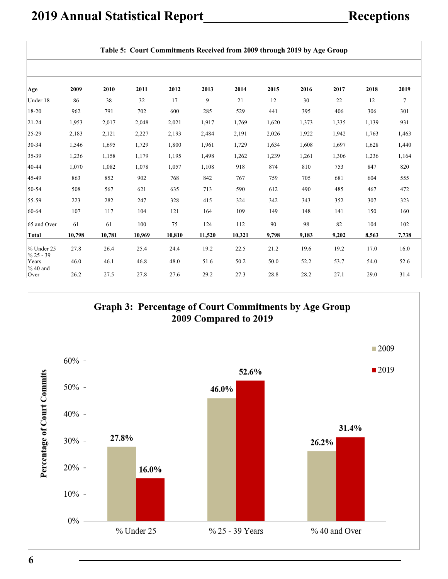|                           | Table 5: Court Commitments Received from 2009 through 2019 by Age Group |        |        |        |        |        |       |       |       |       |        |
|---------------------------|-------------------------------------------------------------------------|--------|--------|--------|--------|--------|-------|-------|-------|-------|--------|
|                           |                                                                         |        |        |        |        |        |       |       |       |       |        |
| Age                       | 2009                                                                    | 2010   | 2011   | 2012   | 2013   | 2014   | 2015  | 2016  | 2017  | 2018  | 2019   |
| Under 18                  | 86                                                                      | 38     | 32     | 17     | 9      | 21     | 12    | 30    | 22    | 12    | $\tau$ |
| 18-20                     | 962                                                                     | 791    | 702    | 600    | 285    | 529    | 441   | 395   | 406   | 306   | 301    |
| $21 - 24$                 | 1,953                                                                   | 2,017  | 2,048  | 2,021  | 1,917  | 1,769  | 1,620 | 1,373 | 1,335 | 1,139 | 931    |
| 25-29                     | 2,183                                                                   | 2,121  | 2,227  | 2,193  | 2,484  | 2,191  | 2,026 | 1,922 | 1,942 | 1,763 | 1,463  |
| 30-34                     | 1,546                                                                   | 1,695  | 1,729  | 1,800  | 1,961  | 1,729  | 1,634 | 1,608 | 1,697 | 1,628 | 1,440  |
| 35-39                     | 1,236                                                                   | 1,158  | 1,179  | 1,195  | 1,498  | 1,262  | 1,239 | 1,261 | 1,306 | 1,236 | 1,164  |
| 40-44                     | 1,070                                                                   | 1,082  | 1,078  | 1,057  | 1,108  | 918    | 874   | 810   | 753   | 847   | 820    |
| 45-49                     | 863                                                                     | 852    | 902    | 768    | 842    | 767    | 759   | 705   | 681   | 604   | 555    |
| 50-54                     | 508                                                                     | 567    | 621    | 635    | 713    | 590    | 612   | 490   | 485   | 467   | 472    |
| 55-59                     | 223                                                                     | 282    | 247    | 328    | 415    | 324    | 342   | 343   | 352   | 307   | 323    |
| 60-64                     | 107                                                                     | 117    | 104    | 121    | 164    | 109    | 149   | 148   | 141   | 150   | 160    |
| 65 and Over               | 61                                                                      | 61     | 100    | 75     | 124    | 112    | 90    | 98    | 82    | 104   | 102    |
| <b>Total</b>              | 10,798                                                                  | 10,781 | 10,969 | 10,810 | 11,520 | 10,321 | 9,798 | 9,183 | 9,202 | 8,563 | 7,738  |
| % Under 25<br>$% 25 - 39$ | 27.8                                                                    | 26.4   | 25.4   | 24.4   | 19.2   | 22.5   | 21.2  | 19.6  | 19.2  | 17.0  | 16.0   |
| Years<br>$%40$ and        | 46.0                                                                    | 46.1   | 46.8   | 48.0   | 51.6   | 50.2   | 50.0  | 52.2  | 53.7  | 54.0  | 52.6   |
| Over                      | 26.2                                                                    | 27.5   | 27.8   | 27.6   | 29.2   | 27.3   | 28.8  | 28.2  | 27.1  | 29.0  | 31.4   |

Graph 3: Percentage of Court Commitments by Age Group<br>2009 Compared to 2019

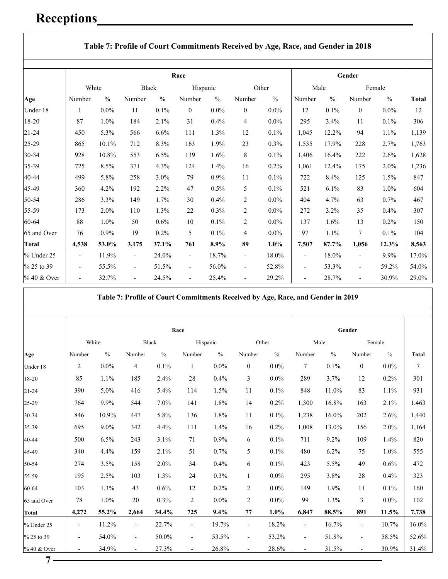### **Receptions\_\_\_\_\_\_\_\_\_\_\_\_\_\_\_\_\_\_\_\_\_\_\_\_\_\_\_\_\_\_\_\_\_\_\_\_\_\_\_\_\_\_\_\_\_\_\_\_**

|              |                              |               |                          |               | Race                     |               |                          |               |                          |               | Gender                   |               |              |
|--------------|------------------------------|---------------|--------------------------|---------------|--------------------------|---------------|--------------------------|---------------|--------------------------|---------------|--------------------------|---------------|--------------|
|              | White                        |               | Black                    |               | Hispanic                 |               |                          | Other         | Male                     |               |                          | Female        |              |
| Age          | Number                       | $\frac{0}{0}$ | Number                   | $\frac{0}{0}$ | Number                   | $\frac{0}{0}$ | Number                   | $\frac{0}{0}$ | Number                   | $\frac{0}{0}$ | Number                   | $\frac{0}{0}$ | <b>Total</b> |
| Under 18     | 1                            | $0.0\%$       | 11                       | 0.1%          | $\boldsymbol{0}$         | $0.0\%$       | $\overline{0}$           | $0.0\%$       | 12                       | 0.1%          | $\boldsymbol{0}$         | $0.0\%$       | 12           |
| 18-20        | 87                           | 1.0%          | 184                      | 2.1%          | 31                       | 0.4%          | 4                        | $0.0\%$       | 295                      | 3.4%          | 11                       | $0.1\%$       | 306          |
| $21 - 24$    | 450                          | 5.3%          | 566                      | 6.6%          | 111                      | 1.3%          | 12                       | 0.1%          | 1,045                    | 12.2%         | 94                       | 1.1%          | 1,139        |
| 25-29        | 865                          | 10.1%         | 712                      | 8.3%          | 163                      | 1.9%          | 23                       | $0.3\%$       | 1,535                    | 17.9%         | 228                      | 2.7%          | 1,763        |
| 30-34        | 928                          | 10.8%         | 553                      | 6.5%          | 139                      | 1.6%          | $8\,$                    | 0.1%          | 1,406                    | 16.4%         | 222                      | 2.6%          | 1,628        |
| 35-39        | 725                          | 8.5%          | 371                      | 4.3%          | 124                      | 1.4%          | 16                       | $0.2\%$       | 1,061                    | 12.4%         | 175                      | 2.0%          | 1,236        |
| 40-44        | 499                          | 5.8%          | 258                      | 3.0%          | 79                       | $0.9\%$       | 11                       | 0.1%          | 722                      | 8.4%          | 125                      | 1.5%          | 847          |
| 45-49        | 360                          | 4.2%          | 192                      | 2.2%          | 47                       | 0.5%          | 5                        | 0.1%          | 521                      | 6.1%          | 83                       | 1.0%          | 604          |
| 50-54        | 286                          | 3.3%          | 149                      | 1.7%          | 30                       | 0.4%          | 2                        | $0.0\%$       | 404                      | 4.7%          | 63                       | 0.7%          | 467          |
| 55-59        | 173                          | 2.0%          | 110                      | 1.3%          | 22                       | 0.3%          | 2                        | $0.0\%$       | 272                      | 3.2%          | 35                       | 0.4%          | 307          |
| 60-64        | 88                           | 1.0%          | 50                       | 0.6%          | 10                       | 0.1%          | 2                        | $0.0\%$       | 137                      | 1.6%          | 13                       | 0.2%          | 150          |
| 65 and Over  | 76                           | 0.9%          | 19                       | 0.2%          | 5                        | 0.1%          | $\overline{4}$           | $0.0\%$       | 97                       | 1.1%          | 7                        | $0.1\%$       | 104          |
| <b>Total</b> | 4,538                        | 53.0%         | 3,175                    | 37.1%         | 761                      | 8.9%          | 89                       | 1.0%          | 7,507                    | 87.7%         | 1,056                    | 12.3%         | 8,563        |
| % Under 25   | $\overline{\phantom{a}}$     | 11.9%         | $\overline{\phantom{a}}$ | 24.0%         | $\overline{\phantom{a}}$ | 18.7%         | $\overline{\phantom{a}}$ | 18.0%         | $\overline{\phantom{0}}$ | 18.0%         |                          | 9.9%          | 17.0%        |
| % 25 to 39   | $\qquad \qquad \blacksquare$ | 55.5%         | $\overline{\phantom{a}}$ | 51.5%         | $\overline{\phantom{a}}$ | 56.0%         | $\overline{\phantom{a}}$ | 52.8%         | $\overline{a}$           | 53.3%         | $\overline{\phantom{a}}$ | 59.2%         | 54.0%        |
| % 40 & Over  | $\overline{a}$               | 32.7%         | $\overline{\phantom{a}}$ | 24.5%         | $\overline{\phantom{a}}$ | 25.4%         |                          | 29.2%         | $\overline{\phantom{a}}$ | 28.7%         |                          | 30.9%         | 29.0%        |

**Table 7: Profile of Court Commitments Received by Age, Race, and Gender in 2019** 

|              |                          |               |                          |               | Race                     |               |                          |               |                          |               | Gender                   |               |                |
|--------------|--------------------------|---------------|--------------------------|---------------|--------------------------|---------------|--------------------------|---------------|--------------------------|---------------|--------------------------|---------------|----------------|
|              |                          | White         |                          | Black         | Hispanic                 |               |                          | Other         |                          | Male          | Female                   |               |                |
| Age          | Number                   | $\frac{0}{0}$ | Number                   | $\frac{0}{0}$ | Number                   | $\frac{0}{0}$ | Number                   | $\frac{0}{0}$ | Number                   | $\frac{0}{0}$ | Number                   | $\frac{0}{0}$ | <b>Total</b>   |
| Under 18     | $\mathbf{2}$             | $0.0\%$       | $\overline{4}$           | 0.1%          | 1                        | $0.0\%$       | $\boldsymbol{0}$         | $0.0\%$       | $\overline{7}$           | 0.1%          | $\boldsymbol{0}$         | $0.0\%$       | $\overline{7}$ |
| 18-20        | 85                       | 1.1%          | 185                      | 2.4%          | 28                       | 0.4%          | 3                        | $0.0\%$       | 289                      | 3.7%          | 12                       | 0.2%          | 301            |
| $21 - 24$    | 390                      | 5.0%          | 416                      | 5.4%          | 114                      | 1.5%          | 11                       | 0.1%          | 848                      | 11.0%         | 83                       | 1.1%          | 931            |
| 25-29        | 764                      | 9.9%          | 544                      | 7.0%          | 141                      | 1.8%          | 14                       | 0.2%          | 1,300                    | 16.8%         | 163                      | 2.1%          | 1,463          |
| 30-34        | 846                      | 10.9%         | 447                      | 5.8%          | 136                      | 1.8%          | 11                       | 0.1%          | 1,238                    | 16.0%         | 202                      | 2.6%          | 1,440          |
| 35-39        | 695                      | $9.0\%$       | 342                      | 4.4%          | 111                      | 1.4%          | 16                       | 0.2%          | 1,008                    | 13.0%         | 156                      | 2.0%          | 1,164          |
| 40-44        | 500                      | 6.5%          | 243                      | 3.1%          | 71                       | 0.9%          | 6                        | 0.1%          | 711                      | 9.2%          | 109                      | 1.4%          | 820            |
| 45-49        | 340                      | 4.4%          | 159                      | 2.1%          | 51                       | 0.7%          | 5                        | 0.1%          | 480                      | 6.2%          | 75                       | 1.0%          | 555            |
| 50-54        | 274                      | 3.5%          | 158                      | 2.0%          | 34                       | 0.4%          | 6                        | 0.1%          | 423                      | 5.5%          | 49                       | 0.6%          | 472            |
| 55-59        | 195                      | 2.5%          | 103                      | 1.3%          | 24                       | 0.3%          | $\mathbf{1}$             | $0.0\%$       | 295                      | 3.8%          | 28                       | 0.4%          | 323            |
| 60-64        | 103                      | 1.3%          | 43                       | 0.6%          | 12                       | 0.2%          | $\overline{c}$           | $0.0\%$       | 149                      | 1.9%          | 11                       | 0.1%          | 160            |
| 65 and Over  | 78                       | 1.0%          | 20                       | 0.3%          | $\overline{2}$           | $0.0\%$       | $\overline{c}$           | $0.0\%$       | 99                       | 1.3%          | 3                        | $0.0\%$       | 102            |
| <b>Total</b> | 4,272                    | 55.2%         | 2,664                    | 34.4%         | 725                      | 9.4%          | 77                       | 1.0%          | 6,847                    | 88.5%         | 891                      | 11.5%         | 7,738          |
| % Under 25   | $\overline{\phantom{a}}$ | 11.2%         | $\overline{\phantom{a}}$ | 22.7%         | $\overline{\phantom{a}}$ | 19.7%         | $\overline{\phantom{a}}$ | 18.2%         | $\overline{\phantom{a}}$ | 16.7%         | $\overline{\phantom{a}}$ | 10.7%         | 16.0%          |
| % 25 to 39   | $\overline{\phantom{a}}$ | 54.0%         | $\overline{\phantom{0}}$ | 50.0%         | $\overline{\phantom{a}}$ | 53.5%         | $\overline{\phantom{a}}$ | 53.2%         |                          | 51.8%         | $\overline{\phantom{a}}$ | 58.5%         | 52.6%          |
| % 40 & Over  | $\overline{\phantom{a}}$ | 34.9%         | $\overline{\phantom{0}}$ | 27.3%         | $\overline{\phantom{a}}$ | 26.8%         | $\overline{\phantom{a}}$ | 28.6%         | $\overline{\phantom{0}}$ | 31.5%         | $\overline{\phantom{a}}$ | 30.9%         | 31.4%          |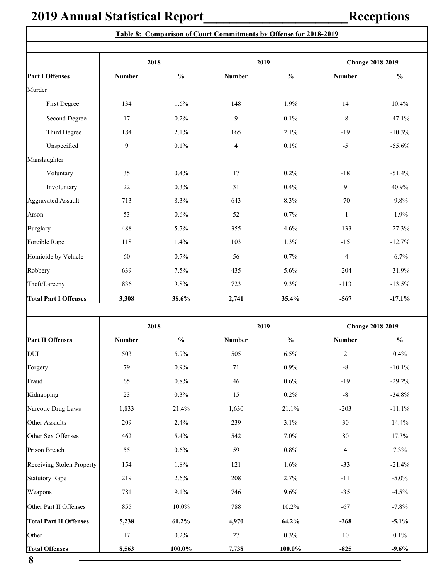|                               | 2018          |               | 2019           |               |                | <b>Change 2018-2019</b> |  |
|-------------------------------|---------------|---------------|----------------|---------------|----------------|-------------------------|--|
| <b>Part I Offenses</b>        | <b>Number</b> | $\frac{0}{0}$ | <b>Number</b>  | $\frac{0}{0}$ | <b>Number</b>  | $\frac{0}{0}$           |  |
| Murder                        |               |               |                |               |                |                         |  |
| First Degree                  | 134           | 1.6%          | 148            | 1.9%          | 14             | 10.4%                   |  |
| Second Degree                 | 17            | 0.2%          | 9              | 0.1%          | $\textsf{-}8$  | $-47.1%$                |  |
| Third Degree                  | 184           | 2.1%          | 165            | 2.1%          | $-19$          | $-10.3%$                |  |
| Unspecified                   | 9             | $0.1\%$       | $\overline{4}$ | $0.1\%$       | $-5$           | $-55.6%$                |  |
| Manslaughter                  |               |               |                |               |                |                         |  |
| Voluntary                     | 35            | 0.4%          | 17             | 0.2%          | $-18$          | $-51.4%$                |  |
| Involuntary                   | 22            | 0.3%          | 31             | 0.4%          | 9              | 40.9%                   |  |
| <b>Aggravated Assault</b>     | 713           | 8.3%          | 643            | 8.3%          | $-70$          | $-9.8%$                 |  |
| Arson                         | 53            | 0.6%          | 52             | 0.7%          | $-1$           | $-1.9%$                 |  |
| <b>Burglary</b>               | 488           | 5.7%          | 355            | 4.6%          | $-133$         | $-27.3%$                |  |
| Forcible Rape                 | 118           | 1.4%          | 103            | 1.3%          | $-15$          | $-12.7%$                |  |
| Homicide by Vehicle           | 60            | 0.7%          | 56             | 0.7%          | $-4$           | $-6.7%$                 |  |
| Robbery                       | 639           | 7.5%          | 435            | 5.6%          | $-204$         | $-31.9%$                |  |
| Theft/Larceny                 | 836           | 9.8%          | 723            | 9.3%          | $-113$         | $-13.5%$                |  |
| <b>Total Part I Offenses</b>  | 3,308         | 38.6%         | 2,741          | 35.4%         | $-567$         | $-17.1%$                |  |
|                               |               |               |                |               |                |                         |  |
|                               | 2018          |               | 2019           |               |                | <b>Change 2018-2019</b> |  |
| <b>Part II Offenses</b>       | <b>Number</b> | $\frac{0}{0}$ | <b>Number</b>  | $\frac{0}{0}$ | <b>Number</b>  | $\frac{0}{0}$           |  |
| <b>DUI</b>                    | 503           | 5.9%          | 505            | 6.5%          | $\sqrt{2}$     | 0.4%                    |  |
| Forgery                       | 79            | $0.9\%$       | 71             | $0.9\%$       | $\mbox{-}8$    | $-10.1\%$               |  |
| Fraud                         | 65            | $0.8\%$       | 46             | $0.6\%$       | $-19$          | $-29.2%$                |  |
| Kidnapping                    | 23            | $0.3\%$       | 15             | $0.2\%$       | $-8$           | $-34.8%$                |  |
| Narcotic Drug Laws            | 1,833         | 21.4%         | 1,630          | 21.1%         | $-203$         | $-11.1%$                |  |
| Other Assaults                | 209           | 2.4%          | 239            | 3.1%          | $30\,$         | 14.4%                   |  |
| Other Sex Offenses            | 462           | 5.4%          | 542            | 7.0%          | $80\,$         | 17.3%                   |  |
| Prison Breach                 | 55            | $0.6\%$       | 59             | $0.8\%$       | $\overline{4}$ | 7.3%                    |  |
| Receiving Stolen Property     | 154           | 1.8%          | 121            | 1.6%          | $-33$          | $-21.4%$                |  |
| <b>Statutory Rape</b>         | 219           | 2.6%          | 208            | 2.7%          | $-11$          | $-5.0\%$                |  |
| Weapons                       | 781           | 9.1%          | 746            | 9.6%          | $-35$          | $-4.5%$                 |  |
| Other Part II Offenses        | 855           | $10.0\%$      | 788            | $10.2\%$      | $-67$          | $-7.8%$                 |  |
| <b>Total Part II Offenses</b> | 5,238         | $61.2\%$      | 4,970          | 64.2%         | $-268$         | $-5.1\%$                |  |

Other 17 0.2% 27 0.3% 10 0.1% **Total Offenses 8,563 100.0% 7,738 100.0% -825 -9.6%**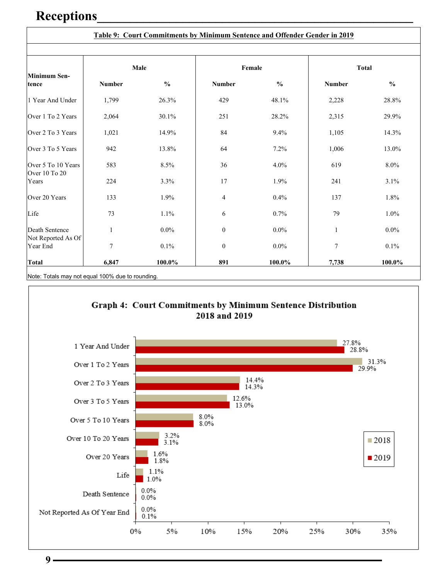### **Receptions\_\_\_\_\_\_\_\_\_\_\_\_\_\_\_\_\_\_\_\_\_\_\_\_\_\_\_\_\_\_\_\_\_\_\_\_\_\_\_\_\_\_\_\_\_\_\_\_**

|                                |               |               | Table 9: Court Commitments by Minimum Sentence and Offender Gender in 2019 |               |                |               |
|--------------------------------|---------------|---------------|----------------------------------------------------------------------------|---------------|----------------|---------------|
| <b>Minimum Sen-</b>            | Male          |               |                                                                            | Female        | <b>Total</b>   |               |
| tence                          | <b>Number</b> | $\frac{0}{0}$ | <b>Number</b>                                                              | $\frac{0}{0}$ | <b>Number</b>  | $\frac{0}{0}$ |
| 1 Year And Under               | 1,799         | 26.3%         | 429                                                                        | 48.1%         | 2,228          | 28.8%         |
| Over 1 To 2 Years              | 2,064         | 30.1%         | 251                                                                        | 28.2%         | 2,315          | 29.9%         |
| Over 2 To 3 Years              | 1,021         | 14.9%         | 84                                                                         | 9.4%          | 1,105          | 14.3%         |
| Over 3 To 5 Years              | 942           | 13.8%         | 64                                                                         | 7.2%          | 1,006          | 13.0%         |
| Over 5 To 10 Years             | 583           | 8.5%          | 36                                                                         | 4.0%          | 619            | 8.0%          |
| Over 10 To 20<br>Years         | 224           | 3.3%          | 17                                                                         | 1.9%          | 241            | 3.1%          |
| Over 20 Years                  | 133           | 1.9%          | $\overline{4}$                                                             | 0.4%          | 137            | 1.8%          |
| Life                           | 73            | 1.1%          | 6                                                                          | 0.7%          | 79             | 1.0%          |
| Death Sentence                 | 1             | $0.0\%$       | $\theta$                                                                   | $0.0\%$       | 1              | $0.0\%$       |
| Not Reported As Of<br>Year End | 7             | 0.1%          | $\boldsymbol{0}$                                                           | $0.0\%$       | $\overline{7}$ | 0.1%          |
| <b>Total</b>                   | 6,847         | 100.0%        | 891                                                                        | 100.0%        | 7,738          | 100.0%        |

Note: Totals may not equal 100% due to rounding.



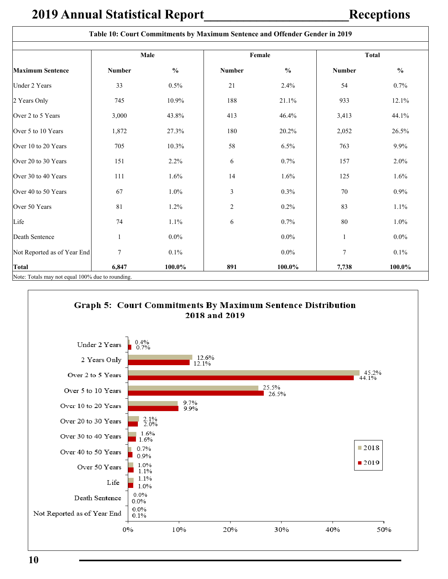$\overline{\phantom{a}}$ 

|                                                  |               |               | Table 10: Court Commitments by Maximum Sentence and Offender Gender in 2019 |               |               |               |
|--------------------------------------------------|---------------|---------------|-----------------------------------------------------------------------------|---------------|---------------|---------------|
|                                                  |               | Male          |                                                                             | Female        | <b>Total</b>  |               |
| <b>Maximum Sentence</b>                          | <b>Number</b> | $\frac{0}{0}$ | <b>Number</b>                                                               | $\frac{0}{0}$ | <b>Number</b> | $\frac{0}{0}$ |
| Under 2 Years                                    | 33            | 0.5%          | 21                                                                          | 2.4%          | 54            | 0.7%          |
| 2 Years Only                                     | 745           | 10.9%         | 188                                                                         | 21.1%         | 933           | 12.1%         |
| Over 2 to 5 Years                                | 3,000         | 43.8%         | 413                                                                         | 46.4%         | 3,413         | 44.1%         |
| Over 5 to 10 Years                               | 1,872         | 27.3%         | 180                                                                         | 20.2%         | 2,052         | 26.5%         |
| Over 10 to 20 Years                              | 705           | 10.3%         | 58                                                                          | 6.5%          | 763           | 9.9%          |
| Over 20 to 30 Years                              | 151           | 2.2%          | 6                                                                           | 0.7%          | 157           | 2.0%          |
| Over 30 to 40 Years                              | 111           | 1.6%          | 14                                                                          | 1.6%          | 125           | 1.6%          |
| Over 40 to 50 Years                              | 67            | 1.0%          | 3                                                                           | 0.3%          | 70            | $0.9\%$       |
| Over 50 Years                                    | 81            | 1.2%          | $\overline{2}$                                                              | 0.2%          | 83            | 1.1%          |
| Life                                             | 74            | 1.1%          | 6                                                                           | 0.7%          | 80            | $1.0\%$       |
| Death Sentence                                   | 1             | $0.0\%$       |                                                                             | $0.0\%$       | $\mathbf{1}$  | $0.0\%$       |
| Not Reported as of Year End                      | 7             | 0.1%          |                                                                             | $0.0\%$       | 7             | 0.1%          |
| <b>Total</b>                                     | 6,847         | 100.0%        | 891                                                                         | 100.0%        | 7,738         | 100.0%        |
| Note: Totals may not equal 100% due to rounding. |               |               |                                                                             |               |               |               |

#### Graph 5: Court Commitments By Maximum Sentence Distribution 2018 and 2019

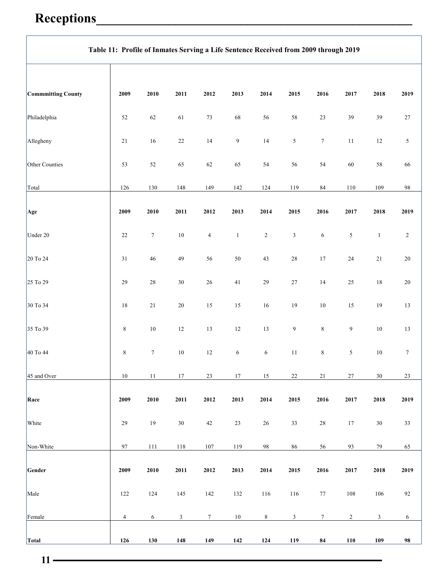# **Receptions\_\_\_\_\_\_\_\_\_\_\_\_\_\_\_\_\_\_\_\_\_\_\_\_\_\_\_\_\_\_\_\_\_\_\_\_\_\_\_\_\_\_\_\_\_\_\_\_**

|                    | Table 11: Profile of Inmates Serving a Life Sentence Received from 2009 through 2019 |                  |                         |                |                |            |                             |                  |                  |                |                |  |
|--------------------|--------------------------------------------------------------------------------------|------------------|-------------------------|----------------|----------------|------------|-----------------------------|------------------|------------------|----------------|----------------|--|
| Commmitting County | 2009                                                                                 | ${\bf 2010}$     | 2011                    | 2012           | 2013           | 2014       | 2015                        | 2016             | ${\bf 2017}$     | 2018           | 2019           |  |
| Philadelphia       | 52                                                                                   | 62               | 61                      | $73\,$         | 68             | 56         | $58\,$                      | $23\,$           | 39               | 39             | $27\,$         |  |
| Allegheny          | $21\,$                                                                               | $16\,$           | $22\,$                  | 14             | $\overline{9}$ | $14\,$     | $\sqrt{5}$                  | $\boldsymbol{7}$ | $11\,$           | $12\,$         | 5              |  |
| Other Counties     | 53                                                                                   | $52\,$           | 65                      | 62             | 65             | 54         | 56                          | 54               | 60               | 58             | 66             |  |
| Total              | 126                                                                                  | 130              | 148                     | 149            | 142            | $124\,$    | 119                         | 84               | 110              | 109            | $\bf{98}$      |  |
| Age                | 2009                                                                                 | 2010             | 2011                    | 2012           | 2013           | 2014       | 2015                        | 2016             | 2017             | 2018           | 2019           |  |
| Under 20           | 22                                                                                   | $\tau$           | $10\,$                  | $\overline{4}$ | $\mathbf{1}$   | $\sqrt{2}$ | $\ensuremath{\mathfrak{Z}}$ | $\sqrt{6}$       | $\sqrt{5}$       | $\mathbf{1}$   | $\overline{c}$ |  |
| 20 To 24           | 31                                                                                   | 46               | 49                      | 56             | $50\,$         | 43         | $28\,$                      | $17\,$           | $24\,$           | 21             | $20\,$         |  |
| 25 To 29           | 29                                                                                   | $28\,$           | $30\,$                  | $26\,$         | $41\,$         | 29         | $27\,$                      | 14               | $25\,$           | $18\,$         | $20\,$         |  |
| 30 To 34           | 18                                                                                   | $21\,$           | $20\,$                  | $15\,$         | 15             | $16\,$     | 19                          | $10\,$           | $15$             | 19             | 13             |  |
| 35 To 39           | $\,8\,$                                                                              | $10\,$           | $12\,$                  | $13\,$         | 12             | 13         | $\boldsymbol{9}$            | $\,$ $\,$        | $\boldsymbol{9}$ | $10\,$         | $13\,$         |  |
| 40 To 44           | 8                                                                                    | $\boldsymbol{7}$ | $10\,$                  | $12\,$         | 6              | $\sqrt{6}$ | $11\,$                      | $\,$ 8 $\,$      | $\sqrt{5}$       | $10\,$         | $\tau$         |  |
| 45 and Over        | $10\,$                                                                               | 11               | 17                      | $23\,$         | $17\,$         | 15         | $22\,$                      | $21\,$           | $27\,$           | $30\,$         | 23             |  |
| Race               | 2009                                                                                 | 2010             | 2011                    | 2012           | 2013           | 2014       | 2015                        | 2016             | 2017             | 2018           | 2019           |  |
| White              | 29                                                                                   | $19\,$           | $30\,$                  | $42\,$         | 23             | $26\,$     | $33\,$                      | $28\,$           | $17\,$           | $30\,$         | 33             |  |
| Non-White          | 97                                                                                   | $111$            | $118\,$                 | 107            | 119            | $\bf{98}$  | 86                          | 56               | 93               | 79             | 65             |  |
| Gender             | 2009                                                                                 | 2010             | 2011                    | 2012           | 2013           | 2014       | 2015                        | 2016             | 2017             | 2018           | 2019           |  |
| Male               | 122                                                                                  | 124              | 145                     | 142            | 132            | 116        | 116                         | $77\,$           | $108\,$          | 106            | 92             |  |
| Female             | $\overline{4}$                                                                       | 6                | $\overline{\mathbf{3}}$ | $\tau$         | 10             | $\,8\,$    | $\mathfrak{Z}$              | $\tau$           | $\overline{2}$   | $\mathfrak{Z}$ | 6              |  |
| Total              | 126                                                                                  | 130              | 148                     | 149            | 142            | 124        | 119                         | 84               | $110$            | 109            | 98             |  |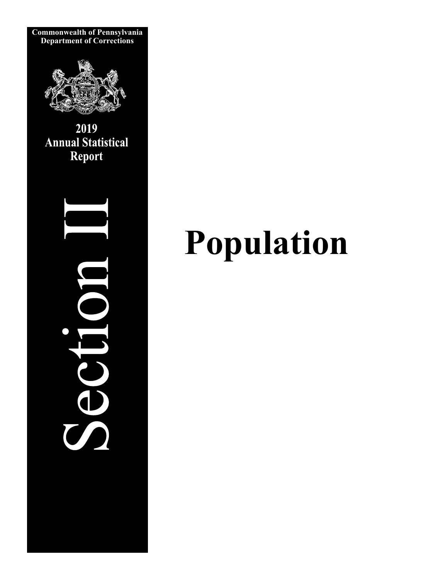

# **Population**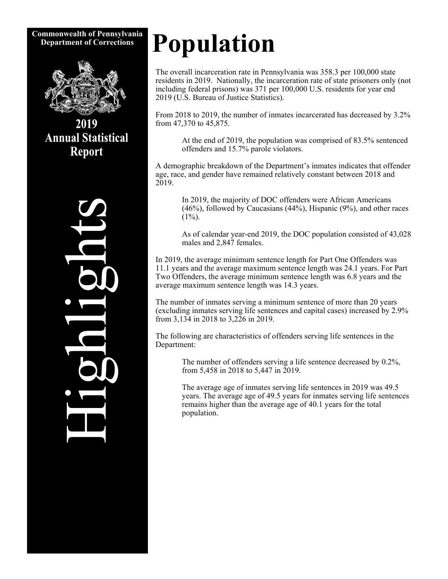## **Commonwealth of Pennsylvania**



2019 **Annual Statistical Report** 



# **Department of Corrections** Population

The overall incarceration rate in Pennsylvania was 358.3 per 100,000 state residents in 2019. Nationally, the incarceration rate of state prisoners only (not including federal prisons) was 371 per 100,000 U.S. residents for year end 2019 (U.S. Bureau of Justice Statistics).

From 2018 to 2019, the number of inmates incarcerated has decreased by 3.2% from 47,370 to 45,875.

 At the end of 2019, the population was comprised of 83.5% sentenced offenders and 15.7% parole violators.

A demographic breakdown of the Department's inmates indicates that offender age, race, and gender have remained relatively constant between 2018 and 2019.

 In 2019, the majority of DOC offenders were African Americans (46%), followed by Caucasians (44%), Hispanic (9%), and other races  $(1\%)$ .

 As of calendar year-end 2019, the DOC population consisted of 43,028 males and 2,847 females.

In 2019, the average minimum sentence length for Part One Offenders was 11.1 years and the average maximum sentence length was 24.1 years. For Part Two Offenders, the average minimum sentence length was 6.8 years and the average maximum sentence length was 14.3 years.

The number of inmates serving a minimum sentence of more than 20 years (excluding inmates serving life sentences and capital cases) increased by 2.9% from 3,134 in 2018 to 3,226 in 2019.

The following are characteristics of offenders serving life sentences in the Department:

> The number of offenders serving a life sentence decreased by 0.2%, from 5,458 in 2018 to 5,447 in 2019.

 The average age of inmates serving life sentences in 2019 was 49.5 years. The average age of 49.5 years for inmates serving life sentences remains higher than the average age of 40.1 years for the total population.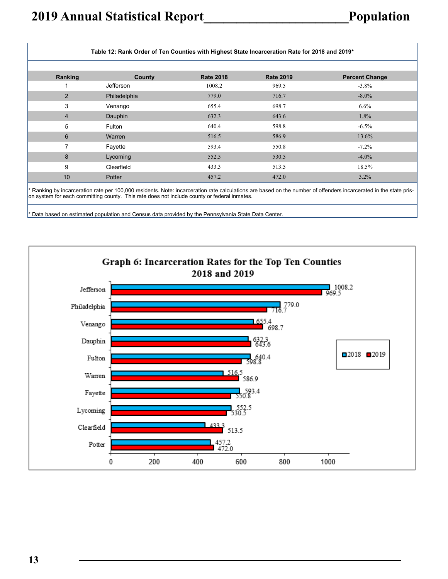| Table 12: Rank Order of Ten Counties with Highest State Incarceration Rate for 2018 and 2019* |              |                  |                  |                       |  |  |  |  |  |
|-----------------------------------------------------------------------------------------------|--------------|------------------|------------------|-----------------------|--|--|--|--|--|
| Ranking                                                                                       | County       | <b>Rate 2018</b> | <b>Rate 2019</b> | <b>Percent Change</b> |  |  |  |  |  |
|                                                                                               | Jefferson    | 1008.2           | 969.5            | $-3.8\%$              |  |  |  |  |  |
| 2                                                                                             | Philadelphia | 779.0            | 716.7            | $-8.0\%$              |  |  |  |  |  |
| 3                                                                                             | Venango      | 655.4            | 698.7            | $6.6\%$               |  |  |  |  |  |
| $\overline{4}$                                                                                | Dauphin      | 632.3            | 643.6            | 1.8%                  |  |  |  |  |  |
| 5                                                                                             | Fulton       | 640.4            | 598.8            | $-6.5\%$              |  |  |  |  |  |
| 6                                                                                             | Warren       | 516.5            | 586.9            | 13.6%                 |  |  |  |  |  |
| 7                                                                                             | Fayette      | 593.4            | 550.8            | $-7.2\%$              |  |  |  |  |  |
| 8                                                                                             | Lycoming     | 552.5            | 530.5            | $-4.0\%$              |  |  |  |  |  |
| 9                                                                                             | Clearfield   | 433.3            | 513.5            | 18.5%                 |  |  |  |  |  |
| 10                                                                                            | Potter       | 457.2            | 472.0            | $3.2\%$               |  |  |  |  |  |

\* Ranking by incarceration rate per 100,000 residents. Note: incarceration rate calculations are based on the number of offenders incarcerated in the state prison system for each committing county. This rate does not include county or federal inmates.

\* Data based on estimated population and Census data provided by the Pennsylvania State Data Center.

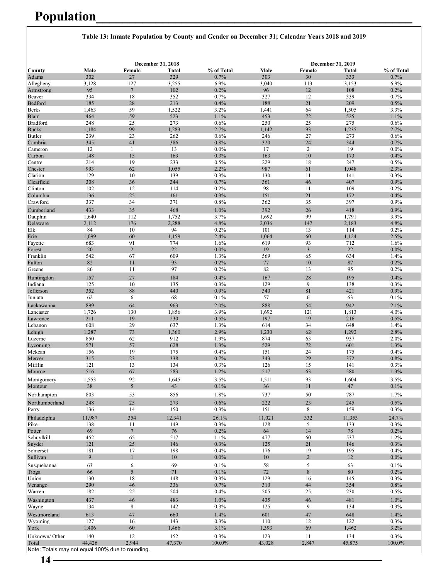## **Population\_\_\_\_\_\_\_\_\_\_\_\_\_\_\_\_\_\_\_\_\_\_\_\_\_\_\_\_\_\_\_\_\_\_\_\_\_\_\_\_\_\_\_\_\_\_\_\_**

#### **Table 13: Inmate Population by County and Gender on December 31; Calendar Years 2018 and 2019**

|                                                  |              |                       | December 31, 2018 |                 |               |                        | December 31, 2019 |                 |
|--------------------------------------------------|--------------|-----------------------|-------------------|-----------------|---------------|------------------------|-------------------|-----------------|
| County                                           | Male         | Female                | Total             | % of Total      | Male          | Female                 | Total             | % of Total      |
| Adams                                            | 302          | 27                    | 329               | 0.7%            | 303           | 30                     | 333               | 0.7%            |
| Allegheny                                        | 3,128<br>95  | 127<br>$\overline{7}$ | 3,255<br>102      | 6.9%<br>0.2%    | 3,040<br>96   | 113<br>12              | 3,153<br>108      | 6.9%<br>0.2%    |
| Armstrong<br>Beaver                              | 334          | 18                    | 352               | 0.7%            | 327           | 12                     | 339               | 0.7%            |
| Bedford                                          | 185          | 28                    | 213               | 0.4%            | 188           | 21                     | 209               | 0.5%            |
| <b>Berks</b>                                     | 1,463        | 59                    | 1,522             | 3.2%            | 1,441         | 64                     | 1,505             | 3.3%            |
| Blair                                            | 464          | 59                    | 523               | 1.1%            | 453           | 72                     | 525               | 1.1%            |
| <b>Bradford</b>                                  | 248          | 25                    | 273               | 0.6%            | 250           | 25                     | 275               | 0.6%            |
| <b>Bucks</b>                                     | 1,184        | 99                    | 1,283             | 2.7%            | 1,142         | 93                     | 1,235             | 2.7%            |
| Butler                                           | 239          | 23                    | 262               | 0.6%            | 246           | 27                     | 273               | 0.6%            |
| Cambria                                          | 345          | 41                    | 386               | 0.8%            | 320           | 24                     | 344               | 0.7%            |
| Cameron<br>Carbon                                | 12<br>148    | $\mathbf{1}$<br>15    | 13<br>163         | $0.0\%$<br>0.3% | 17<br>163     | $\mathbf{2}$<br>$10\,$ | 19<br>173         | $0.0\%$<br>0.4% |
| Centre                                           | 214          | 19                    | 233               | 0.5%            | 229           | 18                     | 247               | 0.5%            |
| Chester                                          | 993          | 62                    | 1,055             | 2.2%            | 987           | 61                     | 1,048             | 2.3%            |
| Clarion                                          | 129          | 10                    | 139               | 0.3%            | 130           | 11                     | 141               | 0.3%            |
| Clearfield                                       | 308          | 36                    | 344               | 0.7%            | 361           | 46                     | 407               | 0.9%            |
| Clinton                                          | 102          | 12                    | 114               | 0.2%            | 98            | 11                     | 109               | 0.2%            |
| Columbia                                         | 136          | 25                    | 161               | 0.3%            | 151           | 21                     | 172               | 0.4%            |
| Crawford                                         | 337          | 34                    | 371               | 0.8%            | 362           | 35                     | 397               | 0.9%            |
| Cumberland                                       | 433          | 35                    | 468               | 1.0%            | 392           | 26                     | 418               | 0.9%            |
| Dauphin                                          | 1,640        | 112                   | 1,752             | 3.7%            | 1,692         | 99                     | 1,791             | 3.9%            |
| Delaware                                         | 2,112        | 176                   | 2,288             | 4.8%            | 2,036         | 147                    | 2,183             | 4.8%            |
| Elk                                              | 84           | 10                    | 94                | 0.2%            | 101           | 13                     | 114               | 0.2%            |
| Erie<br>Fayette                                  | 1,099<br>683 | 60<br>91              | 1,159<br>774      | 2.4%<br>1.6%    | 1,064<br>619  | 60<br>93               | 1,124<br>712      | 2.5%<br>1.6%    |
| Forest                                           | 20           | $\overline{2}$        | 22                | 0.0%            | 19            | $\overline{3}$         | 22                | 0.0%            |
| Franklin                                         | 542          | 67                    | 609               | 1.3%            | 569           | 65                     | 634               | 1.4%            |
| Fulton                                           | 82           | 11                    | 93                | 0.2%            | 77            | 10                     | $\bf 87$          | 0.2%            |
| Greene                                           | 86           | 11                    | 97                | 0.2%            | 82            | 13                     | 95                | 0.2%            |
| Huntingdon                                       | 157          | 27                    | 184               | 0.4%            | 167           | 28                     | 195               | 0.4%            |
| Indiana                                          | 125          | 10                    | 135               | 0.3%            | 129           | 9                      | 138               | 0.3%            |
| Jefferson                                        | 352          | 88                    | 440               | 0.9%            | 340           | 81                     | 421               | 0.9%            |
| Juniata                                          | 62           | 6                     | 68                | 0.1%            | 57            | 6                      | 63                | 0.1%            |
| Lackawanna                                       | 899          | 64                    | 963               | 2.0%            | 888           | 54                     | 942               | 2.1%            |
| Lancaster                                        | 1,726        | 130                   | 1,856             | 3.9%            | 1,692         | 121                    | 1,813             | 4.0%            |
| Lawrence                                         | 211          | 19                    | 230               | 0.5%            | 197           | 19                     | 216               | 0.5%            |
| Lebanon                                          | 608          | 29                    | 637               | 1.3%            | 614           | 34                     | 648               | 1.4%            |
| Lehigh                                           | 1,287        | 73                    | 1,360             | 2.9%            | 1,230         | 62                     | 1,292             | 2.8%            |
| Luzerne                                          | 850          | 62<br>57              | 912               | 1.9%<br>1.3%    | 874<br>529    | 63<br>72               | 937               | 2.0%<br>1.3%    |
| Lycoming<br>Mckean                               | 571<br>156   | 19                    | 628<br>175        | 0.4%            | 151           | 24                     | 601<br>175        | 0.4%            |
| Mercer                                           | 315          | 23                    | 338               | 0.7%            | 343           | 29                     | 372               | 0.8%            |
| Mifflin                                          | 121          | 13                    | 134               | 0.3%            | 126           | 15                     | 141               | 0.3%            |
| Monroe                                           | 516          | 67                    | 583               | 1.2%            | 517           | 63                     | 580               | 1.3%            |
| Montgomery                                       | 1,553        | 92                    | 1,645             | 3.5%            | 1,511         | 93                     | 1,604             | 3.5%            |
| Montour                                          | 38           | 5                     | 43                | $0.1\%$         | 36            | 11                     | 47                | $0.1\%$         |
| Northampton                                      | 803          | 53                    | 856               | 1.8%            | 737           | 50                     | 787               | 1.7%            |
| Northumberland                                   | 248          | 25                    | 273               | $0.6\%$         | 222           | 23                     | 245               | $0.5\%$         |
| Perry                                            | 136          | 14                    | 150               | 0.3%            | 151           | 8                      | 159               | 0.3%            |
| Philadelphia                                     | 11,987       | 354                   | 12,341            | 26.1%           |               |                        | 11,353            | 24.7%           |
| Pike                                             | 138          | 11                    | 149               | 0.3%            | 11,021<br>128 | 332<br>5               | 133               | 0.3%            |
| Potter                                           | 69           | $\overline{7}$        | 76                | 0.2%            | 64            | $14$                   | $78\,$            | 0.2%            |
| Schuylkill                                       | 452          | 65                    | 517               | 1.1%            | 477           | 60                     | 537               | 1.2%            |
| Snyder                                           | 121          | $25\,$                | 146               | 0.3%            | 125           | $21\,$                 | 146               | 0.3%            |
| Somerset                                         | 181          | 17                    | 198               | 0.4%            | 176           | 19                     | 195               | 0.4%            |
| Sullivan                                         | 9            | $\mathbf{1}$          | $10\,$            | $0.0\%$         | $10\,$        | $\overline{2}$         | $12\,$            | $0.0\%$         |
| Susquehanna                                      | 63           | 6                     | 69                | 0.1%            | $58\,$        | $\mathfrak s$          | 63                | 0.1%            |
| Tioga                                            | 66           | 5                     | $71\,$            | 0.1%            | $72\,$        | $\,8\,$                | $80\,$            | 0.2%            |
| Union                                            | 130          | $18\,$                | 148               | 0.3%            | 129           | 16                     | 145               | 0.3%            |
| Venango                                          | 290          | $\sqrt{46}$           | 336               | 0.7%            | 310           | $\bf 44$               | 354               | 0.8%            |
| Warren                                           | 182          | $22\,$                | 204               | 0.4%            | $205\,$       | $25\,$                 | 230               | 0.5%            |
| Washington                                       | 437          | $46\,$                | 483               | 1.0%            | 435           | $46\,$                 | 481               | 1.0%            |
| Wayne                                            | 134          | 8                     | 142               | 0.3%            | 125           | 9                      | 134               | 0.3%            |
| Westmoreland                                     | 613          | 47                    | 660               | 1.4%            | 601           | $47\,$                 | 648               | 1.4%            |
| Wyoming                                          | 127          | 16                    | 143               | 0.3%            | 110           | 12                     | 122               | 0.3%            |
| York                                             | 1,406        | 60                    | 1,466             | 3.1%            | 1,393         | 69                     | 1,462             | 3.2%            |
| Unknown/Other                                    | 140          | 12                    | 152               | 0.3%            | 123           | 11                     | 134               | 0.3%            |
| Total                                            | 44,426       | 2.944                 | 47,370            | $100.0\%$       | 43,028        | 2,847                  | 45,875            | 100.0%          |
| Note: Totals may not equal 100% due to rounding. |              |                       |                   |                 |               |                        |                   |                 |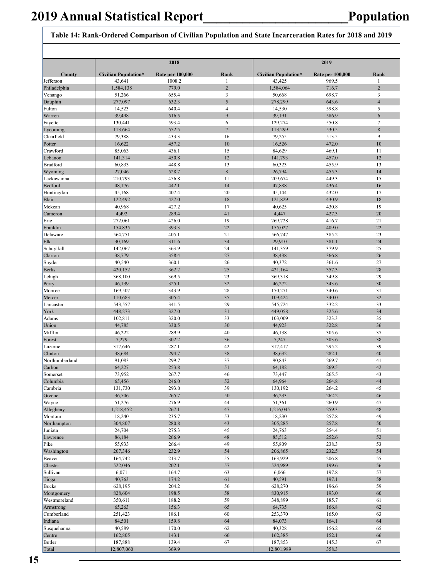#### **Table 14: Rank-Ordered Comparison of Civilian Population and State Incarceration Rates for 2018 and 2019**

|                     |                             | 2018                    |                |                             | 2019                    |                 |  |  |
|---------------------|-----------------------------|-------------------------|----------------|-----------------------------|-------------------------|-----------------|--|--|
| County              | <b>Civilian Population*</b> | <b>Rate per 100,000</b> | Rank           | <b>Civilian Population*</b> | <b>Rate per 100,000</b> | Rank            |  |  |
| Jefferson           | 43,641                      | 1008.2                  | $\mathbf{1}$   | 43,425                      | 969.5                   | -1              |  |  |
| Philadelphia        | 1,584,138                   | 779.0                   | $\overline{2}$ | 1,584,064                   | 716.7                   | $\overline{2}$  |  |  |
| Venango             | 51,266                      | 655.4                   | 3              | 50,668                      | 698.7                   | $\mathfrak{Z}$  |  |  |
| Dauphin             | 277,097                     | 632.3                   | 5              | 278,299                     | 643.6                   | $\overline{4}$  |  |  |
| Fulton              | 14,523                      | 640.4                   | $\overline{4}$ | 14,530                      | 598.8                   | 5               |  |  |
| Warren              | 39,498                      | 516.5                   | 9              | 39,191                      | 586.9                   | 6               |  |  |
| Fayette             | 130,441                     | 593.4                   | 6              | 129,274                     | 550.8                   | $7\phantom{.0}$ |  |  |
| Lycoming            | 113,664                     | 552.5                   | $\overline{7}$ | 113,299                     | 530.5                   | $\,$ 8 $\,$     |  |  |
| Clearfield          | 79,388                      | 433.3                   | 16             | 79,255                      | 513.5                   | 9               |  |  |
| Potter              | 16,622                      | 457.2                   | 10             | 16,526                      | 472.0                   | 10              |  |  |
| Crawford<br>Lebanon | 85,063<br>141,314           | 436.1<br>450.8          | 15<br>12       | 84,629                      | 469.1<br>457.0          | 11<br>12        |  |  |
| <b>Bradford</b>     | 60,833                      | 448.8                   | 13             | 141,793<br>60,323           | 455.9                   | 13              |  |  |
| Wyoming             | 27,046                      | 528.7                   | $8\phantom{1}$ | 26,794                      | 455.3                   | 14              |  |  |
| Lackawanna          | 210,793                     | 456.8                   | 11             | 209,674                     | 449.3                   | 15              |  |  |
| Bedford             | 48,176                      | 442.1                   | 14             | 47,888                      | 436.4                   | 16              |  |  |
| Huntingdon          | 45,168                      | 407.4                   | 20             | 45,144                      | 432.0                   | 17              |  |  |
| Blair               | 122,492                     | 427.0                   | 18             | 121,829                     | 430.9                   | 18              |  |  |
| Mckean              | 40,968                      | 427.2                   | 17             | 40.625                      | 430.8                   | 19              |  |  |
| Cameron             | 4,492                       | 289.4                   | 41             | 4,447                       | 427.3                   | 20              |  |  |
| Erie                | 272,061                     | 426.0                   | 19             | 269,728                     | 416.7                   | 21              |  |  |
| Franklin            | 154,835                     | 393.3                   | 22             | 155,027                     | 409.0                   | 22              |  |  |
| Delaware            | 564,751                     | 405.1                   | 21             | 566,747                     | 385.2                   | 23              |  |  |
| Elk                 | 30,169                      | 311.6                   | 34             | 29,910                      | 381.1                   | 24              |  |  |
| Schuylkill          | 142,067                     | 363.9                   | 24             | 141.359                     | 379.9                   | 25              |  |  |
| Clarion             | 38,779                      | 358.4                   | 27             | 38,438                      | 366.8                   | 26              |  |  |
| Snyder              | 40,540                      | 360.1                   | 26             | 40,372                      | 361.6                   | 27              |  |  |
| <b>Berks</b>        | 420,152                     | 362.2                   | 25             | 421,164                     | 357.3                   | 28              |  |  |
| Lehigh              | 368,100                     | 369.5                   | 23             | 369,318                     | 349.8                   | 29              |  |  |
| Perry               | 46,139                      | 325.1                   | 32             | 46,272                      | 343.6                   | 30              |  |  |
| Monroe<br>Mercer    | 169,507<br>110,683          | 343.9<br>305.4          | 28<br>35       | 170,271<br>109,424          | 340.6<br>340.0          | 31<br>32        |  |  |
| Lancaster           | 543,557                     | 341.5                   | 29             | 545,724                     | 332.2                   | 33              |  |  |
| York                | 448,273                     | 327.0                   | 31             | 449,058                     | 325.6                   | 34              |  |  |
| Adams               | 102,811                     | 320.0                   | 33             | 103,009                     | 323.3                   | 35              |  |  |
| Union               | 44,785                      | 330.5                   | 30             | 44,923                      | 322.8                   | 36              |  |  |
| Mifflin             | 46,222                      | 289.9                   | 40             | 46.138                      | 305.6                   | 37              |  |  |
| Forest              | 7,279                       | 302.2                   | 36             | 7,247                       | 303.6                   | 38              |  |  |
| Luzerne             | 317,646                     | 287.1                   | 42             | 317,417                     | 295.2                   | 39              |  |  |
| Clinton             | 38,684                      | 294.7                   | 38             | 38,632                      | 282.1                   | 40              |  |  |
| Northumberland      | 91,083                      | 299.7                   | 37             | 90,843                      | 269.7                   | 41              |  |  |
| Carbon              | 64,227                      | 253.8                   | 51             | 64,182                      | 269.5                   | 42              |  |  |
| Somerset            | 73,952                      | 267.7                   | 46             | 73,447                      | 265.5                   | 43              |  |  |
| Columbia            | 65,456                      | 246.0                   | 52             | 64,964                      | 264.8                   | 44              |  |  |
| Cambria             | 131,730                     | 293.0                   | 39             | 130,192                     | 264.2                   | 45              |  |  |
| Greene              | 36,506                      | 265.7                   | 50             | 36,233<br>51,361            | 262.2                   | 46              |  |  |
| Wayne<br>Allegheny  | 51,276<br>1,218,452         | 276.9<br>267.1          | 44<br>47       | 1,216,045                   | 260.9<br>259.3          | 47<br>48        |  |  |
| Montour             | 18,240                      | 235.7                   | 53             | 18,230                      | 257.8                   | 49              |  |  |
| Northampton         | 304,807                     | 280.8                   | 43             | 305,285                     | 257.8                   | 50              |  |  |
| Juniata             | 24,704                      | 275.3                   | 45             | 24,763                      | 254.4                   | 51              |  |  |
| Lawrence            | 86,184                      | 266.9                   | 48             | 85,512                      | 252.6                   | 52              |  |  |
| Pike                | 55,933                      | 266.4                   | 49             | 55,809                      | 238.3                   | 53              |  |  |
| Washington          | 207,346                     | 232.9                   | 54             | 206,865                     | 232.5                   | 54              |  |  |
| Beaver              | 164,742                     | 213.7                   | 55             | 163,929                     | 206.8                   | 55              |  |  |
| Chester             | 522,046                     | 202.1                   | 57             | 524,989                     | 199.6                   | 56              |  |  |
| Sullivan            | 6,071                       | 164.7                   | 63             | 6,066                       | 197.8                   | 57              |  |  |
| Tioga               | 40,763                      | 174.2                   | 61             | 40,591                      | 197.1                   | 58              |  |  |
| <b>Bucks</b>        | 628,195                     | 204.2                   | 56             | 628,270                     | 196.6                   | 59              |  |  |
| Montgomery          | 828,604                     | 198.5                   | 58             | 830,915                     | 193.0                   | 60              |  |  |
| Westmoreland        | 350,611                     | 188.2                   | 59             | 348,899                     | 185.7                   | 61              |  |  |
| Armstrong           | 65,263                      | 156.3                   | 65             | 64,735                      | 166.8                   | 62              |  |  |
| Cumberland          | 251,423                     | 186.1                   | 60             | 253,370                     | 165.0                   | 63              |  |  |
| Indiana             | 84,501                      | 159.8                   | 64             | 84,073                      | 164.1                   | 64              |  |  |
| Susquehanna         | 40,589                      | 170.0                   | 62             | 40,328                      | 156.2                   | 65              |  |  |
| Centre              | 162,805                     | 143.1                   | 66             | 162,385                     | 152.1                   | 66              |  |  |
| <b>Butler</b>       | 187,888                     | 139.4                   | 67             | 187,853                     | 145.3                   | 67              |  |  |
| Total               | 12,807,060                  | 369.9                   |                | 12,801,989                  | 358.3                   |                 |  |  |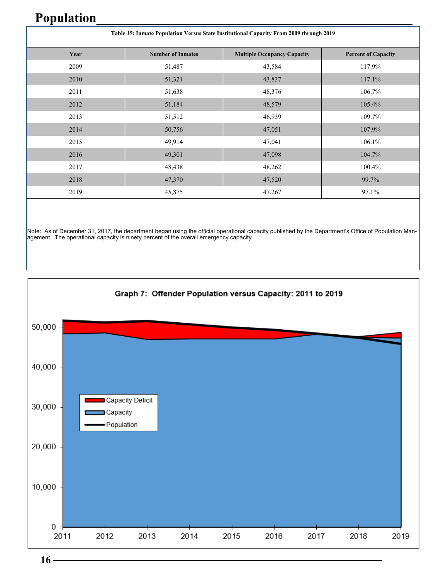### **Population\_\_\_\_\_\_\_\_\_\_\_\_\_\_\_\_\_\_\_\_\_\_\_\_\_\_\_\_\_\_\_\_\_\_\_\_\_\_\_\_\_\_\_\_\_\_\_\_**

|      | Table 15: Inmate Population Versus State Institutional Capacity From 2009 through 2019 |                                    |                            |  |  |  |  |  |  |  |  |
|------|----------------------------------------------------------------------------------------|------------------------------------|----------------------------|--|--|--|--|--|--|--|--|
|      |                                                                                        |                                    |                            |  |  |  |  |  |  |  |  |
| Year | <b>Number of Inmates</b>                                                               | <b>Multiple Occupancy Capacity</b> | <b>Percent of Capacity</b> |  |  |  |  |  |  |  |  |
| 2009 | 51,487                                                                                 | 43,584                             | 117.9%                     |  |  |  |  |  |  |  |  |
| 2010 | 51,321                                                                                 | 43,837                             | 117.1%                     |  |  |  |  |  |  |  |  |
| 2011 | 51,638                                                                                 | 48,376                             | 106.7%                     |  |  |  |  |  |  |  |  |
| 2012 | 51,184                                                                                 | 48,579                             | 105.4%                     |  |  |  |  |  |  |  |  |
| 2013 | 51,512                                                                                 | 46,939                             | 109.7%                     |  |  |  |  |  |  |  |  |
| 2014 | 50,756                                                                                 | 47,051                             | 107.9%                     |  |  |  |  |  |  |  |  |
| 2015 | 49,914                                                                                 | 47,041                             | 106.1%                     |  |  |  |  |  |  |  |  |
| 2016 | 49,301                                                                                 | 47,098                             | 104.7%                     |  |  |  |  |  |  |  |  |
| 2017 | 48,438                                                                                 | 48,262                             | 100.4%                     |  |  |  |  |  |  |  |  |
| 2018 | 47,370                                                                                 | 47,520                             | 99.7%                      |  |  |  |  |  |  |  |  |
| 2019 | 45,875                                                                                 | 47,267                             | 97.1%                      |  |  |  |  |  |  |  |  |

Note: As of December 31, 2017, the department began using the official operational capacity published by the Department's Office of Population Management. The operational capacity is ninety percent of the overall emergency capacity.



 $16 -$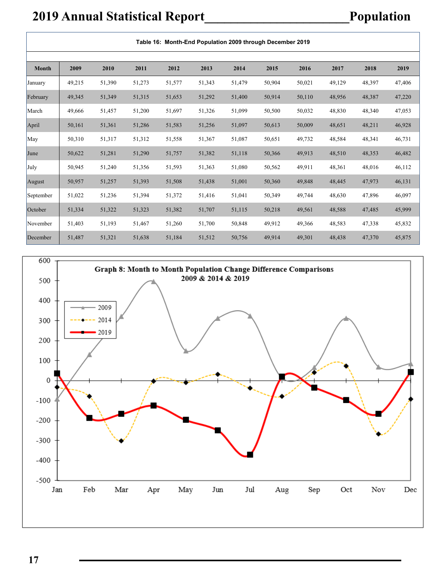### **2019 Annual Statistical Report\_\_\_\_\_\_\_\_\_\_\_\_\_\_\_\_\_\_\_\_\_\_Population**

 $\overline{1}$ 

|           |        |        |        |        |        | Table 16: Month-End Population 2009 through December 2019 |        |        |        |        |        |
|-----------|--------|--------|--------|--------|--------|-----------------------------------------------------------|--------|--------|--------|--------|--------|
| Month     | 2009   | 2010   | 2011   | 2012   | 2013   | 2014                                                      | 2015   | 2016   | 2017   | 2018   | 2019   |
| January   | 49,215 | 51,390 | 51,273 | 51,577 | 51,343 | 51,479                                                    | 50,904 | 50,021 | 49,129 | 48,397 | 47,406 |
| February  | 49,345 | 51,349 | 51,315 | 51,653 | 51,292 | 51,400                                                    | 50,914 | 50,110 | 48,956 | 48,387 | 47,220 |
| March     | 49,666 | 51,457 | 51,200 | 51,697 | 51,326 | 51,099                                                    | 50,500 | 50,032 | 48,830 | 48,340 | 47,053 |
| April     | 50,161 | 51,361 | 51,286 | 51,583 | 51,256 | 51,097                                                    | 50,613 | 50,009 | 48,651 | 48,211 | 46,928 |
| May       | 50,310 | 51,317 | 51,312 | 51,558 | 51,367 | 51,087                                                    | 50,651 | 49,732 | 48,584 | 48,341 | 46,731 |
| June      | 50,622 | 51,281 | 51,290 | 51,757 | 51,382 | 51,118                                                    | 50,366 | 49,913 | 48,510 | 48,353 | 46,482 |
| July      | 50,945 | 51,240 | 51,356 | 51,593 | 51,363 | 51,080                                                    | 50,562 | 49,911 | 48,361 | 48,016 | 46,112 |
| August    | 50,957 | 51,257 | 51,393 | 51,508 | 51,438 | 51,001                                                    | 50,360 | 49,848 | 48,445 | 47,973 | 46,131 |
| September | 51,022 | 51,236 | 51,394 | 51,372 | 51,416 | 51,041                                                    | 50,349 | 49,744 | 48,630 | 47,896 | 46,097 |
| October   | 51,334 | 51,322 | 51,323 | 51,382 | 51,707 | 51,115                                                    | 50,218 | 49,561 | 48,588 | 47,485 | 45,999 |
| November  | 51,403 | 51,193 | 51,467 | 51,260 | 51,700 | 50,848                                                    | 49,912 | 49,366 | 48,583 | 47,338 | 45,832 |
| December  | 51,487 | 51,321 | 51,638 | 51,184 | 51,512 | 50,756                                                    | 49,914 | 49,301 | 48,438 | 47,370 | 45,875 |

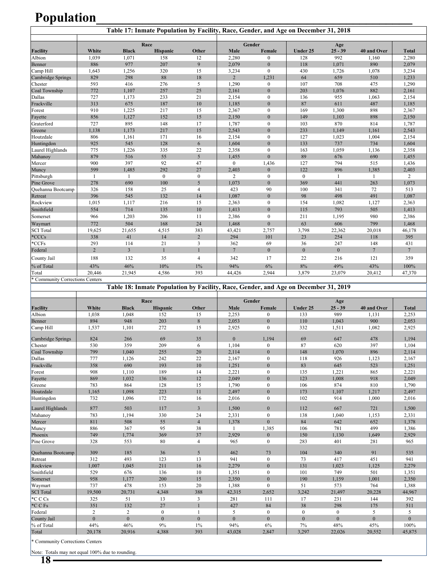### **Population\_\_\_\_\_\_\_\_\_\_\_\_\_\_\_\_\_\_\_\_\_\_\_\_\_\_\_\_\_\_\_\_\_\_\_\_\_\_\_\_\_\_\_\_\_\_\_\_**

|                                 | Table 17: Inmate Population by Facility, Race, Gender, and Age on December 31, 2018 |                |                  |                  |                 |                  |              |                  |                |                 |
|---------------------------------|-------------------------------------------------------------------------------------|----------------|------------------|------------------|-----------------|------------------|--------------|------------------|----------------|-----------------|
|                                 |                                                                                     |                | Race             |                  |                 | Gender           |              |                  |                |                 |
| Facility                        | White                                                                               | <b>Black</b>   | Hispanic         | Other            | Male            | Female           | Under 25     | Age<br>$25 - 39$ | 40 and Over    | <b>Total</b>    |
| Albion                          | 1,039                                                                               | 1.071          | 158              | 12               | 2,280           | $\mathbf{0}$     | 128          | 992              | 1,160          | 2,280           |
| Benner                          | 886                                                                                 | 977            | 207              | 9                | 2,079           | $\mathbf{0}$     | 118          | 1,071            | 890            | 2,079           |
| Camp Hill                       | 1,643                                                                               | 1,256          | 320              | 15               | 3,234           | $\mathbf{0}$     | 430          | 1,726            | 1,078          | 3,234           |
| Cambridge Springs               | 829                                                                                 | 298            | 88               | $18\,$           | $\overline{2}$  | 1,231            | 64           | 659              | 510            | 1,233           |
| Chester                         | 593                                                                                 | 416            | 276              | 5                | 1,290           | $\boldsymbol{0}$ | 107          | 708              | 475            | 1,290           |
| Coal Township                   | 772                                                                                 | 1,107          | 257              | 25               | 2,161           | $\mathbf{0}$     | 203          | 1,076            | 882            | 2,161           |
| Dallas                          | 727                                                                                 | 1,173          | 233              | 21               | 2,154           | $\mathbf{0}$     | 136          | 955              | 1,063          | 2,154           |
| Frackville                      | 313                                                                                 | 675            | 187              | 10               | 1,185           | $\mathbf{0}$     | 87           | 611              | 487            | 1,185           |
| Forest                          | 910                                                                                 | 1,225          | 217              | 15               | 2,367           | $\mathbf{0}$     | 169          | 1,300            | 898            | 2,367           |
| Fayette                         | 856                                                                                 | 1,127          | 152              | 15               | 2,150           | $\mathbf{0}$     | 149          | 1,103            | 898            | 2,150           |
| Graterford                      | 727                                                                                 | 895            | 148              | 17               | 1,787           | $\mathbf{0}$     | 103          | 870              | 814            | 1,787           |
| Greene                          | 1,138                                                                               | 1,173          | 217              | 15               | 2,543           | $\mathbf{0}$     | 233          | 1,149            | 1,161          | 2,543           |
| Houtzdale                       | 806                                                                                 | 1,161          | 171              | 16               | 2,154           | $\mathbf{0}$     | 127          | 1,023            | 1,004          | 2,154           |
| Huntingdon                      | 925                                                                                 | 545            | 128              | 6                | 1,604           | $\mathbf{0}$     | 133          | 737              | 734            | 1,604           |
| Laurel Highlands                | 775                                                                                 | 1,226          | 335              | 22               | 2,358           | $\mathbf{0}$     | 163          | 1,059            | 1,136          | 2,358           |
| Mahanoy                         | 879                                                                                 | 516            | 55               | 5                | 1,455           | $\theta$         | 89           | 676              | 690            | 1,455           |
| Mercer                          | 900                                                                                 | 397            | 92               | 47               | $\overline{0}$  | 1,436            | 127          | 794              | 515            | 1,436           |
| Muncy                           | 599                                                                                 | 1,485          | 292              | 27               | 2,403           | $\mathbf{0}$     | 122          | 896              | 1,385          | 2,403           |
| Pittsburgh                      | 1                                                                                   | -1             | $\boldsymbol{0}$ | $\boldsymbol{0}$ | $\overline{c}$  | $\mathbf{0}$     | $\mathbf{0}$ |                  | -1             | $\overline{2}$  |
| Pine Grove                      | 278                                                                                 | 690            | 100              | 5                | 1,073           | $\mathbf{0}$     | 369          | 441              | 263            | 1,073           |
| Quehanna Bootcamp               | 326                                                                                 | 158            | 25               | $\overline{4}$   | 423             | 90               | 100          | 341              | 72             | 513             |
| Retreat                         | 396                                                                                 | 545            | 132              | 14               | 1,087           | $\mathbf{0}$     | 98           | 498              | 491            | 1,087           |
| Rockview                        | 1,015                                                                               | 1,117          | 216              | 15               | 2,363           | $\mathbf{0}$     | 154          | 1,082            | 1,127          | 2,363           |
| Smithfield                      | 554                                                                                 | 714            | 135              | 10               | 1,413           | $\mathbf{0}$     | 115          | 793              | 505            | 1,413           |
| Somerset                        | 966                                                                                 | 1,203          | 206              | 11               | 2,386           | $\mathbf{0}$     | 211          | 1,195            | 980            | 2,386           |
| Waymart                         | 772                                                                                 | 504            | 168              | 24               | 1,468           | $\mathbf{0}$     | 63           | 606              | 799            | 1,468           |
| <b>SCI</b> Total                | 19,625                                                                              | 21,655         | 4,515            | 383              | 43,421          | 2,757            | 3,798        | 22,362           | 20,018         | 46,178          |
| $*CCCs$                         | 338                                                                                 | 41             | 14               | $\sqrt{2}$       | 294             | 101              | 23           | 254              | 118            | 395             |
| $*CCFs$                         | 293                                                                                 | 114            | 21               | $\overline{3}$   | 362             | 69               | 36           | 247              | 148            | 431             |
| Federal                         | $\overline{2}$                                                                      | $\overline{3}$ | $\mathbf{1}$     | $\mathbf{1}$     | $7\phantom{.0}$ | $\mathbf{0}$     | $\mathbf{0}$ | $\overline{0}$   | $\overline{7}$ | $7\phantom{.0}$ |
| County Jail                     | 188                                                                                 | 132            | 35               | $\overline{4}$   | 342             | 17               | 22           | 216              | 121            | 359             |
| % of Total                      | 43%                                                                                 | 46%            | 10%              | $1\%$            | 94%             | 6%               | 8%           | 49%              | 43%            | 100%            |
| Total                           | 20,446                                                                              | 21,945         | 4,586            | 393              | 44,426          | 2,944            | 3,879        | 23,079           | 20,412         | 47,370          |
| * Community Corrections Centers |                                                                                     |                |                  |                  |                 |                  |              |                  |                |                 |

**Table 18: Inmate Population by Facility, Race, Gender, and Age on December 31, 2019** 

|                   |          |              | Race            |                | Gender<br>Age |                |              |                |             |              |
|-------------------|----------|--------------|-----------------|----------------|---------------|----------------|--------------|----------------|-------------|--------------|
| Facility          | White    | <b>Black</b> | <b>Hispanic</b> | Other          | Male          | Female         | Under 25     | $25 - 39$      | 40 and Over | <b>Total</b> |
| Albion            | 1.038    | 1.048        | 152             | 15             | 2,253         | $\mathbf{0}$   | 133          | 989            | 1,131       | 2,253        |
| Benner            | 894      | 948          | 203             | 8              | 2,053         | $\Omega$       | 110          | 1,043          | 900         | 2,053        |
| Camp Hill         | 1.537    | 1,101        | 272             | 15             | 2,925         | $\mathbf{0}$   | 332          | 1,511          | 1,082       | 2,925        |
| Cambridge Springs | 824      | 266          | 69              | 35             | $\Omega$      | 1.194          | 69           | 647            | 478         | 1,194        |
| Chester           | 530      | 359          | 209             | 6              | 1.104         | $\mathbf{0}$   | 87           | 620            | 397         | 1.104        |
| Coal Township     | 799      | 1,040        | 255             | 20             | 2,114         | $\Omega$       | 148          | 1,070          | 896         | 2,114        |
| Dallas            | 777      | 1,126        | 242             | 22             | 2,167         | $\mathbf{0}$   | 118          | 926            | 1,123       | 2,167        |
| Frackville        | 358      | 690          | 193             | 10             | 1,251         | $\mathbf{0}$   | 83           | 645            | 523         | 1,251        |
| Forest            | 908      | 1,110        | 189             | 14             | 2,221         | $\theta$       | 135          | 1,221          | 865         | 2,221        |
| Fayette           | 869      | 1,032        | 136             | 12             | 2,049         | $\mathbf{0}$   | 123          | 1,008          | 918         | 2,049        |
| Greene            | 783      | 864          | 128             | 15             | 1,790         | $\mathbf{0}$   | 106          | 874            | 810         | 1,790        |
| Houtzdale         | 1,165    | 1,098        | 223             | 11             | 2,497         | $\Omega$       | 173          | 1,107          | 1,217       | 2,497        |
| Huntingdon        | 732      | 1,096        | 172             | 16             | 2,016         | $\mathbf{0}$   | 102          | 914            | 1,000       | 2,016        |
| Laurel Highlands  | 877      | 503          | 117             | 3              | 1,500         | $\mathbf{0}$   | 112          | 667            | 721         | 1,500        |
| Mahanoy           | 783      | 1,194        | 330             | 24             | 2,331         | $\mathbf{0}$   | 138          | 1,040          | 1,153       | 2,331        |
| Mercer            | 811      | 508          | 55              | $\overline{4}$ | 1,378         | $\Omega$       | 84           | 642            | 652         | 1,378        |
| Muncy             | 886      | 367          | 95              | 38             |               | 1,385          | 106          | 781            | 499         | 1,386        |
| Phoenix           | 749      | 1,774        | 369             | 37             | 2,929         | $\overline{0}$ | 150          | 1,130          | 1,649       | 2,929        |
| Pine Grove        | 328      | 553          | 80              | 4              | 965           | $\mathbf{0}$   | 283          | 401            | 281         | 965          |
| Quehanna Bootcamp | 309      | 185          | 36              | 5              | 462           | 73             | 104          | 340            | 91          | 535          |
| Retreat           | 312      | 493          | 123             | 13             | 941           | $\mathbf{0}$   | 73           | 417            | 451         | 941          |
| Rockview          | 1,007    | 1,045        | 211             | 16             | 2,279         | $\Omega$       | 131          | 1,023          | 1,125       | 2,279        |
| Smithfield        | 529      | 676          | 136             | 10             | 1,351         | $\mathbf{0}$   | 101          | 749            | 501         | 1,351        |
| Somerset          | 958      | 1,177        | 200             | 15             | 2,350         | $\Omega$       | 190          | 1,159          | 1,001       | 2,350        |
| Waymart           | 737      | 478          | 153             | 20             | 1,388         | $\mathbf{0}$   | 51           | 573            | 764         | 1,388        |
| <b>SCI</b> Total  | 19,500   | 20,731       | 4,348           | 388            | 42,315        | 2,652          | 3,242        | 21,497         | 20,228      | 44,967       |
| *CCCs             | 325      | 51           | 13              | 3              | 281           | 111            | 17           | 231            | 144         | 392          |
| $\vert$ *CCFs     | 351      | 132          | 27              |                | 427           | 84             | 38           | 298            | 175         | 511          |
| Federal           | 2        | 2            | $\mathbf{0}$    | 1              | 5             | $\mathbf{0}$   | $\mathbf{0}$ | $\mathbf{0}$   | 5           | 5            |
| County Jail       | $\theta$ | $\mathbf{0}$ | $\mathbf{0}$    | $\mathbf{0}$   | $\mathbf{0}$  | $\mathbf{0}$   | $\theta$     | $\overline{0}$ | $\Omega$    | $\theta$     |
| % of Total        | 44%      | 46%          | 9%              | $1\%$          | 94%           | 6%             | 7%           | 48%            | 45%         | 100%         |
| Total             | 20,178   | 20,916       | 4,388           | 393            | 43,028        | 2,847          | 3,297        | 22,026         | 20,552      | 45,875       |

\* Community Corrections Centers

Note: Totals may not equal 100% due to rounding.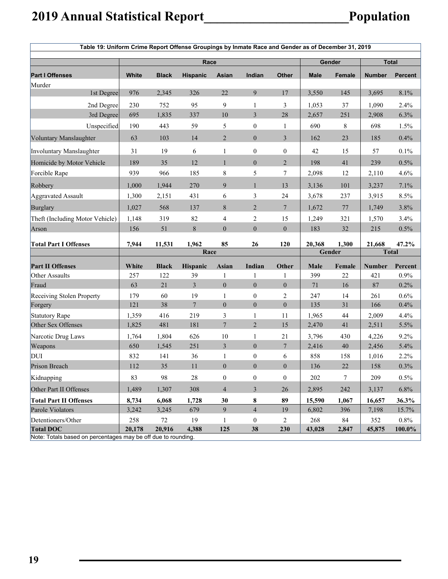|                                                                                   | Table 19: Uniform Crime Report Offense Groupings by Inmate Race and Gender as of December 31, 2019 |              |                 |                  |                  |                  |             |               |               |                |
|-----------------------------------------------------------------------------------|----------------------------------------------------------------------------------------------------|--------------|-----------------|------------------|------------------|------------------|-------------|---------------|---------------|----------------|
|                                                                                   |                                                                                                    |              | Race            |                  |                  |                  |             | Gender        |               | <b>Total</b>   |
| <b>Part I Offenses</b>                                                            | White                                                                                              | <b>Black</b> | <b>Hispanic</b> | Asian            | Indian           | <b>Other</b>     | <b>Male</b> | <b>Female</b> | <b>Number</b> | <b>Percent</b> |
| Murder                                                                            |                                                                                                    |              |                 |                  |                  |                  |             |               |               |                |
| 1st Degree                                                                        | 976                                                                                                | 2,345        | 326             | 22               | 9                | 17               | 3,550       | 145           | 3,695         | 8.1%           |
| 2nd Degree                                                                        | 230                                                                                                | 752          | 95              | 9                | $\mathbf{1}$     | 3                | 1,053       | 37            | 1,090         | 2.4%           |
| 3rd Degree                                                                        | 695                                                                                                | 1,835        | 337             | 10               | $\mathfrak{Z}$   | 28               | 2,657       | 251           | 2,908         | 6.3%           |
| Unspecified                                                                       | 190                                                                                                | 443          | 59              | 5                | $\boldsymbol{0}$ | 1                | 690         | 8             | 698           | 1.5%           |
| Voluntary Manslaughter                                                            | 63                                                                                                 | 103          | 14              | $\overline{2}$   | $\overline{0}$   | $\overline{3}$   | 162         | 23            | 185           | 0.4%           |
| Involuntary Manslaughter                                                          | 31                                                                                                 | 19           | 6               | $\mathbf{1}$     | $\theta$         | $\boldsymbol{0}$ | 42          | 15            | 57            | 0.1%           |
| Homicide by Motor Vehicle                                                         | 189                                                                                                | 35           | 12              | $\mathbf{1}$     | $\theta$         | $\overline{2}$   | 198         | 41            | 239           | 0.5%           |
| Forcible Rape                                                                     | 939                                                                                                | 966          | 185             | $\,$ $\,$        | 5                | 7                | 2,098       | 12            | 2,110         | 4.6%           |
| Robbery                                                                           | 1,000                                                                                              | 1,944        | 270             | 9                | $\mathbf{1}$     | 13               | 3,136       | 101           | 3,237         | 7.1%           |
| Aggravated Assault                                                                | 1,300                                                                                              | 2,151        | 431             | 6                | 3                | 24               | 3,678       | 237           | 3,915         | 8.5%           |
| Burglary                                                                          | 1,027                                                                                              | 568          | 137             | $\,$ 8 $\,$      | $\overline{2}$   | $7\phantom{.0}$  | 1,672       | $77\,$        | 1,749         | 3.8%           |
| Theft (Including Motor Vehicle)                                                   | 1,148                                                                                              | 319          | 82              | $\overline{4}$   | $\overline{c}$   | 15               | 1,249       | 321           | 1,570         | 3.4%           |
| Arson                                                                             | 156                                                                                                | 51           | $\,$ 8 $\,$     | $\mathbf{0}$     | $\overline{0}$   | $\mathbf{0}$     | 183         | 32            | 215           | 0.5%           |
| <b>Total Part I Offenses</b>                                                      | 7,944                                                                                              | 11,531       | 1,962           | 85               | 26               | 120              | 20,368      | 1,300         | 21,668        | 47.2%          |
|                                                                                   |                                                                                                    |              | Race            |                  |                  |                  |             | Gender        | <b>Total</b>  |                |
| <b>Part II Offenses</b>                                                           | White                                                                                              | <b>Black</b> | Hispanic        | <b>Asian</b>     | Indian           | Other            | Male        | Female        | Number        | Percent        |
| Other Assaults                                                                    | 257                                                                                                | 122          | 39              | 1                | 1                | 1                | 399         | 22            | 421           | 0.9%           |
| Fraud                                                                             | 63                                                                                                 | 21           | 3               | $\overline{0}$   | $\mathbf{0}$     | $\mathbf{0}$     | 71          | 16            | 87            | 0.2%           |
| Receiving Stolen Property                                                         | 179                                                                                                | 60           | 19              | $\mathbf{1}$     | $\boldsymbol{0}$ | 2                | 247         | 14            | 261           | 0.6%           |
| Forgery                                                                           | 121                                                                                                | 38           | $7\phantom{.0}$ | $\mathbf{0}$     | $\overline{0}$   | $\mathbf{0}$     | 135         | 31            | 166           | 0.4%           |
| Statutory Rape                                                                    | 1,359                                                                                              | 416          | 219             | 3                | 1                | 11               | 1,965       | 44            | 2,009         | 4.4%           |
| Other Sex Offenses                                                                | 1,825                                                                                              | 481          | 181             | $7\phantom{.0}$  | $\overline{2}$   | 15               | 2,470       | 41            | 2,511         | 5.5%           |
| Narcotic Drug Laws                                                                | 1,764                                                                                              | 1,804        | 626             | 10               | $\mathbf{1}$     | 21               | 3,796       | 430           | 4,226         | 9.2%           |
| Weapons                                                                           | 650                                                                                                | 1,545        | 251             | $\mathfrak{Z}$   | $\mathbf{0}$     | 7                | 2,416       | 40            | 2,456         | 5.4%           |
| DUI                                                                               | 832                                                                                                | 141          | 36              | $\mathbf{1}$     | $\boldsymbol{0}$ | 6                | 858         | 158           | 1,016         | 2.2%           |
| Prison Breach                                                                     | 112                                                                                                | 35           | 11              | $\boldsymbol{0}$ | $\boldsymbol{0}$ | $\boldsymbol{0}$ | 136         | 22            | 158           | 0.3%           |
| Kidnapping                                                                        | 83                                                                                                 | 98           | $28\,$          | $\boldsymbol{0}$ | $\boldsymbol{0}$ | $\boldsymbol{0}$ | 202         | 7             | 209           | 0.5%           |
| Other Part II Offenses                                                            | 1,489                                                                                              | 1,307        | 308             | $\overline{4}$   | $\mathfrak{Z}$   | 26               | 2,895       | 242           | 3,137         | 6.8%           |
| <b>Total Part II Offenses</b>                                                     | 8,734                                                                                              | 6,068        | 1,728           | 30               | 8                | 89               | 15,590      | 1,067         | 16,657        | 36.3%          |
| Parole Violators                                                                  | 3,242                                                                                              | 3,245        | 679             | 9                | $\overline{4}$   | 19               | 6,802       | 396           | 7,198         | 15.7%          |
| Detentioners/Other                                                                | 258                                                                                                | $72\,$       | 19              | $\mathbf{1}$     | $\boldsymbol{0}$ | 2                | 268         | 84            | 352           | $0.8\%$        |
| <b>Total DOC</b><br>Note: Totals based on percentages may be off due to rounding. | 20,178                                                                                             | 20,916       | 4,388           | 125              | 38               | 230              | 43,028      | 2,847         | 45,875        | 100.0%         |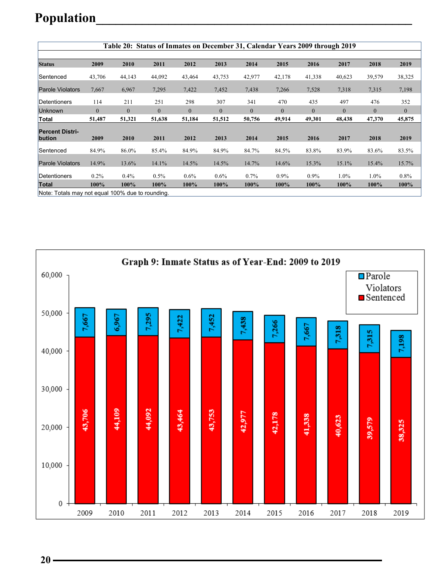### **Population\_\_\_\_\_\_\_\_\_\_\_\_\_\_\_\_\_\_\_\_\_\_\_\_\_\_\_\_\_\_\_\_\_\_\_\_\_\_\_\_\_\_\_\_\_\_\_\_**

|                                                  |          | Table 20: Status of Inmates on December 31, Calendar Years 2009 through 2019 |                |                |              |                |                |                |                |              |              |
|--------------------------------------------------|----------|------------------------------------------------------------------------------|----------------|----------------|--------------|----------------|----------------|----------------|----------------|--------------|--------------|
|                                                  |          |                                                                              |                |                |              |                |                |                |                |              |              |
| <b>Status</b>                                    | 2009     | 2010                                                                         | 2011           | 2012           | 2013         | 2014           | 2015           | 2016           | 2017           | 2018         | 2019         |
| Sentenced                                        | 43,706   | 44,143                                                                       | 44,092         | 43,464         | 43,753       | 42,977         | 42,178         | 41,338         | 40,623         | 39,579       | 38,325       |
| <b>Parole Violators</b>                          | 7,667    | 6,967                                                                        | 7,295          | 7,422          | 7,452        | 7,438          | 7,266          | 7,528          | 7,318          | 7,315        | 7,198        |
| Detentioners                                     | 114      | 211                                                                          | 251            | 298            | 307          | 341            | 470            | 435            | 497            | 476          | 352          |
| <b>Unknown</b>                                   | $\theta$ | $\overline{0}$                                                               | $\overline{0}$ | $\overline{0}$ | $\mathbf{0}$ | $\overline{0}$ | $\overline{0}$ | $\overline{0}$ | $\overline{0}$ | $\mathbf{0}$ | $\mathbf{0}$ |
| Total                                            | 51,487   | 51,321                                                                       | 51,638         | 51,184         | 51,512       | 50,756         | 49,914         | 49,301         | 48,438         | 47,370       | 45,875       |
| <b>Percent Distri-</b><br>bution                 | 2009     | 2010                                                                         | 2011           | 2012           | 2013         | 2014           | 2015           | 2016           | 2017           | 2018         | 2019         |
| Sentenced                                        | 84.9%    | 86.0%                                                                        | 85.4%          | 84.9%          | 84.9%        | 84.7%          | 84.5%          | 83.8%          | 83.9%          | 83.6%        | 83.5%        |
| <b>Parole Violators</b>                          | 14.9%    | 13.6%                                                                        | 14.1%          | 14.5%          | 14.5%        | 14.7%          | 14.6%          | 15.3%          | 15.1%          | 15.4%        | 15.7%        |
| Detentioners                                     | $0.2\%$  | $0.4\%$                                                                      | $0.5\%$        | $0.6\%$        | $0.6\%$      | 0.7%           | $0.9\%$        | $0.9\%$        | 1.0%           | 1.0%         | $0.8\%$      |
| <b>Total</b>                                     | 100%     | 100%                                                                         | 100%           | 100%           | $100\%$      | 100%           | 100%           | 100%           | 100%           | 100%         | 100%         |
| Note: Totals may not equal 100% due to rounding. |          |                                                                              |                |                |              |                |                |                |                |              |              |

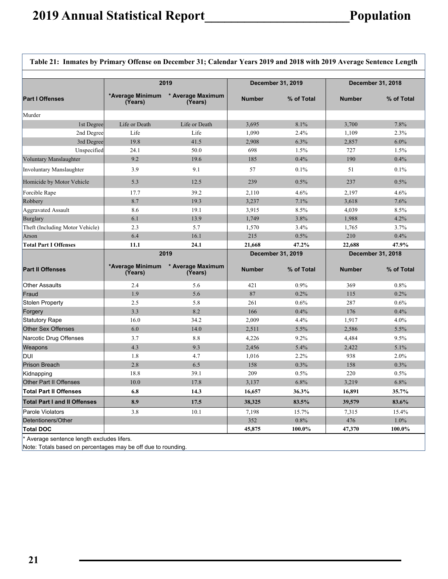|                                     | 2019                        |                              |               | December 31, 2019 |               | December 31, 2018 |
|-------------------------------------|-----------------------------|------------------------------|---------------|-------------------|---------------|-------------------|
| <b>Part I Offenses</b>              | *Average Minimum<br>(Years) | * Average Maximum<br>(Years) | <b>Number</b> | % of Total        | <b>Number</b> | % of Total        |
| Murder                              |                             |                              |               |                   |               |                   |
| 1st Degree                          | Life or Death               | Life or Death                | 3,695         | 8.1%              | 3,700         | 7.8%              |
| 2nd Degree                          | Life                        | Life                         | 1,090         | 2.4%              | 1,109         | 2.3%              |
| 3rd Degree                          | 19.8                        | 41.5                         | 2,908         | 6.3%              | 2,857         | 6.0%              |
| Unspecified                         | 24.1                        | 50.0                         | 698           | 1.5%              | 727           | 1.5%              |
| Voluntary Manslaughter              | 9.2                         | 19.6                         | 185           | 0.4%              | 190           | 0.4%              |
| Involuntary Manslaughter            | 3.9                         | 9.1                          | 57            | 0.1%              | 51            | 0.1%              |
| Homicide by Motor Vehicle           | 5.3                         | 12.5                         | 239           | 0.5%              | 237           | 0.5%              |
| Forcible Rape                       | 17.7                        | 39.2                         | 2,110         | 4.6%              | 2,197         | 4.6%              |
| Robbery                             | 8.7                         | 19.3                         | 3,237         | 7.1%              | 3,618         | 7.6%              |
| Aggravated Assault                  | 8.6                         | 19.1                         | 3,915         | 8.5%              | 4,039         | 8.5%              |
| Burglary                            | 6.1                         | 13.9                         | 1,749         | 3.8%              | 1,988         | 4.2%              |
| Theft (Including Motor Vehicle)     | 2.3                         | 5.7                          | 1,570         | 3.4%              | 1,765         | 3.7%              |
| Arson                               | 6.4                         | 16.1                         | 215           | 0.5%              | 210           | 0.4%              |
| <b>Total Part I Offenses</b>        | 11.1                        | 24.1                         | 21,668        | 47.2%             | 22,688        | 47.9%             |
|                                     | 2019                        |                              |               | December 31, 2019 |               | December 31, 2018 |
| <b>Part II Offenses</b>             | *Average Minimum<br>(Years) | * Average Maximum<br>(Years) | <b>Number</b> | % of Total        | <b>Number</b> | % of Total        |
| <b>Other Assaults</b>               | 2.4                         | 5.6                          | 421           | 0.9%              | 369           | 0.8%              |
| Fraud                               | 1.9                         | 5.6                          | 87            | 0.2%              | 115           | 0.2%              |
| <b>Stolen Property</b>              | 2.5                         | 5.8                          | 261           | 0.6%              | 287           | 0.6%              |
| Forgery                             | 3.3                         | 8.2                          | 166           | 0.4%              | 176           | 0.4%              |
| <b>Statutory Rape</b>               | 16.0                        | 34.2                         | 2,009         | 4.4%              | 1,917         | 4.0%              |
| <b>Other Sex Offenses</b>           | 6.0                         | 14.0                         | 2,511         | 5.5%              | 2,586         | 5.5%              |
| Narcotic Drug Offenses              | 3.7                         | 8.8                          | 4,226         | 9.2%              | 4,484         | 9.5%              |
| Weapons                             | 4.3                         | 9.3                          | 2,456         | 5.4%              | 2,422         | 5.1%              |
| DUI                                 | 1.8                         | 4.7                          | 1,016         | 2.2%              | 938           | 2.0%              |
| <b>Prison Breach</b>                | 2.8                         | 6.5                          | 158           | 0.3%              | 158           | 0.3%              |
| Kidnapping                          | 18.8                        | 39.1                         | 209           | 0.5%              | 220           | 0.5%              |
| <b>Other Part II Offenses</b>       | 10.0                        | 17.8                         | 3,137         | 6.8%              | 3,219         | 6.8%              |
| <b>Total Part II Offenses</b>       | 6.8                         | 14.3                         | 16,657        | 36.3%             | 16,891        | 35.7%             |
| <b>Total Part I and II Offenses</b> | 8.9                         | 17.5                         | 38,325        | 83.5%             | 39,579        | 83.6%             |
| Parole Violators                    | 3.8                         | 10.1                         | 7,198         | 15.7%             | 7,315         | 15.4%             |
| Detentioners/Other                  |                             |                              | 352           | 0.8%              | 476           | 1.0%              |
|                                     |                             |                              |               |                   |               |                   |

\* Average sentence length excludes lifers.

Note: Totals based on percentages may be off due to rounding.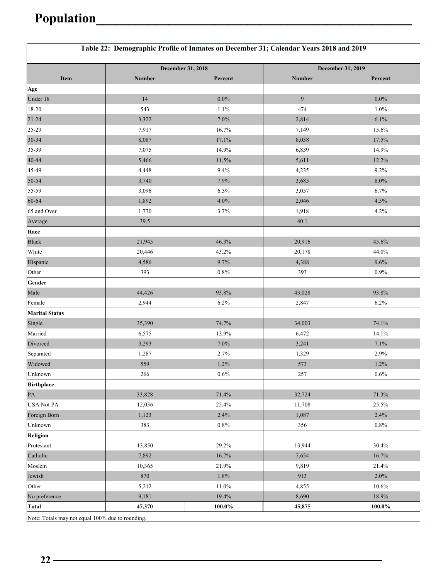|                                                  | Table 22: Demographic Profile of Inmates on December 31; Calendar Years 2018 and 2019 |                   |                |                   |
|--------------------------------------------------|---------------------------------------------------------------------------------------|-------------------|----------------|-------------------|
|                                                  |                                                                                       | December 31, 2018 |                | December 31, 2019 |
| Item                                             | Number                                                                                | Percent           | Number         | Percent           |
| Age                                              |                                                                                       |                   |                |                   |
| Under 18                                         | 14                                                                                    | $0.0\%$           | $\overline{9}$ | $0.0\%$           |
| $18-20$                                          | 543                                                                                   | 1.1%              | 474            | 1.0%              |
| $21 - 24$                                        | 3,322                                                                                 | $7.0\%$           | 2,814          | 6.1%              |
| $25-29$                                          | 7,917                                                                                 | 16.7%             | 7,149          | 15.6%             |
| $30 - 34$                                        | 8,087                                                                                 | 17.1%             | 8,038          | 17.5%             |
| $35-39$                                          | 7,075                                                                                 | 14.9%             | 6,839          | 14.9%             |
| $40 - 44$                                        | 5,466                                                                                 | 11.5%             | 5,611          | 12.2%             |
| 45-49                                            | 4,448                                                                                 | 9.4%              | 4,235          | 9.2%              |
| $50 - 54$                                        | 3,740                                                                                 | 7.9%              | 3,685          | $8.0\%$           |
| 55-59                                            | 3,096                                                                                 | 6.5%              | 3,057          | 6.7%              |
| 60-64                                            | 1,892                                                                                 | 4.0%              | 2,046          | 4.5%              |
| 65 and Over                                      | 1,770                                                                                 | 3.7%              | 1,918          | 4.2%              |
| Average                                          | 39.5                                                                                  |                   | 40.1           |                   |
| Race                                             |                                                                                       |                   |                |                   |
| <b>Black</b>                                     | 21,945                                                                                | 46.3%             | 20,916         | 45.6%             |
| White                                            | 20,446                                                                                | 43.2%             | 20,178         | 44.0%             |
| Hispanic                                         | 4,586                                                                                 | 9.7%              | 4,388          | 9.6%              |
| Other                                            | 393                                                                                   | $0.8\%$           | 393            | 0.9%              |
| Gender                                           |                                                                                       |                   |                |                   |
| Male                                             | 44,426                                                                                | 93.8%             | 43,028         | 93.8%             |
| Female                                           | 2,944                                                                                 | 6.2%              | 2,847          | 6.2%              |
| <b>Marital Status</b>                            |                                                                                       |                   |                |                   |
| Single                                           | 35,390                                                                                | 74.7%             | 34,003         | 74.1%             |
| Married                                          | 6,575                                                                                 | 13.9%             | 6,472          | 14.1%             |
| Divorced                                         | 3,293                                                                                 | 7.0%              | 3,241          | 7.1%              |
| Separated                                        | 1,287                                                                                 | 2.7%              | 1,329          | 2.9%              |
| Widowed                                          | 559                                                                                   | 1.2%              | 573            | 1.2%              |
| Unknown                                          | 266                                                                                   | $0.6\%$           | 257            | $0.6\%$           |
| Birthplace                                       |                                                                                       |                   |                |                   |
| PA                                               | 33,828                                                                                | 71.4%             | 32,724         | 71.3%             |
| USA Not PA                                       | 12,036                                                                                | 25.4%             | 11,708         | 25.5%             |
| Foreign Born                                     | 1,123                                                                                 | 2.4%              | 1,087          | 2.4%              |
| Unknown                                          | 383                                                                                   | $0.8\%$           | 356            | 0.8%              |
| Religion                                         |                                                                                       |                   |                |                   |
| Protestant                                       | 13,850                                                                                | 29.2%             | 13,944         | 30.4%             |
| Catholic                                         | 7,892                                                                                 | 16.7%             | 7,654          | 16.7%             |
| Moslem                                           | 10,365                                                                                | 21.9%             | 9,819          | 21.4%             |
| Jewish                                           | 870                                                                                   | $1.8\%$           | 913            | 2.0%              |
| Other                                            | 5,212                                                                                 | 11.0%             | 4,855          | 10.6%             |
| No preference                                    | 9,181                                                                                 | 19.4%             | 8,690          | 18.9%             |
| Total                                            | 47,370                                                                                | 100.0%            | 45,875         | 100.0%            |
| Note: Totals may not equal 100% due to rounding. |                                                                                       |                   |                |                   |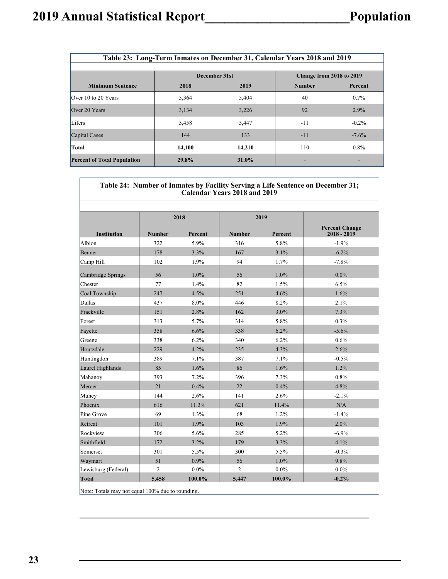'n

| Table 23: Long-Term Inmates on December 31, Calendar Years 2018 and 2019 |        |               |                          |          |  |  |  |  |
|--------------------------------------------------------------------------|--------|---------------|--------------------------|----------|--|--|--|--|
|                                                                          |        | December 31st | Change from 2018 to 2019 |          |  |  |  |  |
| <b>Minimum Sentence</b>                                                  | 2018   | 2019          | <b>Number</b>            | Percent  |  |  |  |  |
| Over 10 to 20 Years                                                      | 5,364  | 5,404         | 40                       | $0.7\%$  |  |  |  |  |
| Over 20 Years                                                            | 3,134  | 3,226         | 92                       | 2.9%     |  |  |  |  |
| Lifers                                                                   | 5,458  | 5,447         | $-11$                    | $-0.2\%$ |  |  |  |  |
| Capital Cases                                                            | 144    | 133           | $-11$                    | $-7.6\%$ |  |  |  |  |
| Total                                                                    | 14.100 | 14,210        | 110                      | $0.8\%$  |  |  |  |  |
| <b>Percent of Total Population</b>                                       | 29.8%  | 31.0%         |                          |          |  |  |  |  |

|                                                  |                |         | <b>Calendar Years 2018 and 2019</b> |         | Table 24: Number of Inmates by Facility Serving a Life Sentence on December 31; |
|--------------------------------------------------|----------------|---------|-------------------------------------|---------|---------------------------------------------------------------------------------|
|                                                  |                |         |                                     |         |                                                                                 |
|                                                  |                | 2018    |                                     | 2019    |                                                                                 |
| <b>Institution</b>                               | <b>Number</b>  | Percent | <b>Number</b>                       | Percent | <b>Percent Change</b><br>$2018 - 2019$                                          |
| Albion                                           | 322            | 5.9%    | 316                                 | 5.8%    | $-1.9%$                                                                         |
| Benner                                           | 178            | 3.3%    | 167                                 | 3.1%    | $-6.2%$                                                                         |
| Camp Hill                                        | 102            | 1.9%    | 94                                  | 1.7%    | $-7.8%$                                                                         |
| Cambridge Springs                                | 56             | 1.0%    | 56                                  | 1.0%    | $0.0\%$                                                                         |
| Chester                                          | 77             | 1.4%    | 82                                  | 1.5%    | 6.5%                                                                            |
| Coal Township                                    | 247            | 4.5%    | 251                                 | 4.6%    | 1.6%                                                                            |
| Dallas                                           | 437            | 8.0%    | 446                                 | 8.2%    | 2.1%                                                                            |
| Frackville                                       | 151            | 2.8%    | 162                                 | 3.0%    | 7.3%                                                                            |
| Forest                                           | 313            | 5.7%    | 314                                 | 5.8%    | 0.3%                                                                            |
| Fayette                                          | 358            | 6.6%    | 338                                 | 6.2%    | $-5.6%$                                                                         |
| Greene                                           | 338            | 6.2%    | 340                                 | 6.2%    | 0.6%                                                                            |
| Houtzdale                                        | 229            | 4.2%    | 235                                 | 4.3%    | 2.6%                                                                            |
| Huntingdon                                       | 389            | 7.1%    | 387                                 | 7.1%    | $-0.5%$                                                                         |
| Laurel Highlands                                 | 85             | 1.6%    | 86                                  | 1.6%    | 1.2%                                                                            |
| Mahanoy                                          | 393            | 7.2%    | 396                                 | 7.3%    | 0.8%                                                                            |
| Mercer                                           | 21             | 0.4%    | 22                                  | 0.4%    | 4.8%                                                                            |
| Muncy                                            | 144            | 2.6%    | 141                                 | 2.6%    | $-2.1%$                                                                         |
| Phoenix                                          | 616            | 11.3%   | 621                                 | 11.4%   | N/A                                                                             |
| Pine Grove                                       | 69             | 1.3%    | 68                                  | 1.2%    | $-1.4%$                                                                         |
| Retreat                                          | 101            | 1.9%    | 103                                 | 1.9%    | 2.0%                                                                            |
| Rockview                                         | 306            | 5.6%    | 285                                 | 5.2%    | $-6.9\%$                                                                        |
| Smithfield                                       | 172            | 3.2%    | 179                                 | 3.3%    | 4.1%                                                                            |
| Somerset                                         | 301            | 5.5%    | 300                                 | 5.5%    | $-0.3%$                                                                         |
| Waymart                                          | 51             | $0.9\%$ | 56                                  | $1.0\%$ | 9.8%                                                                            |
| Lewisburg (Federal)                              | $\overline{c}$ | $0.0\%$ | $\overline{2}$                      | $0.0\%$ | $0.0\%$                                                                         |
| Total                                            | 5,458          | 100.0%  | 5,447                               | 100.0%  | $-0.2%$                                                                         |
| Note: Totals may not equal 100% due to rounding. |                |         |                                     |         |                                                                                 |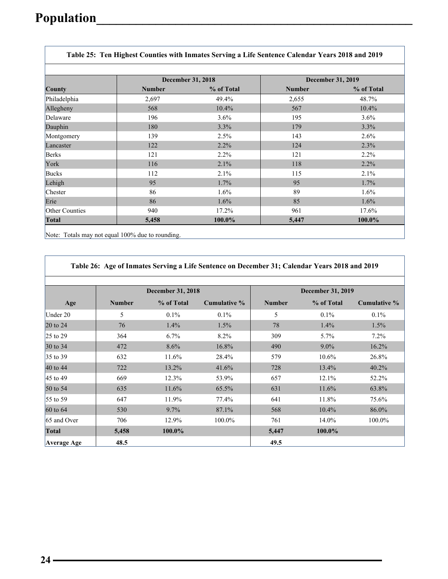$\overline{\Gamma}$ 

 $\Gamma$ 

|                       |               | <b>December 31, 2018</b> | <b>December 31, 2019</b> |            |  |
|-----------------------|---------------|--------------------------|--------------------------|------------|--|
| County                | <b>Number</b> | % of Total               | <b>Number</b>            | % of Total |  |
| Philadelphia          | 2,697         | 49.4%                    | 2,655                    | 48.7%      |  |
| Allegheny             | 568           | 10.4%                    | 567                      | 10.4%      |  |
| Delaware              | 196           | $3.6\%$                  | 195                      | $3.6\%$    |  |
| Dauphin               | 180           | 3.3%                     | 179                      | 3.3%       |  |
| Montgomery            | 139           | 2.5%                     | 143                      | $2.6\%$    |  |
| Lancaster             | 122           | 2.2%                     | 124                      | 2.3%       |  |
| <b>Berks</b>          | 121           | $2.2\%$                  | 121                      | $2.2\%$    |  |
| York                  | 116           | 2.1%                     | 118                      | 2.2%       |  |
| Bucks                 | 112           | 2.1%                     | 115                      | 2.1%       |  |
| Lehigh                | 95            | 1.7%                     | 95                       | $1.7\%$    |  |
| Chester               | 86            | $1.6\%$                  | 89                       | $1.6\%$    |  |
| Erie                  | 86            | 1.6%                     | 85                       | 1.6%       |  |
| <b>Other Counties</b> | 940           | 17.2%                    | 961                      | 17.6%      |  |
| <b>Total</b>          | 5,458         | 100.0%                   | 5,447                    | 100.0%     |  |

Note: Totals may not equal 100% due to rounding.

|                    |               |                          | Table 26: Age of Inmates Serving a Life Sentence on December 31; Calendar Years 2018 and 2019 |                          |            |              |  |
|--------------------|---------------|--------------------------|-----------------------------------------------------------------------------------------------|--------------------------|------------|--------------|--|
|                    |               | <b>December 31, 2018</b> |                                                                                               | <b>December 31, 2019</b> |            |              |  |
| Age                | <b>Number</b> | % of Total               | Cumulative %                                                                                  | <b>Number</b>            | % of Total | Cumulative % |  |
| Under 20           | 5             | $0.1\%$                  | $0.1\%$                                                                                       | 5                        | $0.1\%$    | $0.1\%$      |  |
| $20$ to $24$       | 76            | 1.4%                     | $1.5\%$                                                                                       | 78                       | 1.4%       | 1.5%         |  |
| 25 to 29           | 364           | 6.7%                     | 8.2%                                                                                          | 309                      | $5.7\%$    | $7.2\%$      |  |
| 30 to 34           | 472           | 8.6%                     | 16.8%                                                                                         | 490                      | $9.0\%$    | 16.2%        |  |
| 35 to 39           | 632           | 11.6%                    | 28.4%                                                                                         | 579                      | 10.6%      | 26.8%        |  |
| 40 to 44           | 722           | 13.2%                    | 41.6%                                                                                         | 728                      | 13.4%      | 40.2%        |  |
| 45 to 49           | 669           | 12.3%                    | 53.9%                                                                                         | 657                      | 12.1%      | 52.2%        |  |
| 50 to 54           | 635           | 11.6%                    | 65.5%                                                                                         | 631                      | 11.6%      | 63.8%        |  |
| 55 to 59           | 647           | 11.9%                    | 77.4%                                                                                         | 641                      | 11.8%      | 75.6%        |  |
| $60$ to $64$       | 530           | 9.7%                     | 87.1%                                                                                         | 568                      | 10.4%      | 86.0%        |  |
| 65 and Over        | 706           | 12.9%                    | 100.0%                                                                                        | 761                      | 14.0%      | 100.0%       |  |
| Total              | 5,458         | 100.0%                   |                                                                                               | 5,447                    | 100.0%     |              |  |
| <b>Average Age</b> | 48.5          |                          |                                                                                               | 49.5                     |            |              |  |

Ī.

 $\overline{\mathsf{L}}$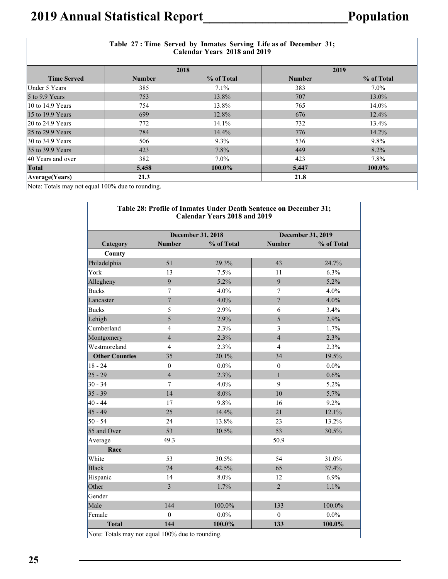|                                                  |               | Table 27: Time Served by Inmates Serving Life as of December 31;<br>Calendar Years 2018 and 2019 |               |            |
|--------------------------------------------------|---------------|--------------------------------------------------------------------------------------------------|---------------|------------|
|                                                  |               | 2018                                                                                             |               | 2019       |
| <b>Time Served</b>                               | <b>Number</b> | % of Total                                                                                       | <b>Number</b> | % of Total |
| Under 5 Years                                    | 385           | $7.1\%$                                                                                          | 383           | $7.0\%$    |
| $5$ to 9.9 Years                                 | 753           | 13.8%                                                                                            | 707           | 13.0%      |
| 10 to $14.9$ Years                               | 754           | 13.8%                                                                                            | 765           | 14.0%      |
| 15 to 19.9 Years                                 | 699           | 12.8%                                                                                            | 676           | $12.4\%$   |
| $20$ to 24.9 Years                               | 772           | 14.1%                                                                                            | 732           | 13.4%      |
| 25 to 29.9 Years                                 | 784           | 14.4%                                                                                            | 776           | 14.2%      |
| $30$ to 34.9 Years                               | 506           | $9.3\%$                                                                                          | 536           | $9.8\%$    |
| 35 to 39.9 Years                                 | 423           | $7.8\%$                                                                                          | 449           | 8.2%       |
| 40 Years and over                                | 382           | $7.0\%$                                                                                          | 423           | $7.8\%$    |
| Total                                            | 5,458         | 100.0%                                                                                           | 5,447         | $100.0\%$  |
| Average (Years)                                  | 21.3          |                                                                                                  | 21.8          |            |
| Note: Totals may not equal 100% due to rounding. |               |                                                                                                  |               |            |

| Table 28: Profile of Inmates Under Death Sentence on December 31;<br><b>Calendar Years 2018 and 2019</b> |                                                  |                          |                  |                          |  |  |  |  |
|----------------------------------------------------------------------------------------------------------|--------------------------------------------------|--------------------------|------------------|--------------------------|--|--|--|--|
|                                                                                                          |                                                  | <b>December 31, 2018</b> |                  | <b>December 31, 2019</b> |  |  |  |  |
| Category                                                                                                 | <b>Number</b>                                    | % of Total               | <b>Number</b>    | % of Total               |  |  |  |  |
| County                                                                                                   |                                                  |                          |                  |                          |  |  |  |  |
| Philadelphia                                                                                             | 51                                               | 29.3%                    | 43               | 24.7%                    |  |  |  |  |
| York                                                                                                     | 13                                               | 7.5%                     | 11               | 6.3%                     |  |  |  |  |
| Allegheny                                                                                                | 9                                                | 5.2%                     | 9                | 5.2%                     |  |  |  |  |
| <b>Bucks</b>                                                                                             | 7                                                | $4.0\%$                  | $\tau$           | 4.0%                     |  |  |  |  |
| Lancaster                                                                                                | $\overline{7}$                                   | 4.0%                     | $\overline{7}$   | 4.0%                     |  |  |  |  |
| <b>Bucks</b>                                                                                             | 5                                                | 2.9%                     | 6                | 3.4%                     |  |  |  |  |
| Lehigh                                                                                                   | 5                                                | 2.9%                     | 5                | 2.9%                     |  |  |  |  |
| Cumberland                                                                                               | $\overline{4}$                                   | 2.3%                     | 3                | 1.7%                     |  |  |  |  |
| Montgomery                                                                                               | $\overline{4}$                                   | 2.3%                     | $\overline{4}$   | 2.3%                     |  |  |  |  |
| Westmoreland                                                                                             | $\overline{4}$                                   | 2.3%                     | $\overline{4}$   | 2.3%                     |  |  |  |  |
| <b>Other Counties</b>                                                                                    | 35                                               | 20.1%                    | 34               | 19.5%                    |  |  |  |  |
| $18 - 24$                                                                                                | $\mathbf{0}$                                     | $0.0\%$                  | $\boldsymbol{0}$ | $0.0\%$                  |  |  |  |  |
| $25 - 29$                                                                                                | $\overline{4}$                                   | 2.3%                     | $\mathbf{1}$     | 0.6%                     |  |  |  |  |
| $30 - 34$                                                                                                | 7                                                | 4.0%                     | 9                | 5.2%                     |  |  |  |  |
| $35 - 39$                                                                                                | 14                                               | 8.0%                     | 10               | 5.7%                     |  |  |  |  |
| $40 - 44$                                                                                                | 17                                               | 9.8%                     | 16               | 9.2%                     |  |  |  |  |
| $45 - 49$                                                                                                | 25                                               | 14.4%                    | 21               | 12.1%                    |  |  |  |  |
| $50 - 54$                                                                                                | 24                                               | 13.8%                    | 23               | 13.2%                    |  |  |  |  |
| 55 and Over                                                                                              | 53                                               | 30.5%                    | 53               | 30.5%                    |  |  |  |  |
| Average                                                                                                  | 49.3                                             |                          | 50.9             |                          |  |  |  |  |
| Race                                                                                                     |                                                  |                          |                  |                          |  |  |  |  |
| White                                                                                                    | 53                                               | 30.5%                    | 54               | 31.0%                    |  |  |  |  |
| <b>Black</b>                                                                                             | 74                                               | 42.5%                    | 65               | 37.4%                    |  |  |  |  |
| Hispanic                                                                                                 | 14                                               | 8.0%                     | 12               | 6.9%                     |  |  |  |  |
| Other                                                                                                    | $\overline{3}$                                   | 1.7%                     | $\overline{2}$   | 1.1%                     |  |  |  |  |
| Gender                                                                                                   |                                                  |                          |                  |                          |  |  |  |  |
| Male                                                                                                     | 144                                              | 100.0%                   | 133              | $100.0\%$                |  |  |  |  |
| Female                                                                                                   | $\boldsymbol{0}$                                 | $0.0\%$                  | $\boldsymbol{0}$ | $0.0\%$                  |  |  |  |  |
| <b>Total</b>                                                                                             | 144                                              | $100.0\%$                | 133              | $100.0\%$                |  |  |  |  |
|                                                                                                          | Note: Totals may not equal 100% due to rounding. |                          |                  |                          |  |  |  |  |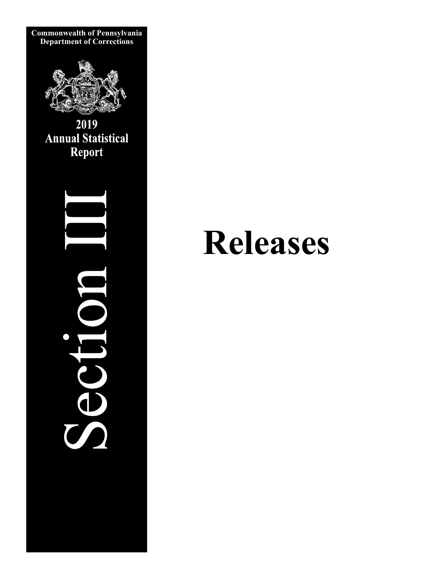

# **Releases**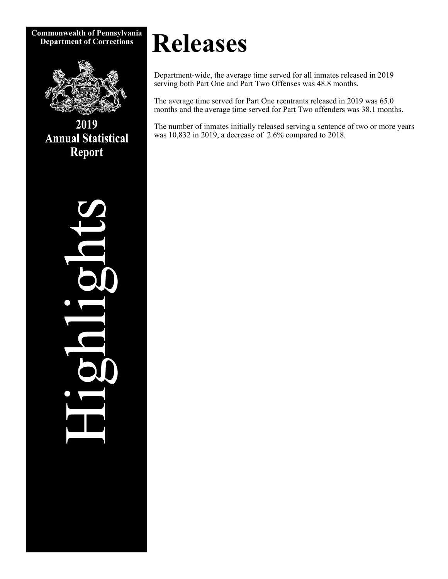**Commonwealth of Pennsylvania** 



2019 **Annual Statistical Report** 

# $\overline{\mathbf{d}}$ IQL

# **Releases**

Department-wide, the average time served for all inmates released in 2019 serving both Part One and Part Two Offenses was 48.8 months.

The average time served for Part One reentrants released in 2019 was 65.0 months and the average time served for Part Two offenders was 38.1 months.

The number of inmates initially released serving a sentence of two or more years was 10,832 in 2019, a decrease of 2.6% compared to 2018.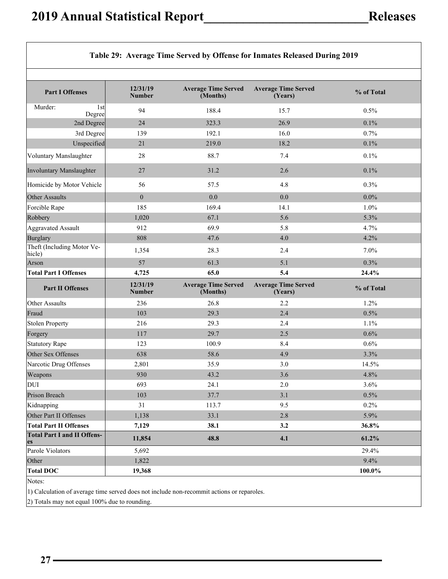$\overline{\phantom{a}}$ 

┑

|                                                                                                                   |                           |                                        | Table 29: Average Time Served by Offense for Inmates Released During 2019 |            |
|-------------------------------------------------------------------------------------------------------------------|---------------------------|----------------------------------------|---------------------------------------------------------------------------|------------|
|                                                                                                                   |                           |                                        |                                                                           |            |
| <b>Part I Offenses</b>                                                                                            | 12/31/19<br><b>Number</b> | <b>Average Time Served</b><br>(Months) | <b>Average Time Served</b><br>(Years)                                     | % of Total |
| Murder:<br>1st<br>Degree                                                                                          | 94                        | 188.4                                  | 15.7                                                                      | 0.5%       |
| 2nd Degree                                                                                                        | 24                        | 323.3                                  | 26.9                                                                      | 0.1%       |
| 3rd Degree                                                                                                        | 139                       | 192.1                                  | 16.0                                                                      | 0.7%       |
| Unspecified                                                                                                       | 21                        | 219.0                                  | 18.2                                                                      | 0.1%       |
| Voluntary Manslaughter                                                                                            | 28                        | 88.7                                   | 7.4                                                                       | 0.1%       |
| Involuntary Manslaughter                                                                                          | 27                        | 31.2                                   | 2.6                                                                       | 0.1%       |
| Homicide by Motor Vehicle                                                                                         | 56                        | 57.5                                   | 4.8                                                                       | 0.3%       |
| Other Assaults                                                                                                    | $\overline{0}$            | 0.0                                    | 0.0                                                                       | $0.0\%$    |
| Forcible Rape                                                                                                     | 185                       | 169.4                                  | 14.1                                                                      | 1.0%       |
| Robbery                                                                                                           | 1,020                     | 67.1                                   | 5.6                                                                       | 5.3%       |
| <b>Aggravated Assault</b>                                                                                         | 912                       | 69.9                                   | 5.8                                                                       | 4.7%       |
| <b>Burglary</b>                                                                                                   | 808                       | 47.6                                   | 4.0                                                                       | 4.2%       |
| Theft (Including Motor Ve-<br>hicle)                                                                              | 1,354                     | 28.3                                   | 2.4                                                                       | 7.0%       |
| Arson                                                                                                             | 57                        | 61.3                                   | 5.1                                                                       | 0.3%       |
| <b>Total Part I Offenses</b>                                                                                      | 4,725                     | 65.0                                   | 5.4                                                                       | 24.4%      |
| <b>Part II Offenses</b>                                                                                           | 12/31/19<br><b>Number</b> | <b>Average Time Served</b><br>(Months) | <b>Average Time Served</b><br>(Years)                                     | % of Total |
| Other Assaults                                                                                                    | 236                       | 26.8                                   | 2.2                                                                       | 1.2%       |
| Fraud                                                                                                             | 103                       | 29.3                                   | 2.4                                                                       | 0.5%       |
| <b>Stolen Property</b>                                                                                            | 216                       | 29.3                                   | 2.4                                                                       | 1.1%       |
| Forgery                                                                                                           | 117                       | 29.7                                   | 2.5                                                                       | 0.6%       |
| <b>Statutory Rape</b>                                                                                             | 123                       | 100.9                                  | 8.4                                                                       | 0.6%       |
| Other Sex Offenses                                                                                                | 638                       | 58.6                                   | 4.9                                                                       | 3.3%       |
| Narcotic Drug Offenses                                                                                            | 2,801                     | 35.9                                   | 3.0                                                                       | 14.5%      |
| Weapons                                                                                                           | 930                       | 43.2                                   | 3.6                                                                       | 4.8%       |
| <b>DUI</b>                                                                                                        | 693                       | 24.1                                   | $2.0\,$                                                                   | 3.6%       |
| Prison Breach                                                                                                     |                           |                                        | 3.1                                                                       | 0.5%       |
|                                                                                                                   | 103                       | 37.7                                   |                                                                           |            |
|                                                                                                                   | 31                        | 113.7                                  | 9.5                                                                       | 0.2%       |
|                                                                                                                   | 1,138                     | 33.1                                   | 2.8                                                                       | 5.9%       |
|                                                                                                                   | 7,129                     | 38.1                                   | 3.2                                                                       | 36.8%      |
| Kidnapping<br>Other Part II Offenses<br><b>Total Part II Offenses</b><br><b>Total Part I and II Offens-</b><br>es | 11,854                    | 48.8                                   | 4.1                                                                       | 61.2%      |
| Parole Violators                                                                                                  | 5,692                     |                                        |                                                                           | 29.4%      |
| Other                                                                                                             | 1,822                     |                                        |                                                                           | 9.4%       |
| <b>Total DOC</b>                                                                                                  | 19,368                    |                                        |                                                                           | 100.0%     |

1) Calculation of average time served does not include non-recommit actions or reparoles.

2) Totals may not equal 100% due to rounding.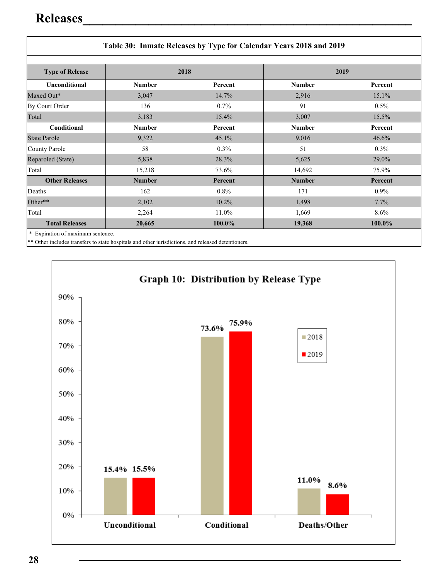| Table 30: Inmate Releases by Type for Calendar Years 2018 and 2019 |               |         |               |         |  |  |  |
|--------------------------------------------------------------------|---------------|---------|---------------|---------|--|--|--|
| <b>Type of Release</b>                                             | 2018          |         | 2019          |         |  |  |  |
| <b>Unconditional</b>                                               | <b>Number</b> | Percent | <b>Number</b> | Percent |  |  |  |
| Maxed Out*                                                         | 3,047         | 14.7%   | 2,916         | 15.1%   |  |  |  |
| By Court Order                                                     | 136           | $0.7\%$ | 91            | $0.5\%$ |  |  |  |
| Total                                                              | 3,183         | 15.4%   | 3,007         | 15.5%   |  |  |  |
| Conditional                                                        | <b>Number</b> | Percent | <b>Number</b> | Percent |  |  |  |
| <b>State Parole</b>                                                | 9,322         | 45.1%   | 9,016         | 46.6%   |  |  |  |
| County Parole                                                      | 58            | $0.3\%$ | 51            | $0.3\%$ |  |  |  |
| Reparoled (State)                                                  | 5,838         | 28.3%   | 5,625         | 29.0%   |  |  |  |
| Total                                                              | 15,218        | 73.6%   | 14,692        | 75.9%   |  |  |  |
| <b>Other Releases</b>                                              | <b>Number</b> | Percent | <b>Number</b> | Percent |  |  |  |
| Deaths                                                             | 162           | $0.8\%$ | 171           | $0.9\%$ |  |  |  |
| Other**                                                            | 2,102         | 10.2%   | 1,498         | 7.7%    |  |  |  |
| Total                                                              | 2,264         | 11.0%   | 1,669         | $8.6\%$ |  |  |  |
| <b>Total Releases</b>                                              | 20,665        | 100.0%  | 19,368        | 100.0%  |  |  |  |

\*\* Other includes transfers to state hospitals and other jurisdictions, and released detentioners.

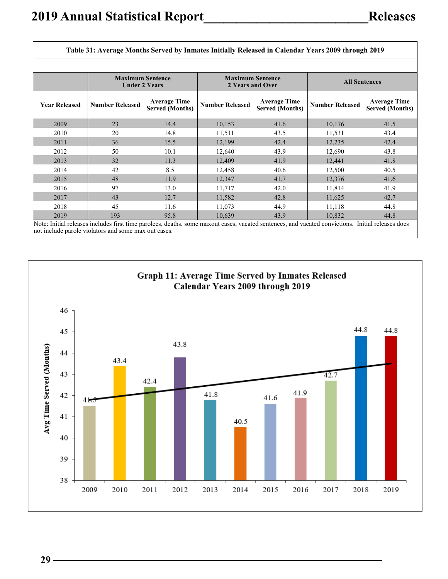| Table 31: Average Months Served by Inmates Initially Released in Calendar Years 2009 through 2019 |                         |                                               |                        |                                               |                                                                                                                                                             |                                               |  |
|---------------------------------------------------------------------------------------------------|-------------------------|-----------------------------------------------|------------------------|-----------------------------------------------|-------------------------------------------------------------------------------------------------------------------------------------------------------------|-----------------------------------------------|--|
|                                                                                                   |                         |                                               |                        |                                               |                                                                                                                                                             |                                               |  |
|                                                                                                   | <b>Maximum Sentence</b> | <b>Under 2 Years</b>                          | 2 Years and Over       | <b>Maximum Sentence</b>                       | <b>All Sentences</b>                                                                                                                                        |                                               |  |
| <b>Year Released</b>                                                                              | <b>Number Released</b>  | <b>Average Time</b><br><b>Served (Months)</b> | <b>Number Released</b> | <b>Average Time</b><br><b>Served (Months)</b> | <b>Number Released</b>                                                                                                                                      | <b>Average Time</b><br><b>Served (Months)</b> |  |
| 2009                                                                                              | 23                      | 14.4                                          | 10,153                 | 41.6                                          | 10,176                                                                                                                                                      | 41.5                                          |  |
| 2010                                                                                              | 20                      | 14.8                                          | 11,511                 | 43.5                                          | 11,531                                                                                                                                                      | 43.4                                          |  |
| 2011                                                                                              | 36                      | 15.5                                          | 12,199                 | 42.4                                          | 12,235                                                                                                                                                      | 42.4                                          |  |
| 2012                                                                                              | 50                      | 10.1                                          | 12,640                 | 43.9                                          | 12,690                                                                                                                                                      | 43.8                                          |  |
| 2013                                                                                              | 32                      | 11.3                                          | 12,409                 | 41.9                                          | 12,441                                                                                                                                                      | 41.8                                          |  |
| 2014                                                                                              | 42                      | 8.5                                           | 12,458                 | 40.6                                          | 12,500                                                                                                                                                      | 40.5                                          |  |
| 2015                                                                                              | 48                      | 11.9                                          | 12,347                 | 41.7                                          | 12,376                                                                                                                                                      | 41.6                                          |  |
| 2016                                                                                              | 97                      | 13.0                                          | 11,717                 | 42.0                                          | 11,814                                                                                                                                                      | 41.9                                          |  |
| 2017                                                                                              | 43                      | 12.7                                          | 11,582                 | 42.8                                          | 11,625                                                                                                                                                      | 42.7                                          |  |
| 2018                                                                                              | 45                      | 11.6                                          | 11,073                 | 44.9                                          | 11,118                                                                                                                                                      | 44.8                                          |  |
| 2019                                                                                              | 193                     | 95.8                                          | 10,639                 | 43.9                                          | 10,832<br>Note: Initial releases includes first time paralees, deaths, some mayout cases, vacated septences, and vacated convictions. Initial releases does | 44.8                                          |  |

Note: Initial releases includes first time parolees, deaths, some maxout cases, vacated sentences, and vacated convictions. Initial releases does not include parole violators and some max out cases.

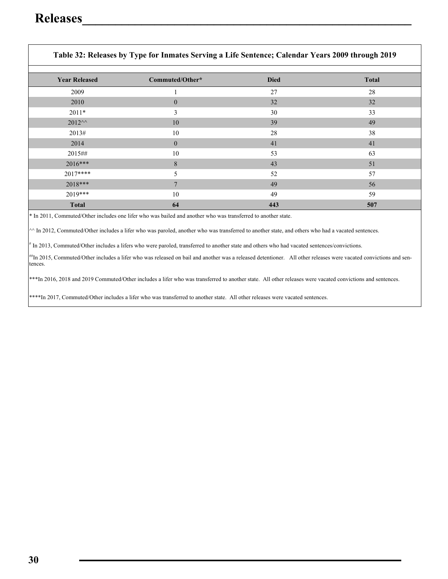|                       | Table 32; Releases by Type for Himates Serving a Life Sentence; Calendar Tears 2009 through 2019 |             |              |
|-----------------------|--------------------------------------------------------------------------------------------------|-------------|--------------|
| <b>Year Released</b>  | Commuted/Other*                                                                                  | <b>Died</b> | <b>Total</b> |
| 2009                  |                                                                                                  | 27          | 28           |
| 2010                  | $\overline{0}$                                                                                   | 32          | 32           |
| $2011*$               | 3                                                                                                | 30          | 33           |
| $2012^{\wedge\wedge}$ | 10                                                                                               | 39          | 49           |
| 2013#                 | 10                                                                                               | 28          | 38           |
| 2014                  | $\mathbf{0}$                                                                                     | 41          | 41           |
| 2015##                | 10                                                                                               | 53          | 63           |
| $2016***$             | 8                                                                                                | 43          | 51           |
| $2017***$             | 5                                                                                                | 52          | 57           |
| 2018***               | 7                                                                                                | 49          | 56           |
| $2019***$             | 10                                                                                               | 49          | 59           |
| <b>Total</b>          | 64                                                                                               | 443         | 507          |

### **Table 32: Releases by Type for Inmates Serving a Life Sentence; Calendar Years 2009 through 2019**

\* In 2011, Commuted/Other includes one lifer who was bailed and another who was transferred to another state.

 $\sim$  In 2012, Commuted/Other includes a lifer who was paroled, another who was transferred to another state, and others who had a vacated sentences.

# In 2013, Commuted/Other includes a lifers who were paroled, transferred to another state and others who had vacated sentences/convictions.

##In 2015, Commuted/Other includes a lifer who was released on bail and another was a released detentioner. All other releases were vacated convictions and sentences.

\*\*\*In 2016, 2018 and 2019 Commuted/Other includes a lifer who was transferred to another state. All other releases were vacated convictions and sentences.

\*\*\*\*In 2017, Commuted/Other includes a lifer who was transferred to another state. All other releases were vacated sentences.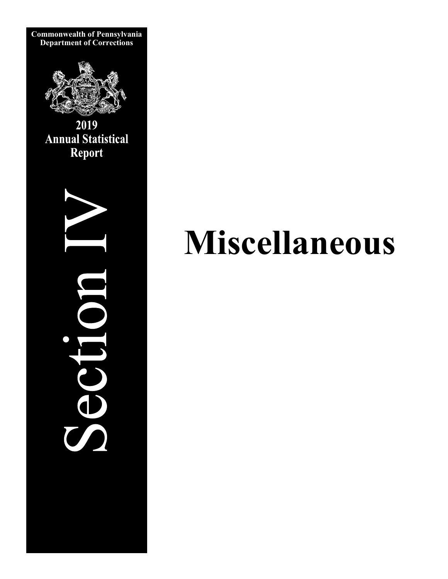

**Commonwealth of Pennsylvania** 

2019 **Annual Statistical** Report



# **Miscellaneous**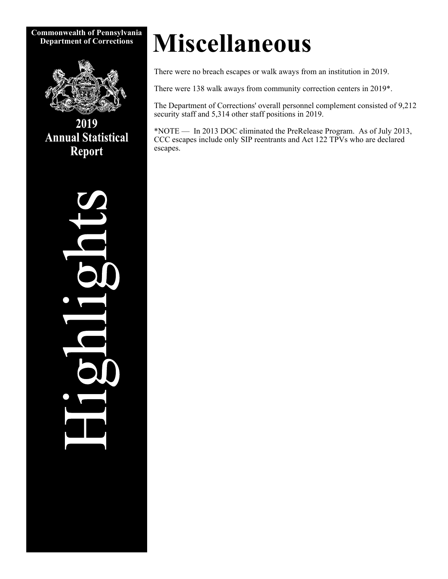**Commonwealth of Pennsylvania** 



2019 **Annual Statistical Report** 

# **Miscellaneous**

There were no breach escapes or walk aways from an institution in 2019.

There were 138 walk aways from community correction centers in 2019\*.

The Department of Corrections' overall personnel complement consisted of 9,212 security staff and 5,314 other staff positions in 2019.

\*NOTE — In 2013 DOC eliminated the PreRelease Program. As of July 2013, CCC escapes include only SIP reentrants and Act 122 TPVs who are declared escapes.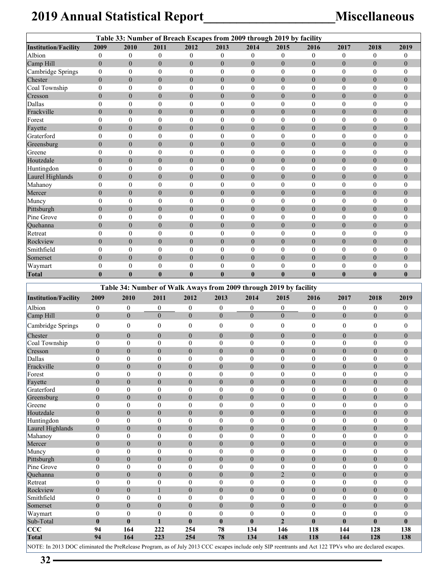## **2019 Annual Statistical Report\_\_\_\_\_\_\_\_\_\_\_\_\_\_\_\_\_\_\_\_Miscellaneous**

| Table 33: Number of Breach Escapes from 2009 through 2019 by facility |                                    |                                    |                                    |                                    |                                      |                                  |                                                                   |                                      |                                      |                                      |                                      |
|-----------------------------------------------------------------------|------------------------------------|------------------------------------|------------------------------------|------------------------------------|--------------------------------------|----------------------------------|-------------------------------------------------------------------|--------------------------------------|--------------------------------------|--------------------------------------|--------------------------------------|
| <b>Institution/Facility</b>                                           | 2009                               | 2010                               | 2011                               | 2012                               | 2013                                 | 2014                             | 2015                                                              | 2016                                 | 2017                                 | 2018                                 | 2019                                 |
| Albion                                                                | $\boldsymbol{0}$                   | $\boldsymbol{0}$                   | $\boldsymbol{0}$                   | $\mathbf{0}$                       | $\mathbf{0}$                         | $\boldsymbol{0}$                 | $\mathbf{0}$                                                      | $\boldsymbol{0}$                     | $\boldsymbol{0}$                     | $\boldsymbol{0}$                     | $\bf{0}$                             |
| Camp Hill                                                             | $\overline{0}$                     | $\mathbf{0}$                       | $\overline{0}$                     | $\mathbf{0}$                       | $\overline{0}$                       | $\overline{0}$                   | $\overline{0}$                                                    | $\overline{0}$                       | $\overline{0}$                       | $\overline{0}$                       | $\mathbf{0}$                         |
| Cambridge Springs                                                     | $\boldsymbol{0}$                   | $\boldsymbol{0}$                   | $\boldsymbol{0}$                   | $\boldsymbol{0}$                   | $\boldsymbol{0}$                     | $\boldsymbol{0}$                 | $\boldsymbol{0}$                                                  | $\boldsymbol{0}$                     | $\boldsymbol{0}$                     | $\boldsymbol{0}$                     | $\boldsymbol{0}$                     |
| Chester                                                               | $\overline{0}$                     | $\mathbf{0}$                       | $\overline{0}$                     | $\mathbf{0}$                       | $\overline{0}$                       | $\overline{0}$                   | $\mathbf{0}$                                                      | $\mathbf{0}$                         | $\overline{0}$                       | $\overline{0}$                       | $\mathbf{0}$                         |
| Coal Township                                                         | $\boldsymbol{0}$                   | $\boldsymbol{0}$                   | $\mathbf{0}$                       | $\mathbf{0}$                       | $\overline{0}$                       | $\mathbf{0}$                     | $\theta$                                                          | $\mathbf{0}$                         | $\overline{0}$                       | $\boldsymbol{0}$                     | $\boldsymbol{0}$                     |
| Cresson                                                               | $\overline{0}$                     | $\mathbf{0}$                       | $\boldsymbol{0}$                   | $\boldsymbol{0}$                   | $\overline{0}$                       | $\overline{0}$                   | $\theta$                                                          | $\boldsymbol{0}$                     | $\overline{0}$                       | $\boldsymbol{0}$                     | $\mathbf{0}$                         |
| Dallas                                                                | $\boldsymbol{0}$                   | $\mathbf{0}$                       | $\boldsymbol{0}$                   | $\boldsymbol{0}$                   | $\boldsymbol{0}$                     | $\boldsymbol{0}$                 | $\boldsymbol{0}$                                                  | $\boldsymbol{0}$                     | $\boldsymbol{0}$                     | $\boldsymbol{0}$                     | $\mathbf{0}$                         |
| Frackville<br>Forest                                                  | $\overline{0}$<br>$\boldsymbol{0}$ | $\mathbf{0}$<br>$\boldsymbol{0}$   | $\overline{0}$<br>$\boldsymbol{0}$ | $\mathbf{0}$<br>$\boldsymbol{0}$   | $\boldsymbol{0}$<br>$\boldsymbol{0}$ | $\overline{0}$<br>0              | $\boldsymbol{0}$<br>$\boldsymbol{0}$                              | $\overline{0}$<br>$\boldsymbol{0}$   | $\overline{0}$<br>$\boldsymbol{0}$   | $\overline{0}$<br>$\boldsymbol{0}$   | $\mathbf{0}$<br>$\boldsymbol{0}$     |
| Fayette                                                               | $\overline{0}$                     | $\mathbf{0}$                       | $\overline{0}$                     | $\mathbf{0}$                       | $\overline{0}$                       | $\overline{0}$                   | $\theta$                                                          | $\mathbf{0}$                         | $\overline{0}$                       | $\boldsymbol{0}$                     | $\boldsymbol{0}$                     |
| Graterford                                                            | $\mathbf{0}$                       | $\boldsymbol{0}$                   | $\mathbf{0}$                       | $\mathbf{0}$                       | $\overline{0}$                       | $\theta$                         | $\mathbf{0}$                                                      | $\mathbf{0}$                         | $\mathbf{0}$                         | $\boldsymbol{0}$                     | $\boldsymbol{0}$                     |
| Greensburg                                                            | $\boldsymbol{0}$                   | $\boldsymbol{0}$                   | $\boldsymbol{0}$                   | $\boldsymbol{0}$                   | $\overline{0}$                       | $\overline{0}$                   | $\theta$                                                          | $\boldsymbol{0}$                     | $\overline{0}$                       | $\boldsymbol{0}$                     | $\mathbf{0}$                         |
| Greene                                                                | $\boldsymbol{0}$                   | $\theta$                           | $\boldsymbol{0}$                   | $\boldsymbol{0}$                   | $\boldsymbol{0}$                     | $\boldsymbol{0}$                 | $\boldsymbol{0}$                                                  | $\boldsymbol{0}$                     | $\boldsymbol{0}$                     | $\boldsymbol{0}$                     | $\mathbf{0}$                         |
| Houtzdale                                                             | $\overline{0}$                     | $\mathbf{0}$                       | $\overline{0}$                     | $\mathbf{0}$                       | $\overline{0}$                       | $\overline{0}$                   | $\overline{0}$                                                    | $\boldsymbol{0}$                     | $\overline{0}$                       | $\overline{0}$                       | $\mathbf{0}$                         |
| Huntingdon                                                            | $\boldsymbol{0}$                   | $\boldsymbol{0}$                   | $\boldsymbol{0}$                   | $\boldsymbol{0}$                   | $\boldsymbol{0}$                     | $\boldsymbol{0}$                 | $\boldsymbol{0}$                                                  | $\boldsymbol{0}$                     | $\boldsymbol{0}$                     | $\boldsymbol{0}$                     | $\boldsymbol{0}$                     |
| Laurel Highlands                                                      | $\boldsymbol{0}$                   | $\mathbf{0}$                       | $\boldsymbol{0}$                   | $\mathbf{0}$                       | $\mathbf{0}$                         | $\overline{0}$                   | $\boldsymbol{0}$                                                  | $\boldsymbol{0}$                     | $\overline{0}$                       | $\boldsymbol{0}$                     | $\overline{0}$                       |
| Mahanoy                                                               | $\boldsymbol{0}$                   | $\boldsymbol{0}$                   | $\mathbf{0}$                       | $\boldsymbol{0}$                   | $\boldsymbol{0}$                     | $\theta$                         | $\boldsymbol{0}$                                                  | $\boldsymbol{0}$                     | $\boldsymbol{0}$                     | $\boldsymbol{0}$                     | $\mathbf{0}$                         |
| Mercer                                                                | $\overline{0}$                     | $\mathbf{0}$                       | $\overline{0}$                     | $\mathbf{0}$                       | $\overline{0}$                       | $\overline{0}$                   | $\theta$                                                          | $\overline{0}$                       | $\overline{0}$                       | $\overline{0}$                       | $\mathbf{0}$                         |
| Muncy                                                                 | $\boldsymbol{0}$                   | $\boldsymbol{0}$                   | $\boldsymbol{0}$                   | $\boldsymbol{0}$                   | $\boldsymbol{0}$                     | $\mathbf{0}$                     | $\boldsymbol{0}$                                                  | $\boldsymbol{0}$                     | $\boldsymbol{0}$                     | $\mathbf{0}$                         | $\theta$                             |
| Pittsburgh                                                            | $\overline{0}$                     | $\overline{0}$                     | $\boldsymbol{0}$                   | $\mathbf{0}$                       | $\boldsymbol{0}$                     | $\overline{0}$                   | $\boldsymbol{0}$                                                  | $\boldsymbol{0}$                     | $\boldsymbol{0}$                     | $\boldsymbol{0}$                     | $\overline{0}$                       |
| Pine Grove                                                            | $\boldsymbol{0}$                   | $\boldsymbol{0}$                   | $\mathbf{0}$                       | $\boldsymbol{0}$                   | $\boldsymbol{0}$                     | $\boldsymbol{0}$                 | $\boldsymbol{0}$                                                  | $\boldsymbol{0}$                     | $\boldsymbol{0}$                     | $\boldsymbol{0}$                     | $\boldsymbol{0}$                     |
| Quehanna                                                              | $\boldsymbol{0}$                   | $\boldsymbol{0}$                   | $\boldsymbol{0}$                   | $\boldsymbol{0}$                   | $\overline{0}$                       | $\boldsymbol{0}$                 | $\boldsymbol{0}$                                                  | $\boldsymbol{0}$                     | $\overline{0}$                       | $\boldsymbol{0}$                     | $\boldsymbol{0}$                     |
| Retreat                                                               | $\mathbf{0}$                       | $\mathbf{0}$                       | $\mathbf{0}$                       | $\mathbf{0}$                       | $\overline{0}$                       | $\boldsymbol{0}$                 | $\mathbf{0}$                                                      | $\mathbf{0}$                         | $\mathbf{0}$                         | $\boldsymbol{0}$                     | $\mathbf{0}$                         |
| Rockview                                                              | $\overline{0}$                     | $\mathbf{0}$                       | $\overline{0}$                     | $\mathbf{0}$                       | $\overline{0}$                       | $\theta$                         | $\overline{0}$                                                    | $\mathbf{0}$                         | $\overline{0}$                       | $\overline{0}$                       | $\overline{0}$                       |
| Smithfield                                                            | $\boldsymbol{0}$                   | $\mathbf{0}$                       | $\overline{0}$                     | $\boldsymbol{0}$                   | $\boldsymbol{0}$                     | $\mathbf{0}$                     | $\mathbf{0}$                                                      | $\mathbf{0}$                         | $\overline{0}$                       | $\overline{0}$                       | $\mathbf{0}$                         |
| Somerset                                                              | $\boldsymbol{0}$                   | $\mathbf{0}$                       | $\boldsymbol{0}$                   | $\mathbf{0}$                       | $\overline{0}$                       | $\boldsymbol{0}$                 | $\boldsymbol{0}$                                                  | $\boldsymbol{0}$                     | $\boldsymbol{0}$                     | $\boldsymbol{0}$                     | $\boldsymbol{0}$                     |
| Waymart                                                               | $\boldsymbol{0}$                   | $\theta$                           | $\boldsymbol{0}$                   | $\boldsymbol{0}$                   | $\boldsymbol{0}$                     | $\boldsymbol{0}$                 | $\boldsymbol{0}$                                                  | $\boldsymbol{0}$                     | $\boldsymbol{0}$                     | $\boldsymbol{0}$                     | $\bf{0}$                             |
| <b>Total</b>                                                          | $\bf{0}$                           | $\bf{0}$                           | $\bf{0}$                           | $\bf{0}$                           | $\bf{0}$                             | $\bf{0}$                         | $\bf{0}$                                                          | $\bf{0}$                             | $\bf{0}$                             | $\bf{0}$                             | $\bf{0}$                             |
|                                                                       |                                    |                                    |                                    |                                    |                                      |                                  | Table 34: Number of Walk Aways from 2009 through 2019 by facility |                                      |                                      |                                      |                                      |
| <b>Institution/Facility</b>                                           | 2009                               | 2010                               | 2011                               | 2012                               | 2013                                 | 2014                             | 2015                                                              | 2016                                 | 2017                                 | 2018                                 | 2019                                 |
| Albion                                                                | $\boldsymbol{0}$                   | $\boldsymbol{0}$                   | $\boldsymbol{0}$                   | $\boldsymbol{0}$                   | $\boldsymbol{0}$                     | $\boldsymbol{0}$                 | $\boldsymbol{0}$                                                  | $\boldsymbol{0}$                     | $\boldsymbol{0}$                     | $\boldsymbol{0}$                     | $\boldsymbol{0}$                     |
| Camp Hill                                                             | $\theta$                           | $\overline{0}$                     | $\mathbf{0}$                       | $\overline{0}$                     | $\overline{0}$                       | $\mathbf{0}$                     | $\overline{0}$                                                    | $\overline{0}$                       | $\boldsymbol{0}$                     | $\boldsymbol{0}$                     | $\mathbf{0}$                         |
| Cambridge Springs                                                     | $\boldsymbol{0}$                   | $\boldsymbol{0}$                   | $\boldsymbol{0}$                   | $\boldsymbol{0}$                   | $\boldsymbol{0}$                     | $\boldsymbol{0}$                 | $\boldsymbol{0}$                                                  | $\boldsymbol{0}$                     | $\boldsymbol{0}$                     | $\boldsymbol{0}$                     | $\boldsymbol{0}$                     |
| Chester                                                               | $\overline{0}$                     | $\overline{0}$                     | $\mathbf{0}$                       | $\overline{0}$                     | $\overline{0}$                       | $\boldsymbol{0}$                 | $\mathbf{0}$                                                      | $\boldsymbol{0}$                     | $\boldsymbol{0}$                     | $\mathbf{0}$                         | $\mathbf{0}$                         |
| Coal Township                                                         | $\mathbf{0}$                       | $\boldsymbol{0}$                   | $\mathbf{0}$                       | $\boldsymbol{0}$                   | $\mathbf{0}$                         | $\mathbf{0}$                     | $\boldsymbol{0}$                                                  | $\mathbf{0}$                         | $\boldsymbol{0}$                     | $\mathbf{0}$                         | $\theta$                             |
| Cresson                                                               | $\overline{0}$                     | $\overline{0}$                     | $\mathbf{0}$                       | $\overline{0}$                     | $\overline{0}$                       | $\theta$                         | $\boldsymbol{0}$                                                  | $\boldsymbol{0}$                     | $\boldsymbol{0}$                     | $\mathbf{0}$                         | $\mathbf{0}$                         |
| Dallas                                                                | $\theta$                           | $\theta$                           | $\theta$                           | $\theta$                           | $\theta$                             | $\Omega$                         | $\theta$                                                          | $\Omega$                             | $\theta$                             | $\theta$                             | $\theta$                             |
| Frackville                                                            | $\boldsymbol{0}$                   | $\boldsymbol{0}$                   | $\boldsymbol{0}$                   | $\boldsymbol{0}$                   | $\boldsymbol{0}$                     | $\boldsymbol{0}$                 | $\boldsymbol{0}$                                                  | $\boldsymbol{0}$                     | $\boldsymbol{0}$                     | $\boldsymbol{0}$                     | $\mathbf{0}$                         |
| Forest                                                                | $\mathbf{0}$                       | $\boldsymbol{0}$                   | $\mathbf{0}$                       | $\mathbf{0}$                       | $\overline{0}$                       | $\mathbf{0}$                     | $\boldsymbol{0}$                                                  | $\boldsymbol{0}$                     | $\boldsymbol{0}$                     | $\boldsymbol{0}$                     | $\theta$                             |
| Fayette                                                               | $\overline{0}$                     | $\overline{0}$                     | $\overline{0}$                     | $\overline{0}$                     | $\overline{0}$                       | $\overline{0}$                   | $\mathbf{0}$                                                      | $\boldsymbol{0}$                     | $\boldsymbol{0}$                     | $\boldsymbol{0}$                     | $\boldsymbol{0}$                     |
| Graterford                                                            | $\boldsymbol{0}$                   | $\boldsymbol{0}$                   | $\bf{0}$                           | $\mathbf{0}$                       | $\boldsymbol{0}$                     | $\mathbf{0}$                     | $\boldsymbol{0}$                                                  | $\boldsymbol{0}$                     | $\boldsymbol{0}$                     | $\boldsymbol{0}$                     | $\mathbf{0}$                         |
| Greensburg                                                            | $\overline{0}$                     | $\boldsymbol{0}$                   | $\boldsymbol{0}$                   | $\boldsymbol{0}$                   | $\boldsymbol{0}$                     | $\boldsymbol{0}$                 | $\boldsymbol{0}$                                                  | $\boldsymbol{0}$                     | $\boldsymbol{0}$                     | $\boldsymbol{0}$                     | $\boldsymbol{0}$                     |
| Greene<br>Houtzdale                                                   | $\boldsymbol{0}$<br>$\overline{0}$ | $\boldsymbol{0}$<br>$\overline{0}$ | $\mathbf{0}$<br>$\mathbf{0}$       | $\boldsymbol{0}$<br>$\overline{0}$ | $\boldsymbol{0}$<br>$\overline{0}$   | $\boldsymbol{0}$<br>$\theta$     | $\boldsymbol{0}$<br>$\mathbf{0}$                                  | $\boldsymbol{0}$<br>$\boldsymbol{0}$ | $\boldsymbol{0}$<br>$\boldsymbol{0}$ | $\boldsymbol{0}$<br>$\boldsymbol{0}$ | $\mathbf{0}$<br>$\boldsymbol{0}$     |
| Huntingdon                                                            | $\mathbf{0}$                       | $\boldsymbol{0}$                   | $\bf{0}$                           | 0                                  | $\mathbf{0}$                         | $\mathbf{0}$                     | $\boldsymbol{0}$                                                  | $\boldsymbol{0}$                     | $\boldsymbol{0}$                     | $\boldsymbol{0}$                     | $\mathbf{0}$                         |
| Laurel Highlands                                                      | $\overline{0}$                     | $\boldsymbol{0}$                   | $\boldsymbol{0}$                   | $\overline{0}$                     | $\boldsymbol{0}$                     | $\boldsymbol{0}$                 | $\boldsymbol{0}$                                                  | $\boldsymbol{0}$                     | $\boldsymbol{0}$                     | $\boldsymbol{0}$                     | $\boldsymbol{0}$                     |
| Mahanoy                                                               | $\boldsymbol{0}$                   | $\boldsymbol{0}$                   | $\boldsymbol{0}$                   | $\boldsymbol{0}$                   | $\boldsymbol{0}$                     | $\boldsymbol{0}$                 | $\boldsymbol{0}$                                                  | $\boldsymbol{0}$                     | $\boldsymbol{0}$                     | $\boldsymbol{0}$                     | $\boldsymbol{0}$                     |
| Mercer                                                                | $\overline{0}$                     | $\boldsymbol{0}$                   | $\boldsymbol{0}$                   | $\overline{0}$                     | $\boldsymbol{0}$                     | $\mathbf{0}$                     | $\boldsymbol{0}$                                                  | $\boldsymbol{0}$                     | $\boldsymbol{0}$                     | $\boldsymbol{0}$                     | $\boldsymbol{0}$                     |
| Muncy                                                                 | $\mathbf{0}$                       | $\boldsymbol{0}$                   | $\boldsymbol{0}$                   | $\overline{0}$                     | $\mathbf{0}$                         | $\mathbf{0}$                     | $\theta$                                                          | $\boldsymbol{0}$                     | $\boldsymbol{0}$                     | 0                                    | $\mathbf{0}$                         |
| Pittsburgh                                                            | $\overline{0}$                     | $\boldsymbol{0}$                   | $\mathbf{0}$                       | $\overline{0}$                     | $\boldsymbol{0}$                     | $\boldsymbol{0}$                 | $\boldsymbol{0}$                                                  | $\boldsymbol{0}$                     | $\boldsymbol{0}$                     | $\boldsymbol{0}$                     | $\boldsymbol{0}$                     |
| Pine Grove                                                            | $\boldsymbol{0}$                   | $\boldsymbol{0}$                   | $\boldsymbol{0}$                   | $\boldsymbol{0}$                   | $\boldsymbol{0}$                     | $\boldsymbol{0}$                 | $\boldsymbol{0}$                                                  | $\boldsymbol{0}$                     | $\boldsymbol{0}$                     | $\boldsymbol{0}$                     | $\boldsymbol{0}$                     |
| Quehanna                                                              | $\overline{0}$                     | $\boldsymbol{0}$                   | $\mathbf{0}$                       | $\overline{0}$                     | $\boldsymbol{0}$                     | $\mathbf{0}$                     | $\overline{2}$                                                    | $\boldsymbol{0}$                     | $\boldsymbol{0}$                     | $\boldsymbol{0}$                     | $\boldsymbol{0}$                     |
| Retreat                                                               | $\overline{0}$                     | $\mathbf{0}$<br>$\boldsymbol{0}$   | $\boldsymbol{0}$<br>1              | $\overline{0}$<br>$\boldsymbol{0}$ | $\mathbf{0}$<br>$\boldsymbol{0}$     | $\mathbf{0}$<br>$\boldsymbol{0}$ | $\mathbf{0}$<br>$\boldsymbol{0}$                                  | $\mathbf{0}$<br>$\boldsymbol{0}$     | $\boldsymbol{0}$<br>$\boldsymbol{0}$ | $\mathbf{0}$<br>$\boldsymbol{0}$     | $\boldsymbol{0}$<br>$\boldsymbol{0}$ |
|                                                                       |                                    |                                    |                                    |                                    |                                      |                                  |                                                                   | $\boldsymbol{0}$                     |                                      |                                      | $\boldsymbol{0}$                     |
| Rockview                                                              | $\boldsymbol{0}$                   |                                    |                                    |                                    |                                      |                                  |                                                                   |                                      |                                      |                                      |                                      |
| Smithfield                                                            | $\boldsymbol{0}$                   | $\boldsymbol{0}$                   | $\boldsymbol{0}$                   | $\boldsymbol{0}$                   | $\boldsymbol{0}$                     | $\boldsymbol{0}$                 | $\boldsymbol{0}$                                                  |                                      | $\boldsymbol{0}$                     | $\boldsymbol{0}$                     |                                      |
| Somerset                                                              | $\boldsymbol{0}$<br>$\overline{0}$ | $\boldsymbol{0}$<br>$\mathbf{0}$   | $\mathbf{0}$                       | $\overline{0}$<br>$\boldsymbol{0}$ | $\overline{0}$<br>$\mathbf{0}$       | $\boldsymbol{0}$<br>$\mathbf{0}$ | $\boldsymbol{0}$<br>$\mathbf{0}$                                  | $\boldsymbol{0}$<br>$\mathbf{0}$     | $\boldsymbol{0}$                     | $\boldsymbol{0}$                     | $\boldsymbol{0}$<br>$\mathbf{0}$     |
| Waymart<br>Sub-Total                                                  | $\bf{0}$                           | $\bf{0}$                           | $\boldsymbol{0}$<br>$\mathbf{1}$   | $\bf{0}$                           | $\bf{0}$                             | $\bf{0}$                         | $\overline{2}$                                                    | $\bf{0}$                             | $\boldsymbol{0}$<br>$\bf{0}$         | $\boldsymbol{0}$<br>$\bf{0}$         | $\bf{0}$                             |
| $ {\rm CCC}$                                                          | 94                                 | 164                                | 222                                | 254                                | 78                                   | 134                              | 146                                                               | 118                                  | 144                                  | 128                                  | 138                                  |
| Total                                                                 | 94                                 | 164                                | 223                                | 254                                | 78                                   | 134                              | 148                                                               | 118                                  | 144                                  | 128                                  | 138                                  |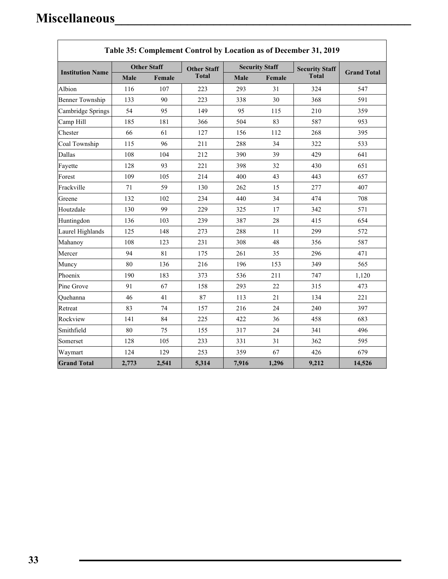| <b>Institution Name</b> | <b>Other Staff</b> |        | <b>Other Staff</b> | <b>Security Staff</b> |        | <b>Security Staff</b> |                    |
|-------------------------|--------------------|--------|--------------------|-----------------------|--------|-----------------------|--------------------|
|                         | Male               | Female | <b>Total</b>       | Male                  | Female | <b>Total</b>          | <b>Grand Total</b> |
| Albion                  | 116                | 107    | 223                | 293                   | 31     | 324                   | 547                |
| <b>Benner Township</b>  | 133                | 90     | 223                | 338                   | 30     | 368                   | 591                |
| Cambridge Springs       | 54                 | 95     | 149                | 95                    | 115    | 210                   | 359                |
| Camp Hill               | 185                | 181    | 366                | 504                   | 83     | 587                   | 953                |
| Chester                 | 66                 | 61     | 127                | 156                   | 112    | 268                   | 395                |
| Coal Township           | 115                | 96     | 211                | 288                   | 34     | 322                   | 533                |
| Dallas                  | 108                | 104    | 212                | 390                   | 39     | 429                   | 641                |
| Fayette                 | 128                | 93     | 221                | 398                   | 32     | 430                   | 651                |
| Forest                  | 109                | 105    | 214                | 400                   | 43     | 443                   | 657                |
| Frackville              | 71                 | 59     | 130                | 262                   | 15     | 277                   | 407                |
| Greene                  | 132                | 102    | 234                | 440                   | 34     | 474                   | 708                |
| Houtzdale               | 130                | 99     | 229                | 325                   | 17     | 342                   | 571                |
| Huntingdon              | 136                | 103    | 239                | 387                   | 28     | 415                   | 654                |
| Laurel Highlands        | 125                | 148    | 273                | 288                   | 11     | 299                   | 572                |
| Mahanoy                 | 108                | 123    | 231                | 308                   | 48     | 356                   | 587                |
| Mercer                  | 94                 | 81     | 175                | 261                   | 35     | 296                   | 471                |
| Muncy                   | 80                 | 136    | 216                | 196                   | 153    | 349                   | 565                |
| Phoenix                 | 190                | 183    | 373                | 536                   | 211    | 747                   | 1,120              |
| Pine Grove              | 91                 | 67     | 158                | 293                   | 22     | 315                   | 473                |
| Quehanna                | 46                 | 41     | 87                 | 113                   | 21     | 134                   | 221                |
| Retreat                 | 83                 | 74     | 157                | 216                   | 24     | 240                   | 397                |
| Rockview                | 141                | 84     | 225                | 422                   | 36     | 458                   | 683                |
| Smithfield              | 80                 | 75     | 155                | 317                   | 24     | 341                   | 496                |
| Somerset                | 128                | 105    | 233                | 331                   | 31     | 362                   | 595                |
| Waymart                 | 124                | 129    | 253                | 359                   | 67     | 426                   | 679                |
| <b>Grand Total</b>      | 2,773              | 2,541  | 5,314              | 7,916                 | 1,296  | 9,212                 | 14,526             |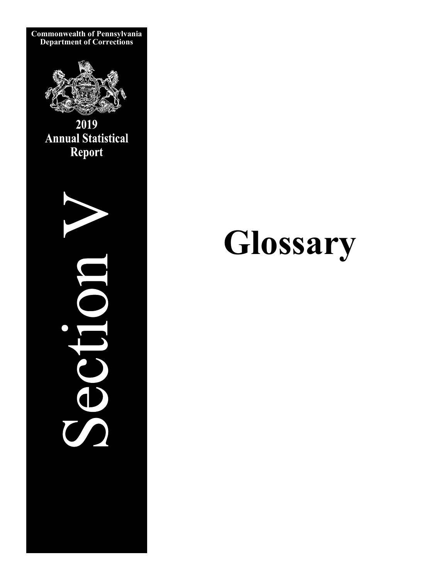

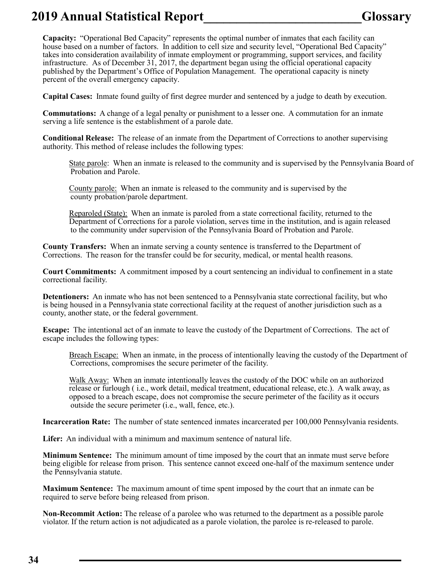### **2019 Annual Statistical Report\_\_\_\_\_\_\_\_\_\_\_\_\_\_\_\_\_\_\_\_\_\_\_\_Glossary**

**Capacity:** "Operational Bed Capacity" represents the optimal number of inmates that each facility can house based on a number of factors. In addition to cell size and security level, "Operational Bed Capacity" takes into consideration availability of inmate employment or programming, support services, and facility infrastructure. As of December 31, 2017, the department began using the official operational capacity published by the Department's Office of Population Management. The operational capacity is ninety percent of the overall emergency capacity.

**Capital Cases:** Inmate found guilty of first degree murder and sentenced by a judge to death by execution.

**Commutations:** A change of a legal penalty or punishment to a lesser one. A commutation for an inmate serving a life sentence is the establishment of a parole date.

**Conditional Release:** The release of an inmate from the Department of Corrections to another supervising authority. This method of release includes the following types:

State parole: When an inmate is released to the community and is supervised by the Pennsylvania Board of Probation and Parole.

County parole: When an inmate is released to the community and is supervised by the county probation/parole department.

Reparoled (State): When an inmate is paroled from a state correctional facility, returned to the Department of Corrections for a parole violation, serves time in the institution, and is again released to the community under supervision of the Pennsylvania Board of Probation and Parole.

**County Transfers:** When an inmate serving a county sentence is transferred to the Department of Corrections. The reason for the transfer could be for security, medical, or mental health reasons.

**Court Commitments:** A commitment imposed by a court sentencing an individual to confinement in a state correctional facility.

**Detentioners:** An inmate who has not been sentenced to a Pennsylvania state correctional facility, but who is being housed in a Pennsylvania state correctional facility at the request of another jurisdiction such as a county, another state, or the federal government.

**Escape:** The intentional act of an inmate to leave the custody of the Department of Corrections. The act of escape includes the following types:

Breach Escape: When an inmate, in the process of intentionally leaving the custody of the Department of Corrections, compromises the secure perimeter of the facility.

Walk Away: When an inmate intentionally leaves the custody of the DOC while on an authorized release or furlough ( i.e., work detail, medical treatment, educational release, etc.). A walk away, as opposed to a breach escape, does not compromise the secure perimeter of the facility as it occurs outside the secure perimeter (i.e., wall, fence, etc.).

**Incarceration Rate:** The number of state sentenced inmates incarcerated per 100,000 Pennsylvania residents.

**Lifer:** An individual with a minimum and maximum sentence of natural life.

**Minimum Sentence:** The minimum amount of time imposed by the court that an inmate must serve before being eligible for release from prison. This sentence cannot exceed one-half of the maximum sentence under the Pennsylvania statute.

**Maximum Sentence:** The maximum amount of time spent imposed by the court that an inmate can be required to serve before being released from prison.

**Non-Recommit Action:** The release of a parolee who was returned to the department as a possible parole violator. If the return action is not adjudicated as a parole violation, the parolee is re-released to parole.